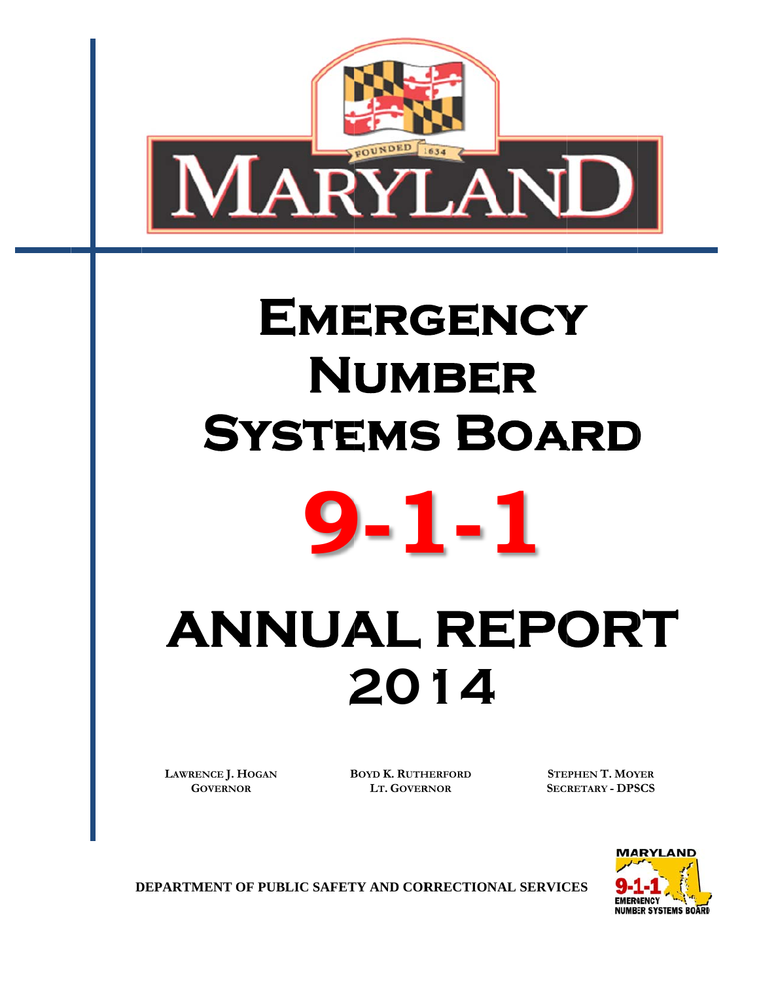

# SYSTEMS BOARD EMERGENCY  $N$ UMBER



# **ANNUAL REPORT 2 20 14**

**LAWRENC CE J. HOGAN** GOVERNOR

**BOYD K. RUTHERFORD LT. GOVER RNOR**

**STEPHEN T. MOYER SECRETARY - DPSCS** 



**DEPARTMENT OF PUBLIC SAFETY AND CORRECTIONAL SERVICES**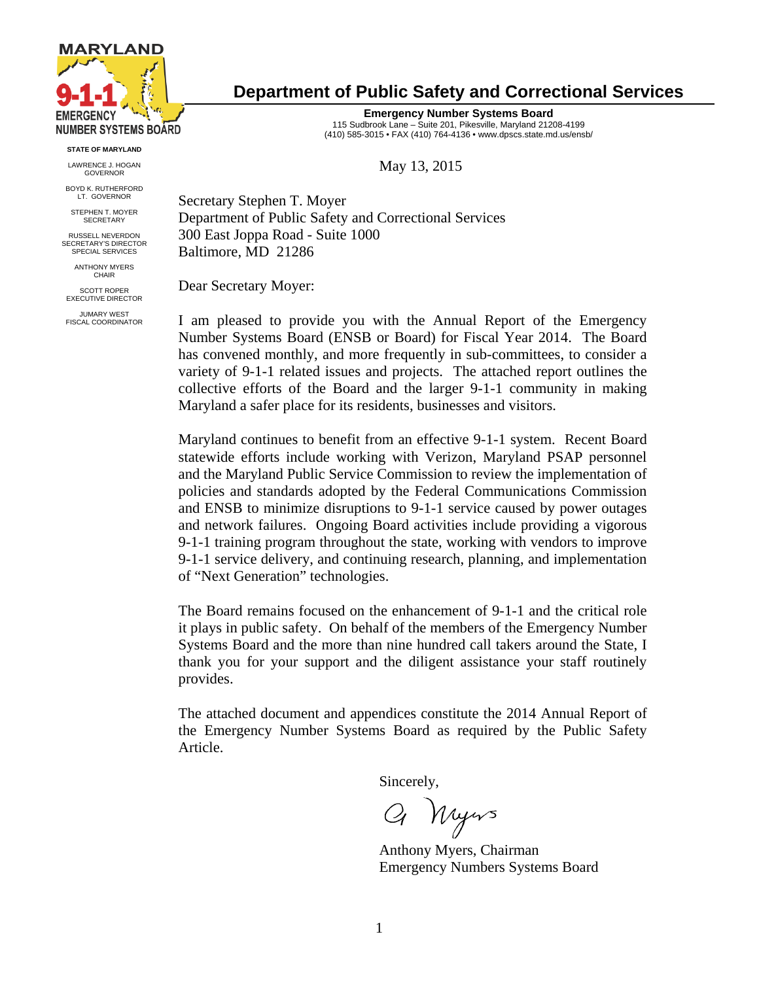

**STATE OF MARYLAND** 

LAWRENCE J. HOGAN **GOVERNOR** 

BOYD K. RUTHERFORD LT. GOVERNOR

STEPHEN T. MOYER SECRETARY

RUSSELL NEVERDON SECRETARY'S DIRECTOR SPECIAL SERVICES

> ANTHONY MYERS CHAIR

SCOTT ROPER EXECUTIVE DIRECTOR

JUMARY WEST FISCAL COORDINATOR

# **Department of Public Safety and Correctional Services**

**Emergency Number Systems Board**  115 Sudbrook Lane – Suite 201, Pikesville, Maryland 21208-4199 (410) 585-3015 • FAX (410) 764-4136 • www.dpscs.state.md.us/ensb/

May 13, 2015

Secretary Stephen T. Moyer Department of Public Safety and Correctional Services 300 East Joppa Road - Suite 1000 Baltimore, MD 21286

Dear Secretary Moyer:

I am pleased to provide you with the Annual Report of the Emergency Number Systems Board (ENSB or Board) for Fiscal Year 2014. The Board has convened monthly, and more frequently in sub-committees, to consider a variety of 9-1-1 related issues and projects. The attached report outlines the collective efforts of the Board and the larger 9-1-1 community in making Maryland a safer place for its residents, businesses and visitors.

Maryland continues to benefit from an effective 9-1-1 system. Recent Board statewide efforts include working with Verizon, Maryland PSAP personnel and the Maryland Public Service Commission to review the implementation of policies and standards adopted by the Federal Communications Commission and ENSB to minimize disruptions to 9-1-1 service caused by power outages and network failures. Ongoing Board activities include providing a vigorous 9-1-1 training program throughout the state, working with vendors to improve 9-1-1 service delivery, and continuing research, planning, and implementation of "Next Generation" technologies.

The Board remains focused on the enhancement of 9-1-1 and the critical role it plays in public safety. On behalf of the members of the Emergency Number Systems Board and the more than nine hundred call takers around the State, I thank you for your support and the diligent assistance your staff routinely provides.

The attached document and appendices constitute the 2014 Annual Report of the Emergency Number Systems Board as required by the Public Safety Article.

Sincerely,

Q Nyws

 Anthony Myers, Chairman Emergency Numbers Systems Board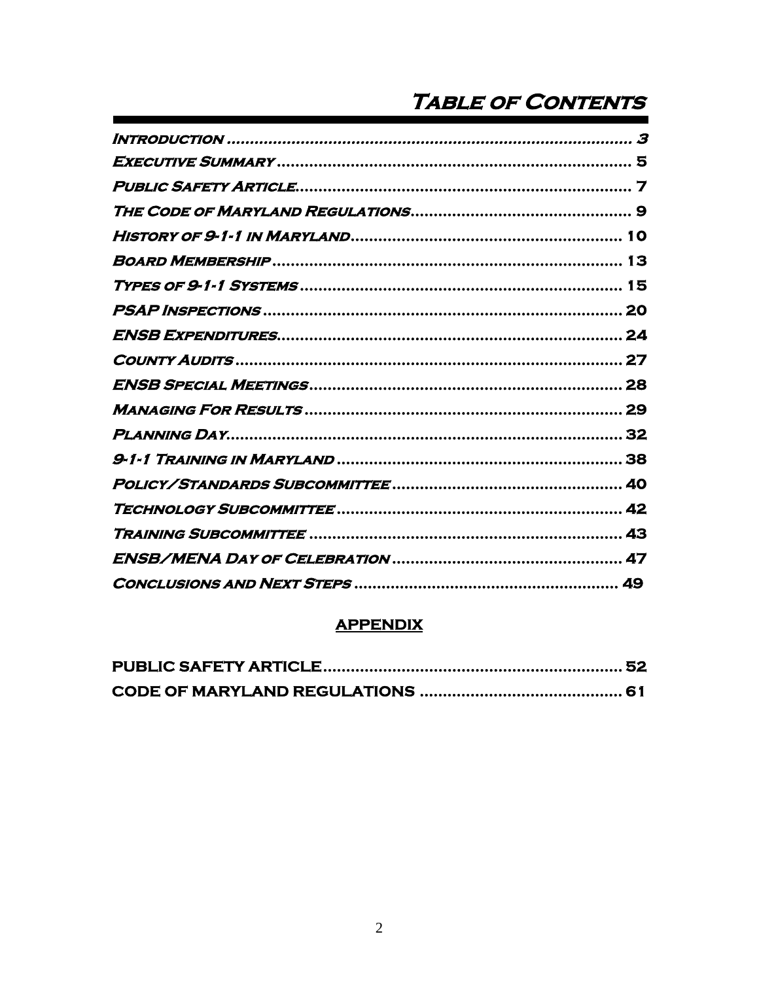# **TABLE OF CONTENTS**

| 3 |
|---|
|   |
|   |
|   |
|   |
|   |
|   |
|   |
|   |
|   |
|   |
|   |
|   |
|   |
|   |
|   |
|   |
|   |
|   |

# **APPENDIX**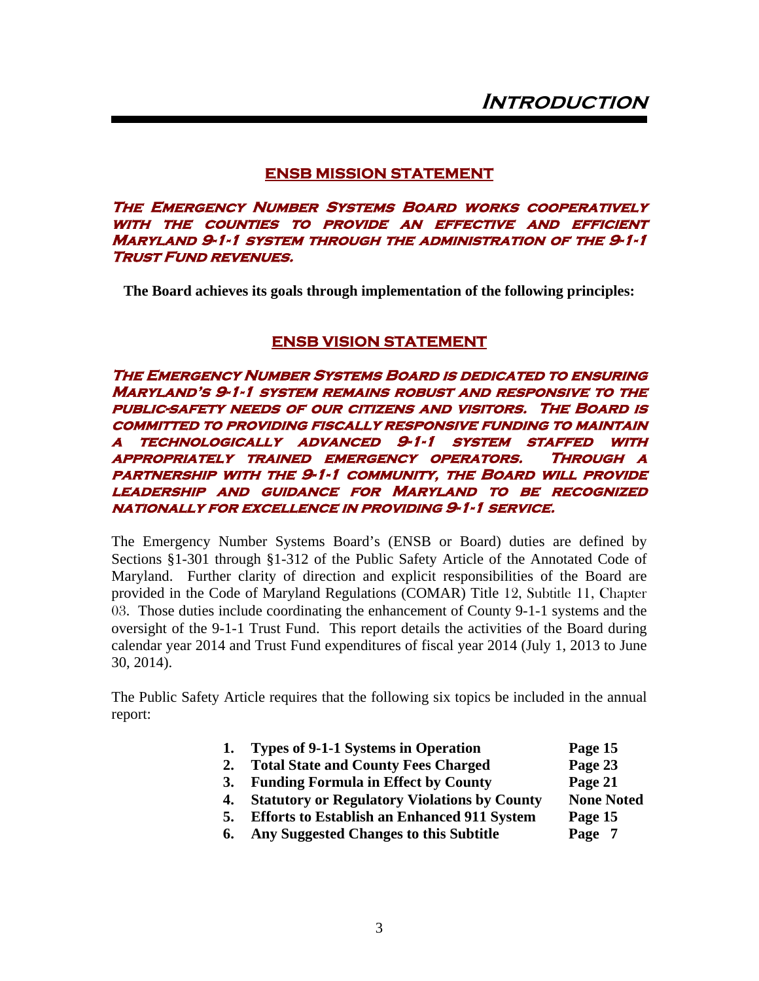#### **ENSB MISSION STATEMENT**

**The Emergency Number Systems Board works cooperatively with the counties to provide an effective and efficient Maryland 9-1-1 system through the administration of the 9-1-1 Trust Fund revenues.** 

**The Board achieves its goals through implementation of the following principles:** 

#### **ENSB VISION STATEMENT**

**The Emergency Number Systems Board is dedicated to ensuring Maryland's 9-1-1 system remains robust and responsive to the public-safety needs of our citizens and visitors. The Board is committed to providing fiscally responsive funding to maintain a technologically advanced 9-1-1 system staffed with appropriately trained emergency operators. Through a partnership with the 9-1-1 community, the Board will provide leadership and guidance for Maryland to be recognized nationally for excellence in providing 9-1-1 service.**

The Emergency Number Systems Board's (ENSB or Board) duties are defined by Sections §1-301 through §1-312 of the Public Safety Article of the Annotated Code of Maryland. Further clarity of direction and explicit responsibilities of the Board are provided in the Code of Maryland Regulations (COMAR) Title 12, Subtitle 11, Chapter 03. Those duties include coordinating the enhancement of County 9-1-1 systems and the oversight of the 9-1-1 Trust Fund. This report details the activities of the Board during calendar year 2014 and Trust Fund expenditures of fiscal year 2014 (July 1, 2013 to June 30, 2014).

The Public Safety Article requires that the following six topics be included in the annual report:

| 1. | Types of 9-1-1 Systems in Operation | Page 15 |
|----|-------------------------------------|---------|
|----|-------------------------------------|---------|

- 2. **Total State and County Fees Charged** Page 23
- **3. Funding Formula in Effect by County Page 21**
- **4.** Statutory or Regulatory Violations by County None Noted
- **5. Efforts to Establish an Enhanced 911 System Page 15**
- **6. Any Suggested Changes to this Subtitle Page 7**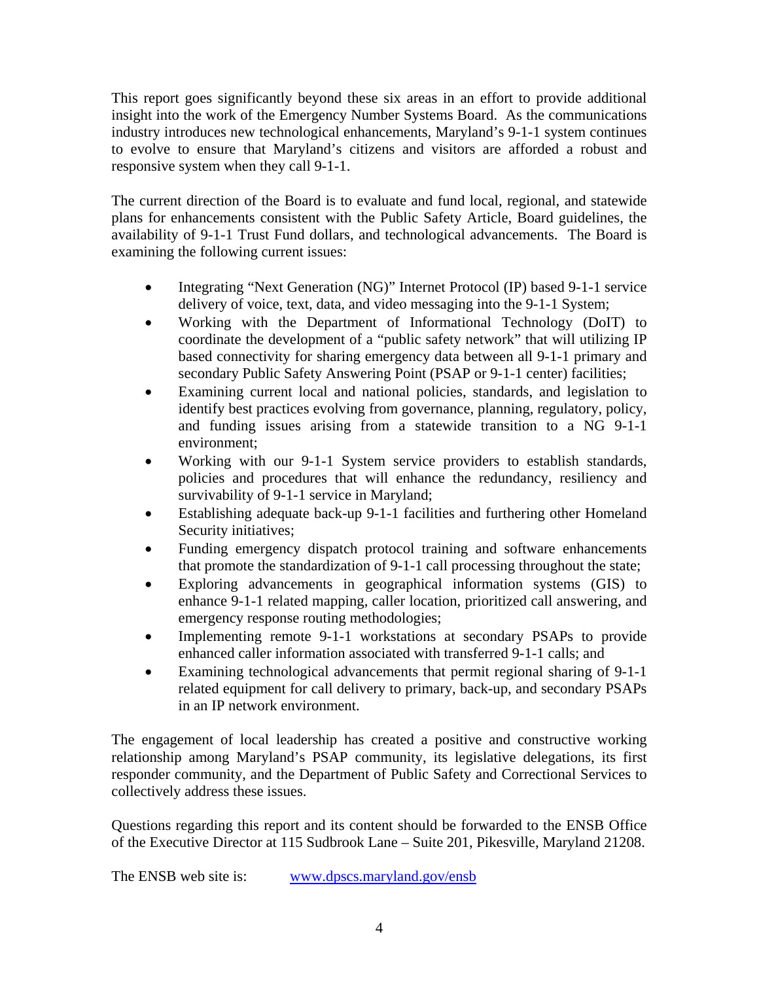This report goes significantly beyond these six areas in an effort to provide additional insight into the work of the Emergency Number Systems Board. As the communications industry introduces new technological enhancements, Maryland's 9-1-1 system continues to evolve to ensure that Maryland's citizens and visitors are afforded a robust and responsive system when they call 9-1-1.

The current direction of the Board is to evaluate and fund local, regional, and statewide plans for enhancements consistent with the Public Safety Article, Board guidelines, the availability of 9-1-1 Trust Fund dollars, and technological advancements. The Board is examining the following current issues:

- Integrating "Next Generation (NG)" Internet Protocol (IP) based 9-1-1 service delivery of voice, text, data, and video messaging into the 9-1-1 System;
- Working with the Department of Informational Technology (DoIT) to coordinate the development of a "public safety network" that will utilizing IP based connectivity for sharing emergency data between all 9-1-1 primary and secondary Public Safety Answering Point (PSAP or 9-1-1 center) facilities;
- Examining current local and national policies, standards, and legislation to identify best practices evolving from governance, planning, regulatory, policy, and funding issues arising from a statewide transition to a NG 9-1-1 environment;
- Working with our 9-1-1 System service providers to establish standards, policies and procedures that will enhance the redundancy, resiliency and survivability of 9-1-1 service in Maryland;
- Establishing adequate back-up 9-1-1 facilities and furthering other Homeland Security initiatives;
- Funding emergency dispatch protocol training and software enhancements that promote the standardization of 9-1-1 call processing throughout the state;
- Exploring advancements in geographical information systems (GIS) to enhance 9-1-1 related mapping, caller location, prioritized call answering, and emergency response routing methodologies;
- Implementing remote 9-1-1 workstations at secondary PSAPs to provide enhanced caller information associated with transferred 9-1-1 calls; and
- Examining technological advancements that permit regional sharing of 9-1-1 related equipment for call delivery to primary, back-up, and secondary PSAPs in an IP network environment.

The engagement of local leadership has created a positive and constructive working relationship among Maryland's PSAP community, its legislative delegations, its first responder community, and the Department of Public Safety and Correctional Services to collectively address these issues.

Questions regarding this report and its content should be forwarded to the ENSB Office of the Executive Director at 115 Sudbrook Lane – Suite 201, Pikesville, Maryland 21208.

The ENSB web site is: www.dpscs.maryland.gov/ensb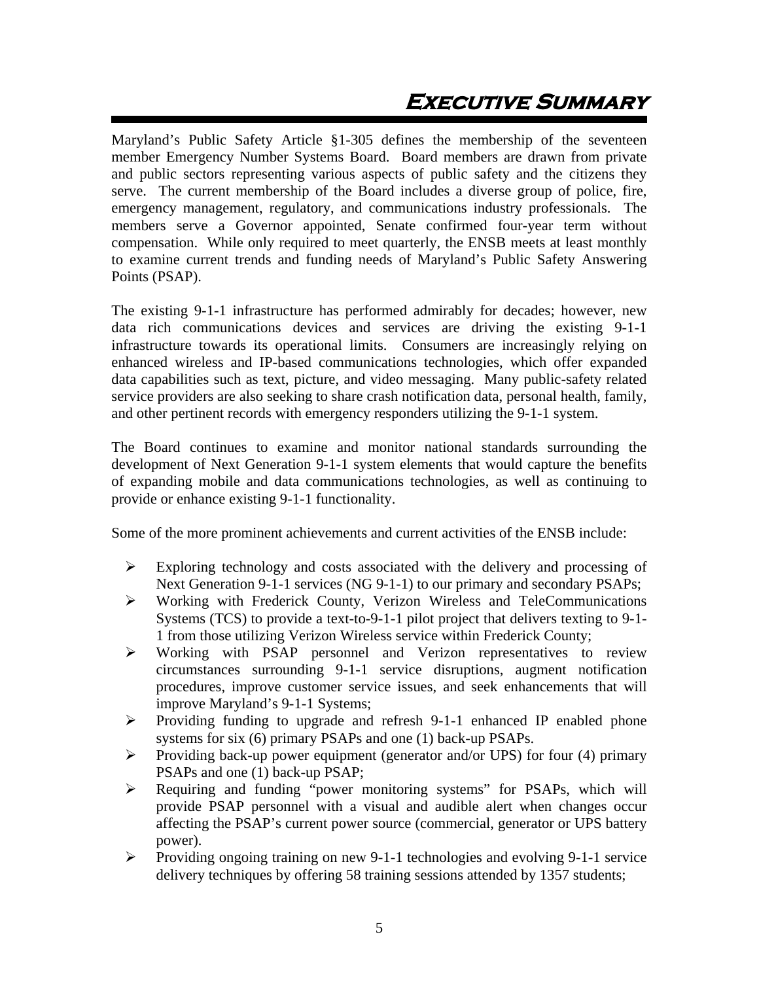# **Executive Summary**

Maryland's Public Safety Article §1-305 defines the membership of the seventeen member Emergency Number Systems Board. Board members are drawn from private and public sectors representing various aspects of public safety and the citizens they serve. The current membership of the Board includes a diverse group of police, fire, emergency management, regulatory, and communications industry professionals. The members serve a Governor appointed, Senate confirmed four-year term without compensation. While only required to meet quarterly, the ENSB meets at least monthly to examine current trends and funding needs of Maryland's Public Safety Answering Points (PSAP).

The existing 9-1-1 infrastructure has performed admirably for decades; however, new data rich communications devices and services are driving the existing 9-1-1 infrastructure towards its operational limits. Consumers are increasingly relying on enhanced wireless and IP-based communications technologies, which offer expanded data capabilities such as text, picture, and video messaging. Many public-safety related service providers are also seeking to share crash notification data, personal health, family, and other pertinent records with emergency responders utilizing the 9-1-1 system.

The Board continues to examine and monitor national standards surrounding the development of Next Generation 9-1-1 system elements that would capture the benefits of expanding mobile and data communications technologies, as well as continuing to provide or enhance existing 9-1-1 functionality.

Some of the more prominent achievements and current activities of the ENSB include:

- $\triangleright$  Exploring technology and costs associated with the delivery and processing of Next Generation 9-1-1 services (NG 9-1-1) to our primary and secondary PSAPs;
- Working with Frederick County, Verizon Wireless and TeleCommunications Systems (TCS) to provide a text-to-9-1-1 pilot project that delivers texting to 9-1- 1 from those utilizing Verizon Wireless service within Frederick County;
- Working with PSAP personnel and Verizon representatives to review circumstances surrounding 9-1-1 service disruptions, augment notification procedures, improve customer service issues, and seek enhancements that will improve Maryland's 9-1-1 Systems;
- $\triangleright$  Providing funding to upgrade and refresh 9-1-1 enhanced IP enabled phone systems for six (6) primary PSAPs and one (1) back-up PSAPs.
- $\triangleright$  Providing back-up power equipment (generator and/or UPS) for four (4) primary PSAPs and one (1) back-up PSAP;
- Requiring and funding "power monitoring systems" for PSAPs, which will provide PSAP personnel with a visual and audible alert when changes occur affecting the PSAP's current power source (commercial, generator or UPS battery power).
- Providing ongoing training on new 9-1-1 technologies and evolving 9-1-1 service delivery techniques by offering 58 training sessions attended by 1357 students;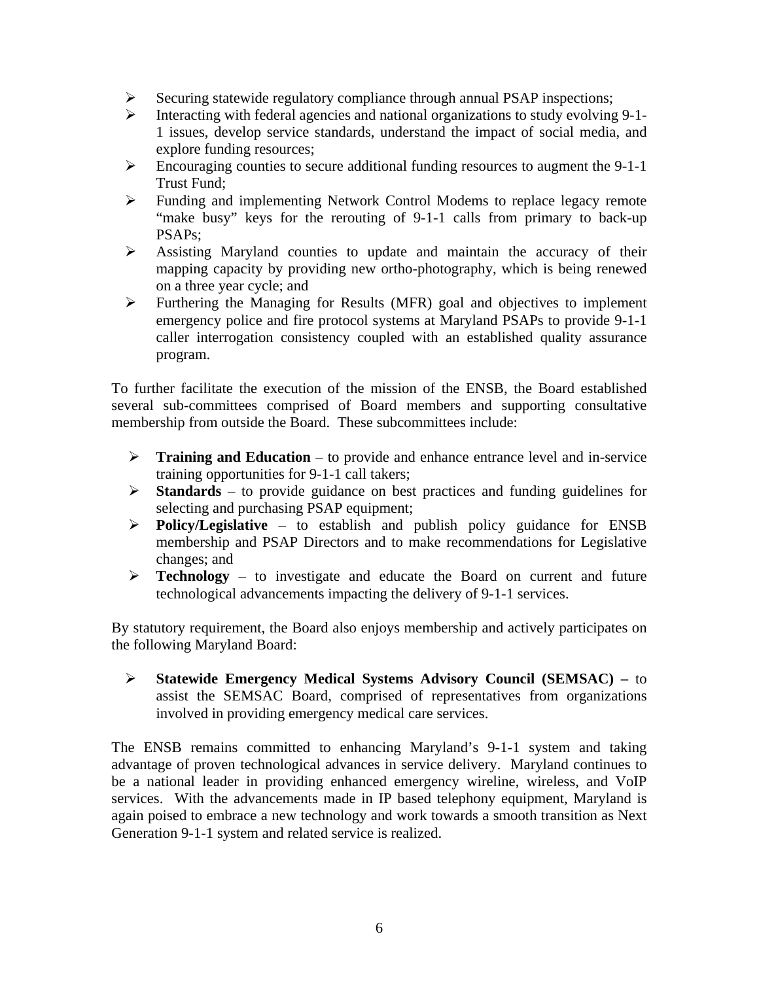- $\triangleright$  Securing statewide regulatory compliance through annual PSAP inspections;
- Interacting with federal agencies and national organizations to study evolving 9-1- 1 issues, develop service standards, understand the impact of social media, and explore funding resources;
- $\triangleright$  Encouraging counties to secure additional funding resources to augment the 9-1-1 Trust Fund;
- Funding and implementing Network Control Modems to replace legacy remote "make busy" keys for the rerouting of 9-1-1 calls from primary to back-up PSAPs;
- $\triangleright$  Assisting Maryland counties to update and maintain the accuracy of their mapping capacity by providing new ortho-photography, which is being renewed on a three year cycle; and
- $\triangleright$  Furthering the Managing for Results (MFR) goal and objectives to implement emergency police and fire protocol systems at Maryland PSAPs to provide 9-1-1 caller interrogation consistency coupled with an established quality assurance program.

To further facilitate the execution of the mission of the ENSB, the Board established several sub-committees comprised of Board members and supporting consultative membership from outside the Board. These subcommittees include:

- **Training and Education** to provide and enhance entrance level and in-service training opportunities for 9-1-1 call takers;
- **Standards** to provide guidance on best practices and funding guidelines for selecting and purchasing PSAP equipment;
- **Policy/Legislative**  to establish and publish policy guidance for ENSB membership and PSAP Directors and to make recommendations for Legislative changes; and
- **Technology**  to investigate and educate the Board on current and future technological advancements impacting the delivery of 9-1-1 services.

By statutory requirement, the Board also enjoys membership and actively participates on the following Maryland Board:

 **Statewide Emergency Medical Systems Advisory Council (SEMSAC) –** to assist the SEMSAC Board, comprised of representatives from organizations involved in providing emergency medical care services.

The ENSB remains committed to enhancing Maryland's 9-1-1 system and taking advantage of proven technological advances in service delivery. Maryland continues to be a national leader in providing enhanced emergency wireline, wireless, and VoIP services. With the advancements made in IP based telephony equipment, Maryland is again poised to embrace a new technology and work towards a smooth transition as Next Generation 9-1-1 system and related service is realized.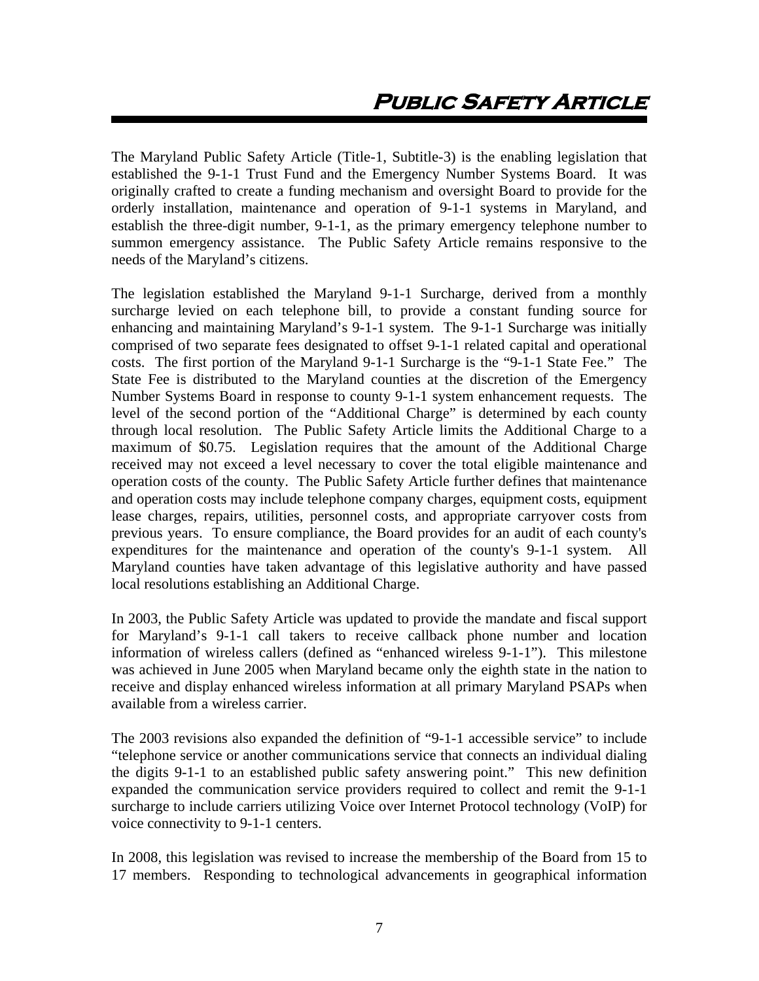The Maryland Public Safety Article (Title-1, Subtitle-3) is the enabling legislation that established the 9-1-1 Trust Fund and the Emergency Number Systems Board. It was originally crafted to create a funding mechanism and oversight Board to provide for the orderly installation, maintenance and operation of 9-1-1 systems in Maryland, and establish the three-digit number, 9-1-1, as the primary emergency telephone number to summon emergency assistance. The Public Safety Article remains responsive to the needs of the Maryland's citizens.

The legislation established the Maryland 9-1-1 Surcharge, derived from a monthly surcharge levied on each telephone bill, to provide a constant funding source for enhancing and maintaining Maryland's 9-1-1 system. The 9-1-1 Surcharge was initially comprised of two separate fees designated to offset 9-1-1 related capital and operational costs. The first portion of the Maryland 9-1-1 Surcharge is the "9-1-1 State Fee." The State Fee is distributed to the Maryland counties at the discretion of the Emergency Number Systems Board in response to county 9-1-1 system enhancement requests. The level of the second portion of the "Additional Charge" is determined by each county through local resolution. The Public Safety Article limits the Additional Charge to a maximum of \$0.75. Legislation requires that the amount of the Additional Charge received may not exceed a level necessary to cover the total eligible maintenance and operation costs of the county. The Public Safety Article further defines that maintenance and operation costs may include telephone company charges, equipment costs, equipment lease charges, repairs, utilities, personnel costs, and appropriate carryover costs from previous years. To ensure compliance, the Board provides for an audit of each county's expenditures for the maintenance and operation of the county's 9-1-1 system. All Maryland counties have taken advantage of this legislative authority and have passed local resolutions establishing an Additional Charge.

In 2003, the Public Safety Article was updated to provide the mandate and fiscal support for Maryland's 9-1-1 call takers to receive callback phone number and location information of wireless callers (defined as "enhanced wireless 9-1-1"). This milestone was achieved in June 2005 when Maryland became only the eighth state in the nation to receive and display enhanced wireless information at all primary Maryland PSAPs when available from a wireless carrier.

The 2003 revisions also expanded the definition of "9-1-1 accessible service" to include "telephone service or another communications service that connects an individual dialing the digits 9-1-1 to an established public safety answering point." This new definition expanded the communication service providers required to collect and remit the 9-1-1 surcharge to include carriers utilizing Voice over Internet Protocol technology (VoIP) for voice connectivity to 9-1-1 centers.

In 2008, this legislation was revised to increase the membership of the Board from 15 to 17 members. Responding to technological advancements in geographical information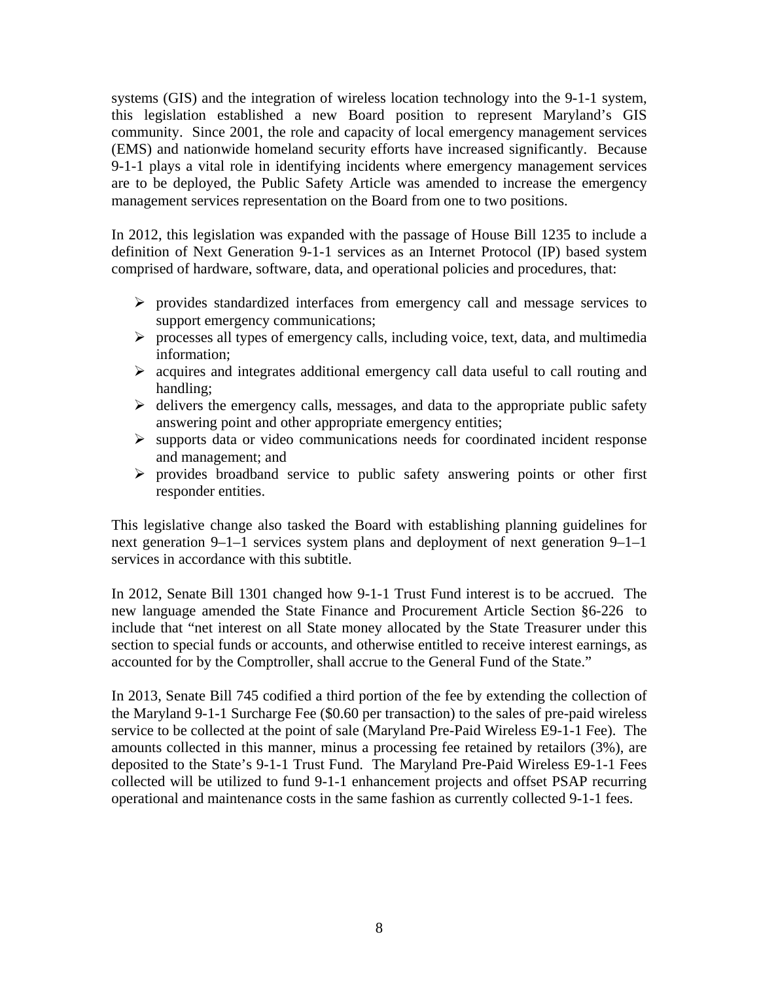systems (GIS) and the integration of wireless location technology into the 9-1-1 system, this legislation established a new Board position to represent Maryland's GIS community. Since 2001, the role and capacity of local emergency management services (EMS) and nationwide homeland security efforts have increased significantly. Because 9-1-1 plays a vital role in identifying incidents where emergency management services are to be deployed, the Public Safety Article was amended to increase the emergency management services representation on the Board from one to two positions.

In 2012, this legislation was expanded with the passage of House Bill 1235 to include a definition of Next Generation 9-1-1 services as an Internet Protocol (IP) based system comprised of hardware, software, data, and operational policies and procedures, that:

- $\triangleright$  provides standardized interfaces from emergency call and message services to support emergency communications;
- $\triangleright$  processes all types of emergency calls, including voice, text, data, and multimedia information;
- $\triangleright$  acquires and integrates additional emergency call data useful to call routing and handling;
- $\triangleright$  delivers the emergency calls, messages, and data to the appropriate public safety answering point and other appropriate emergency entities;
- $\triangleright$  supports data or video communications needs for coordinated incident response and management; and
- $\triangleright$  provides broadband service to public safety answering points or other first responder entities.

This legislative change also tasked the Board with establishing planning guidelines for next generation 9–1–1 services system plans and deployment of next generation 9–1–1 services in accordance with this subtitle.

In 2012, Senate Bill 1301 changed how 9-1-1 Trust Fund interest is to be accrued. The new language amended the State Finance and Procurement Article Section §6-226 to include that "net interest on all State money allocated by the State Treasurer under this section to special funds or accounts, and otherwise entitled to receive interest earnings, as accounted for by the Comptroller, shall accrue to the General Fund of the State."

In 2013, Senate Bill 745 codified a third portion of the fee by extending the collection of the Maryland 9-1-1 Surcharge Fee (\$0.60 per transaction) to the sales of pre-paid wireless service to be collected at the point of sale (Maryland Pre-Paid Wireless E9-1-1 Fee). The amounts collected in this manner, minus a processing fee retained by retailors (3%), are deposited to the State's 9-1-1 Trust Fund. The Maryland Pre-Paid Wireless E9-1-1 Fees collected will be utilized to fund 9-1-1 enhancement projects and offset PSAP recurring operational and maintenance costs in the same fashion as currently collected 9-1-1 fees.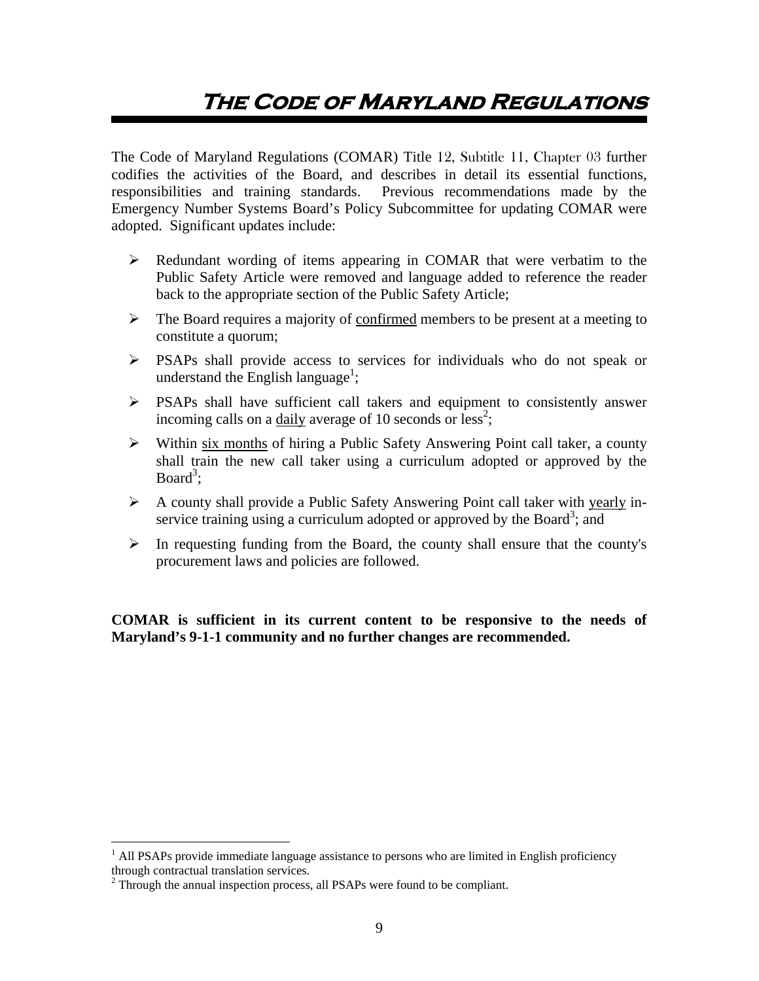# **The Code of Maryland Regulations**

The Code of Maryland Regulations (COMAR) Title 12, Subtitle 11, Chapter 03 further codifies the activities of the Board, and describes in detail its essential functions, responsibilities and training standards. Previous recommendations made by the Emergency Number Systems Board's Policy Subcommittee for updating COMAR were adopted. Significant updates include:

- Redundant wording of items appearing in COMAR that were verbatim to the Public Safety Article were removed and language added to reference the reader back to the appropriate section of the Public Safety Article;
- $\triangleright$  The Board requires a majority of confirmed members to be present at a meeting to constitute a quorum;
- PSAPs shall provide access to services for individuals who do not speak or understand the English language<sup>1</sup>;
- PSAPs shall have sufficient call takers and equipment to consistently answer incoming calls on a daily average of 10 seconds or  $less^2$ ;
- Within six months of hiring a Public Safety Answering Point call taker, a county shall train the new call taker using a curriculum adopted or approved by the Board<sup>3</sup>;
- $\triangleright$  A county shall provide a Public Safety Answering Point call taker with yearly inservice training using a curriculum adopted or approved by the Board<sup>3</sup>; and
- $\triangleright$  In requesting funding from the Board, the county shall ensure that the county's procurement laws and policies are followed.

**COMAR is sufficient in its current content to be responsive to the needs of Maryland's 9-1-1 community and no further changes are recommended.** 

 $\overline{a}$ 

<sup>&</sup>lt;sup>1</sup> All PSAPs provide immediate language assistance to persons who are limited in English proficiency through contractual translation services. 2

 $2$  Through the annual inspection process, all PSAPs were found to be compliant.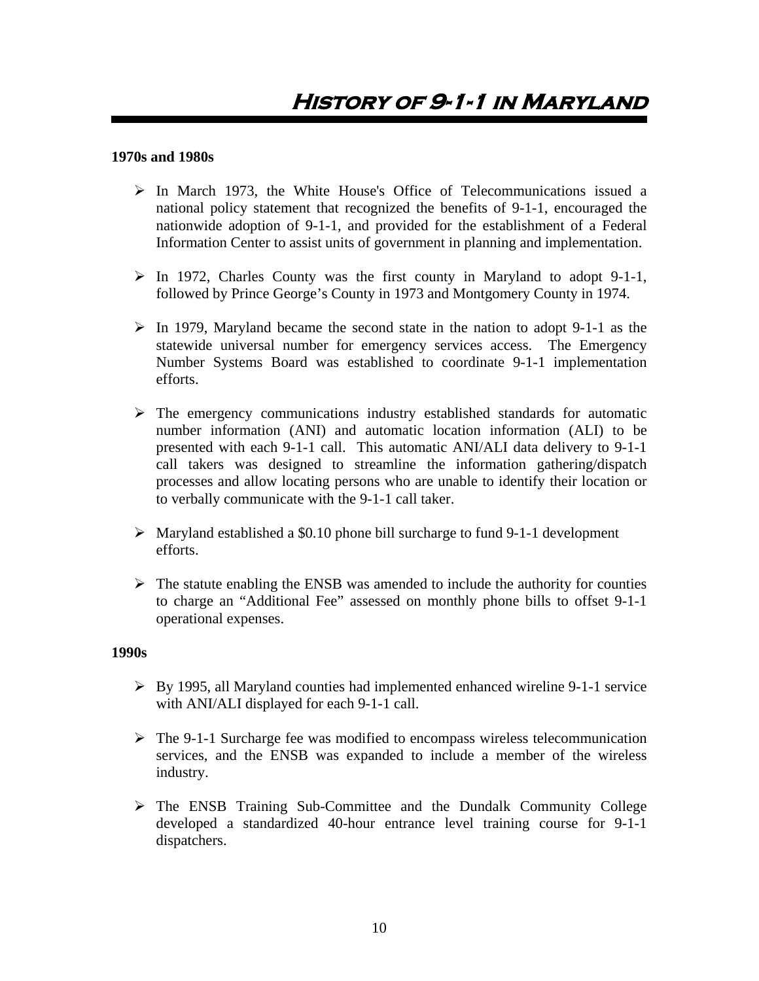#### **1970s and 1980s**

- $\triangleright$  In March 1973, the White House's Office of Telecommunications issued a national policy statement that recognized the benefits of 9-1-1, encouraged the nationwide adoption of 9-1-1, and provided for the establishment of a Federal Information Center to assist units of government in planning and implementation.
- $\triangleright$  In 1972, Charles County was the first county in Maryland to adopt 9-1-1, followed by Prince George's County in 1973 and Montgomery County in 1974.
- $\triangleright$  In 1979, Maryland became the second state in the nation to adopt 9-1-1 as the statewide universal number for emergency services access. The Emergency Number Systems Board was established to coordinate 9-1-1 implementation efforts.
- $\triangleright$  The emergency communications industry established standards for automatic number information (ANI) and automatic location information (ALI) to be presented with each 9-1-1 call. This automatic ANI/ALI data delivery to 9-1-1 call takers was designed to streamline the information gathering/dispatch processes and allow locating persons who are unable to identify their location or to verbally communicate with the 9-1-1 call taker.
- $\triangleright$  Maryland established a \$0.10 phone bill surcharge to fund 9-1-1 development efforts.
- $\triangleright$  The statute enabling the ENSB was amended to include the authority for counties to charge an "Additional Fee" assessed on monthly phone bills to offset 9-1-1 operational expenses.

#### **1990s**

- $\triangleright$  By 1995, all Maryland counties had implemented enhanced wireline 9-1-1 service with ANI/ALI displayed for each 9-1-1 call.
- $\triangleright$  The 9-1-1 Surcharge fee was modified to encompass wireless telecommunication services, and the ENSB was expanded to include a member of the wireless industry.
- $\triangleright$  The ENSB Training Sub-Committee and the Dundalk Community College developed a standardized 40-hour entrance level training course for 9-1-1 dispatchers.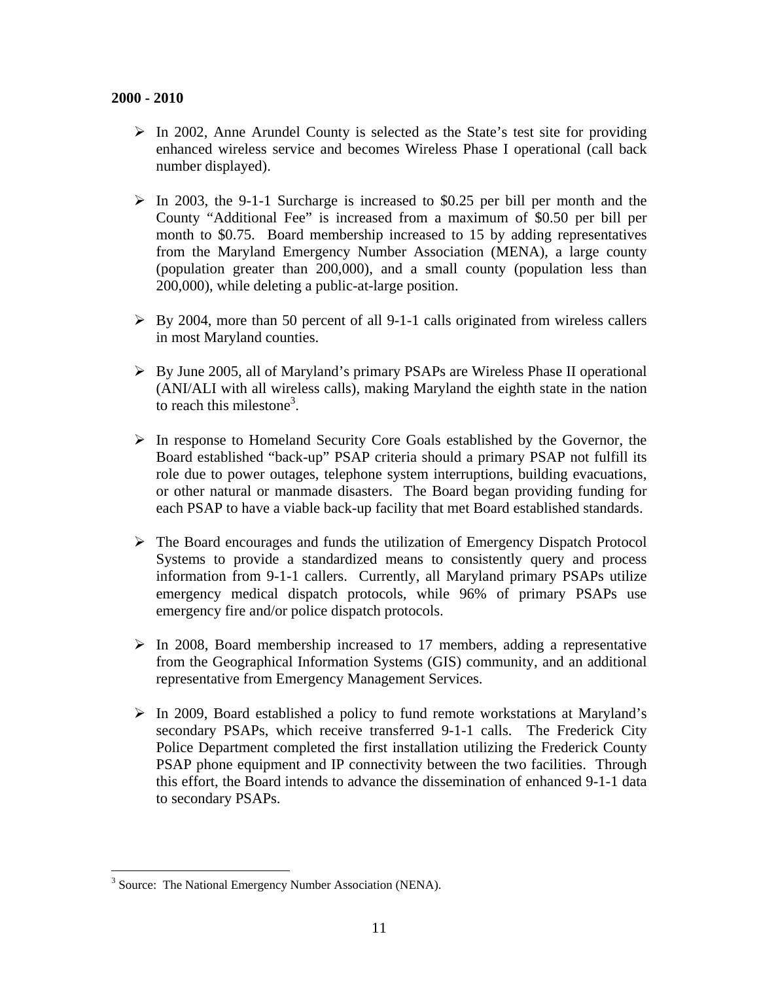- $\triangleright$  In 2002, Anne Arundel County is selected as the State's test site for providing enhanced wireless service and becomes Wireless Phase I operational (call back number displayed).
- $\triangleright$  In 2003, the 9-1-1 Surcharge is increased to \$0.25 per bill per month and the County "Additional Fee" is increased from a maximum of \$0.50 per bill per month to \$0.75. Board membership increased to 15 by adding representatives from the Maryland Emergency Number Association (MENA), a large county (population greater than 200,000), and a small county (population less than 200,000), while deleting a public-at-large position.
- $\triangleright$  By 2004, more than 50 percent of all 9-1-1 calls originated from wireless callers in most Maryland counties.
- By June 2005, all of Maryland's primary PSAPs are Wireless Phase II operational (ANI/ALI with all wireless calls), making Maryland the eighth state in the nation to reach this milestone<sup>3</sup>.
- $\triangleright$  In response to Homeland Security Core Goals established by the Governor, the Board established "back-up" PSAP criteria should a primary PSAP not fulfill its role due to power outages, telephone system interruptions, building evacuations, or other natural or manmade disasters. The Board began providing funding for each PSAP to have a viable back-up facility that met Board established standards.
- The Board encourages and funds the utilization of Emergency Dispatch Protocol Systems to provide a standardized means to consistently query and process information from 9-1-1 callers. Currently, all Maryland primary PSAPs utilize emergency medical dispatch protocols, while 96% of primary PSAPs use emergency fire and/or police dispatch protocols.
- $\triangleright$  In 2008, Board membership increased to 17 members, adding a representative from the Geographical Information Systems (GIS) community, and an additional representative from Emergency Management Services.
- $\triangleright$  In 2009, Board established a policy to fund remote workstations at Maryland's secondary PSAPs, which receive transferred 9-1-1 calls. The Frederick City Police Department completed the first installation utilizing the Frederick County PSAP phone equipment and IP connectivity between the two facilities. Through this effort, the Board intends to advance the dissemination of enhanced 9-1-1 data to secondary PSAPs.

 $\overline{a}$ 

<sup>&</sup>lt;sup>3</sup> Source: The National Emergency Number Association (NENA).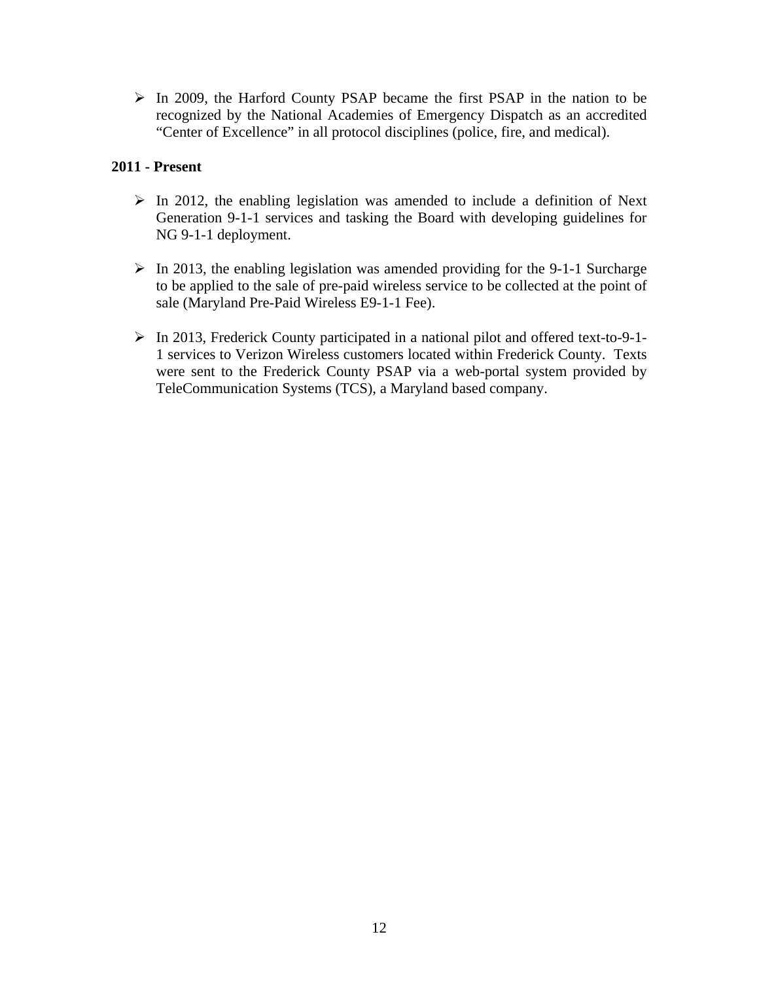In 2009, the Harford County PSAP became the first PSAP in the nation to be recognized by the National Academies of Emergency Dispatch as an accredited "Center of Excellence" in all protocol disciplines (police, fire, and medical).

#### **2011 - Present**

- $\triangleright$  In 2012, the enabling legislation was amended to include a definition of Next Generation 9-1-1 services and tasking the Board with developing guidelines for NG 9-1-1 deployment.
- $\triangleright$  In 2013, the enabling legislation was amended providing for the 9-1-1 Surcharge to be applied to the sale of pre-paid wireless service to be collected at the point of sale (Maryland Pre-Paid Wireless E9-1-1 Fee).
- In 2013, Frederick County participated in a national pilot and offered text-to-9-1- 1 services to Verizon Wireless customers located within Frederick County. Texts were sent to the Frederick County PSAP via a web-portal system provided by TeleCommunication Systems (TCS), a Maryland based company.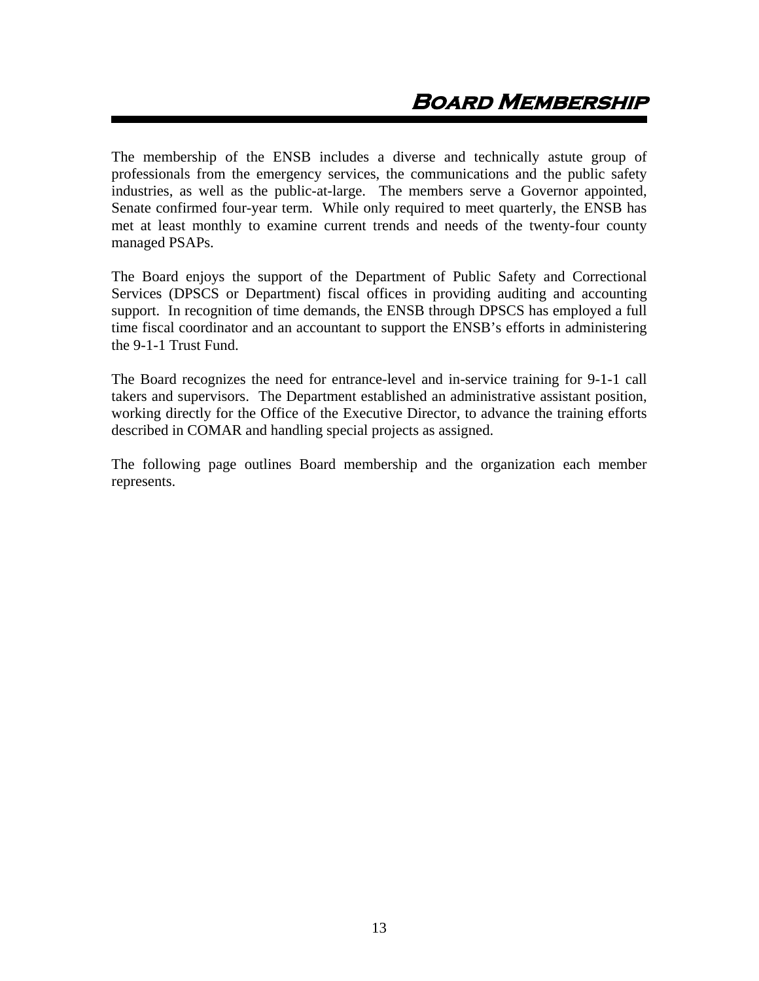The membership of the ENSB includes a diverse and technically astute group of professionals from the emergency services, the communications and the public safety industries, as well as the public-at-large. The members serve a Governor appointed, Senate confirmed four-year term. While only required to meet quarterly, the ENSB has met at least monthly to examine current trends and needs of the twenty-four county managed PSAPs.

The Board enjoys the support of the Department of Public Safety and Correctional Services (DPSCS or Department) fiscal offices in providing auditing and accounting support. In recognition of time demands, the ENSB through DPSCS has employed a full time fiscal coordinator and an accountant to support the ENSB's efforts in administering the 9-1-1 Trust Fund.

The Board recognizes the need for entrance-level and in-service training for 9-1-1 call takers and supervisors. The Department established an administrative assistant position, working directly for the Office of the Executive Director, to advance the training efforts described in COMAR and handling special projects as assigned.

The following page outlines Board membership and the organization each member represents.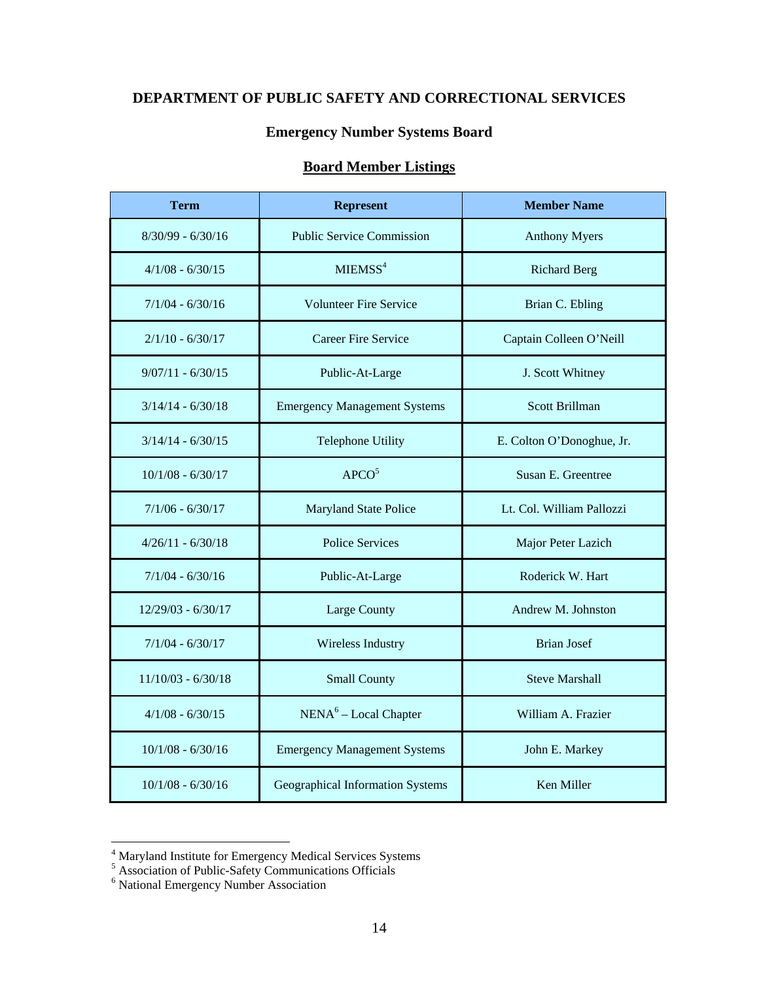## **DEPARTMENT OF PUBLIC SAFETY AND CORRECTIONAL SERVICES**

#### **Emergency Number Systems Board**

# **Board Member Listings**

| <b>Term</b>          | <b>Represent</b>                    | <b>Member Name</b>        |
|----------------------|-------------------------------------|---------------------------|
| $8/30/99 - 6/30/16$  | <b>Public Service Commission</b>    | <b>Anthony Myers</b>      |
| $4/1/08 - 6/30/15$   | MIEMSS <sup>4</sup>                 | <b>Richard Berg</b>       |
| $7/1/04 - 6/30/16$   | <b>Volunteer Fire Service</b>       | Brian C. Ebling           |
| $2/1/10 - 6/30/17$   | Career Fire Service                 | Captain Colleen O'Neill   |
| $9/07/11 - 6/30/15$  | Public-At-Large                     | J. Scott Whitney          |
| $3/14/14 - 6/30/18$  | <b>Emergency Management Systems</b> | Scott Brillman            |
| $3/14/14 - 6/30/15$  | Telephone Utility                   | E. Colton O'Donoghue, Jr. |
| $10/1/08 - 6/30/17$  | APCO <sup>5</sup>                   | Susan E. Greentree        |
| $7/1/06 - 6/30/17$   | <b>Maryland State Police</b>        | Lt. Col. William Pallozzi |
| $4/26/11 - 6/30/18$  | <b>Police Services</b>              | Major Peter Lazich        |
| $7/1/04 - 6/30/16$   | Public-At-Large                     | Roderick W. Hart          |
| $12/29/03 - 6/30/17$ | Large County                        | Andrew M. Johnston        |
| $7/1/04 - 6/30/17$   | Wireless Industry                   | <b>Brian Josef</b>        |
| $11/10/03 - 6/30/18$ | <b>Small County</b>                 | <b>Steve Marshall</b>     |
| $4/1/08 - 6/30/15$   | $NENA6 - Local Chapter$             | William A. Frazier        |
| $10/1/08 - 6/30/16$  | <b>Emergency Management Systems</b> | John E. Markey            |
| $10/1/08 - 6/30/16$  | Geographical Information Systems    | Ken Miller                |

<sup>&</sup>lt;sup>4</sup> Maryland Institute for Emergency Medical Services Systems<br>
<sup>5</sup> Association of Public-Safety Communications Officials<br>
<sup>6</sup> National Emergency Number Association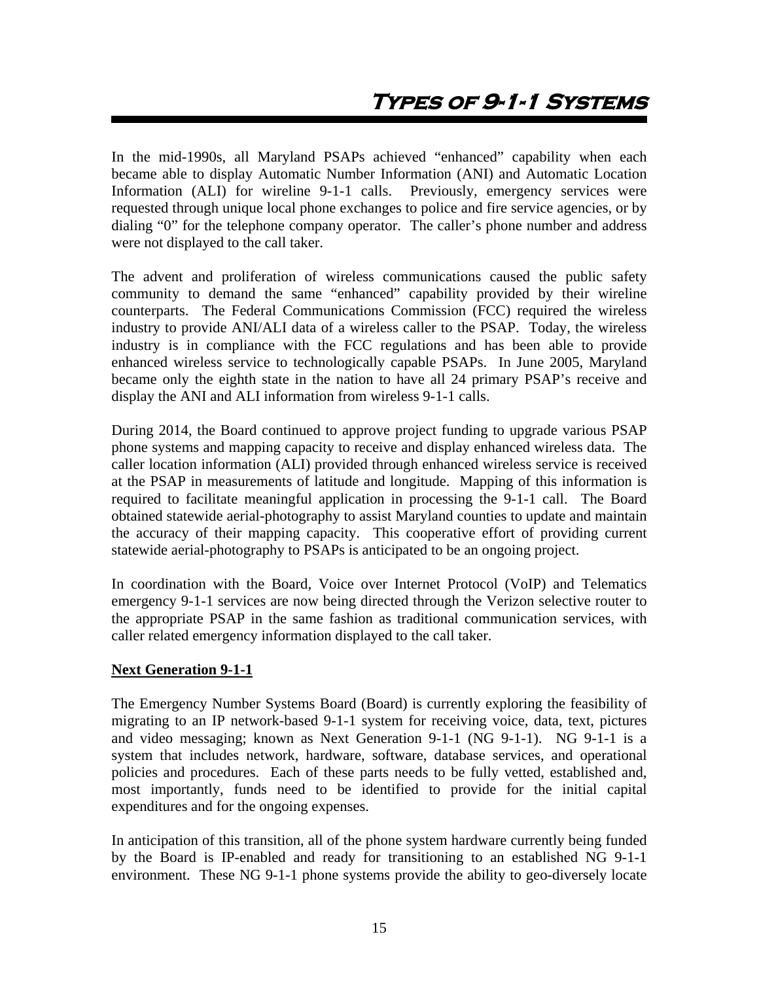In the mid-1990s, all Maryland PSAPs achieved "enhanced" capability when each became able to display Automatic Number Information (ANI) and Automatic Location Information (ALI) for wireline 9-1-1 calls. Previously, emergency services were requested through unique local phone exchanges to police and fire service agencies, or by dialing "0" for the telephone company operator. The caller's phone number and address were not displayed to the call taker.

The advent and proliferation of wireless communications caused the public safety community to demand the same "enhanced" capability provided by their wireline counterparts. The Federal Communications Commission (FCC) required the wireless industry to provide ANI/ALI data of a wireless caller to the PSAP. Today, the wireless industry is in compliance with the FCC regulations and has been able to provide enhanced wireless service to technologically capable PSAPs. In June 2005, Maryland became only the eighth state in the nation to have all 24 primary PSAP's receive and display the ANI and ALI information from wireless 9-1-1 calls.

During 2014, the Board continued to approve project funding to upgrade various PSAP phone systems and mapping capacity to receive and display enhanced wireless data. The caller location information (ALI) provided through enhanced wireless service is received at the PSAP in measurements of latitude and longitude. Mapping of this information is required to facilitate meaningful application in processing the 9-1-1 call. The Board obtained statewide aerial-photography to assist Maryland counties to update and maintain the accuracy of their mapping capacity. This cooperative effort of providing current statewide aerial-photography to PSAPs is anticipated to be an ongoing project.

In coordination with the Board, Voice over Internet Protocol (VoIP) and Telematics emergency 9-1-1 services are now being directed through the Verizon selective router to the appropriate PSAP in the same fashion as traditional communication services, with caller related emergency information displayed to the call taker.

#### **Next Generation 9-1-1**

The Emergency Number Systems Board (Board) is currently exploring the feasibility of migrating to an IP network-based 9-1-1 system for receiving voice, data, text, pictures and video messaging; known as Next Generation 9-1-1 (NG 9-1-1). NG 9-1-1 is a system that includes network, hardware, software, database services, and operational policies and procedures. Each of these parts needs to be fully vetted, established and, most importantly, funds need to be identified to provide for the initial capital expenditures and for the ongoing expenses.

In anticipation of this transition, all of the phone system hardware currently being funded by the Board is IP-enabled and ready for transitioning to an established NG 9-1-1 environment. These NG 9-1-1 phone systems provide the ability to geo-diversely locate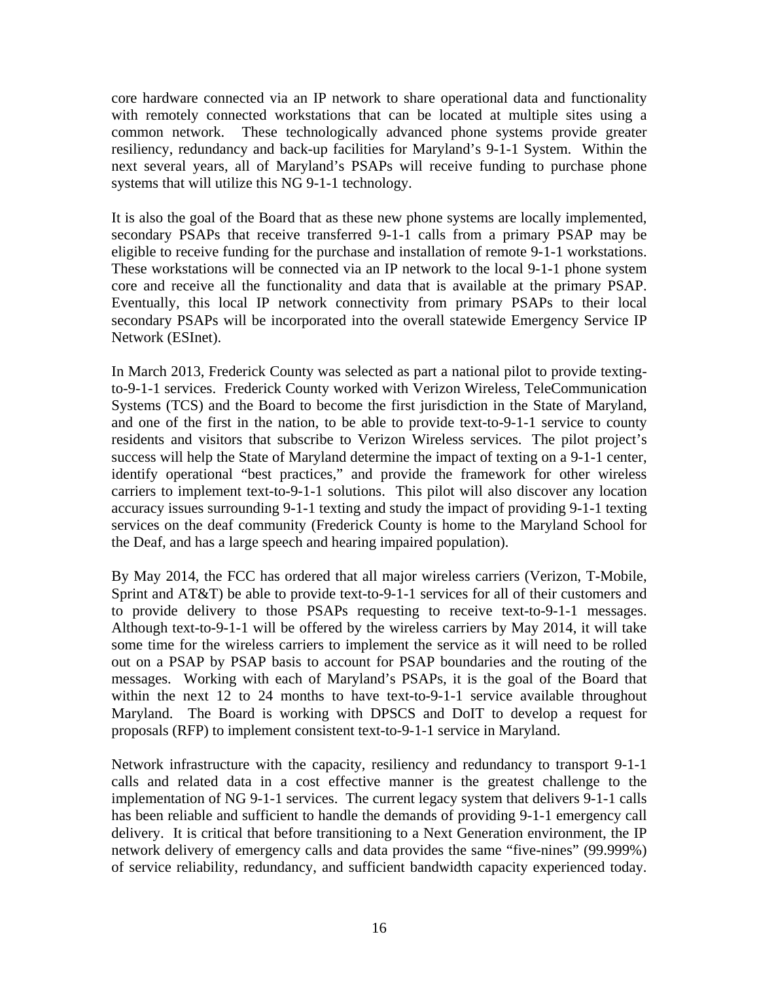core hardware connected via an IP network to share operational data and functionality with remotely connected workstations that can be located at multiple sites using a common network. These technologically advanced phone systems provide greater resiliency, redundancy and back-up facilities for Maryland's 9-1-1 System. Within the next several years, all of Maryland's PSAPs will receive funding to purchase phone systems that will utilize this NG 9-1-1 technology.

It is also the goal of the Board that as these new phone systems are locally implemented, secondary PSAPs that receive transferred 9-1-1 calls from a primary PSAP may be eligible to receive funding for the purchase and installation of remote 9-1-1 workstations. These workstations will be connected via an IP network to the local 9-1-1 phone system core and receive all the functionality and data that is available at the primary PSAP. Eventually, this local IP network connectivity from primary PSAPs to their local secondary PSAPs will be incorporated into the overall statewide Emergency Service IP Network (ESInet).

In March 2013, Frederick County was selected as part a national pilot to provide textingto-9-1-1 services. Frederick County worked with Verizon Wireless, TeleCommunication Systems (TCS) and the Board to become the first jurisdiction in the State of Maryland, and one of the first in the nation, to be able to provide text-to-9-1-1 service to county residents and visitors that subscribe to Verizon Wireless services. The pilot project's success will help the State of Maryland determine the impact of texting on a 9-1-1 center, identify operational "best practices," and provide the framework for other wireless carriers to implement text-to-9-1-1 solutions. This pilot will also discover any location accuracy issues surrounding 9-1-1 texting and study the impact of providing 9-1-1 texting services on the deaf community (Frederick County is home to the Maryland School for the Deaf, and has a large speech and hearing impaired population).

By May 2014, the FCC has ordered that all major wireless carriers (Verizon, T-Mobile, Sprint and AT&T) be able to provide text-to-9-1-1 services for all of their customers and to provide delivery to those PSAPs requesting to receive text-to-9-1-1 messages. Although text-to-9-1-1 will be offered by the wireless carriers by May 2014, it will take some time for the wireless carriers to implement the service as it will need to be rolled out on a PSAP by PSAP basis to account for PSAP boundaries and the routing of the messages. Working with each of Maryland's PSAPs, it is the goal of the Board that within the next 12 to 24 months to have text-to-9-1-1 service available throughout Maryland. The Board is working with DPSCS and DoIT to develop a request for proposals (RFP) to implement consistent text-to-9-1-1 service in Maryland.

Network infrastructure with the capacity, resiliency and redundancy to transport 9-1-1 calls and related data in a cost effective manner is the greatest challenge to the implementation of NG 9-1-1 services. The current legacy system that delivers 9-1-1 calls has been reliable and sufficient to handle the demands of providing 9-1-1 emergency call delivery. It is critical that before transitioning to a Next Generation environment, the IP network delivery of emergency calls and data provides the same "five-nines" (99.999%) of service reliability, redundancy, and sufficient bandwidth capacity experienced today.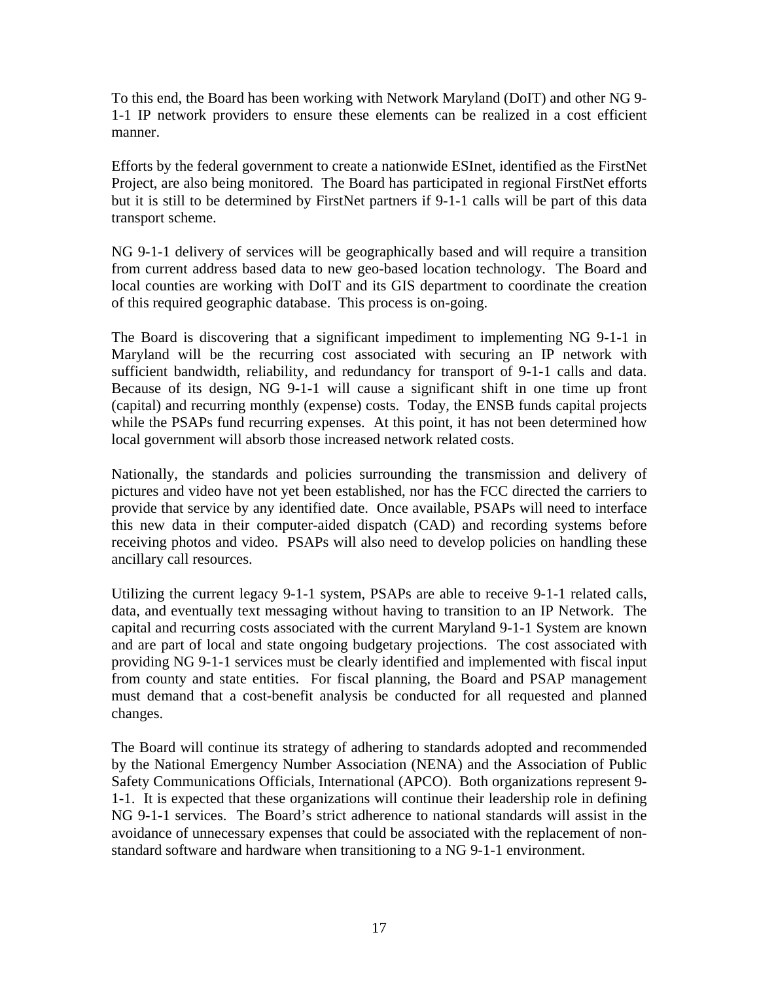To this end, the Board has been working with Network Maryland (DoIT) and other NG 9- 1-1 IP network providers to ensure these elements can be realized in a cost efficient manner.

Efforts by the federal government to create a nationwide ESInet, identified as the FirstNet Project, are also being monitored. The Board has participated in regional FirstNet efforts but it is still to be determined by FirstNet partners if 9-1-1 calls will be part of this data transport scheme.

NG 9-1-1 delivery of services will be geographically based and will require a transition from current address based data to new geo-based location technology. The Board and local counties are working with DoIT and its GIS department to coordinate the creation of this required geographic database. This process is on-going.

The Board is discovering that a significant impediment to implementing NG 9-1-1 in Maryland will be the recurring cost associated with securing an IP network with sufficient bandwidth, reliability, and redundancy for transport of 9-1-1 calls and data. Because of its design, NG 9-1-1 will cause a significant shift in one time up front (capital) and recurring monthly (expense) costs. Today, the ENSB funds capital projects while the PSAPs fund recurring expenses. At this point, it has not been determined how local government will absorb those increased network related costs.

Nationally, the standards and policies surrounding the transmission and delivery of pictures and video have not yet been established, nor has the FCC directed the carriers to provide that service by any identified date. Once available, PSAPs will need to interface this new data in their computer-aided dispatch (CAD) and recording systems before receiving photos and video. PSAPs will also need to develop policies on handling these ancillary call resources.

Utilizing the current legacy 9-1-1 system, PSAPs are able to receive 9-1-1 related calls, data, and eventually text messaging without having to transition to an IP Network. The capital and recurring costs associated with the current Maryland 9-1-1 System are known and are part of local and state ongoing budgetary projections. The cost associated with providing NG 9-1-1 services must be clearly identified and implemented with fiscal input from county and state entities. For fiscal planning, the Board and PSAP management must demand that a cost-benefit analysis be conducted for all requested and planned changes.

The Board will continue its strategy of adhering to standards adopted and recommended by the National Emergency Number Association (NENA) and the Association of Public Safety Communications Officials, International (APCO). Both organizations represent 9- 1-1. It is expected that these organizations will continue their leadership role in defining NG 9-1-1 services. The Board's strict adherence to national standards will assist in the avoidance of unnecessary expenses that could be associated with the replacement of nonstandard software and hardware when transitioning to a NG 9-1-1 environment.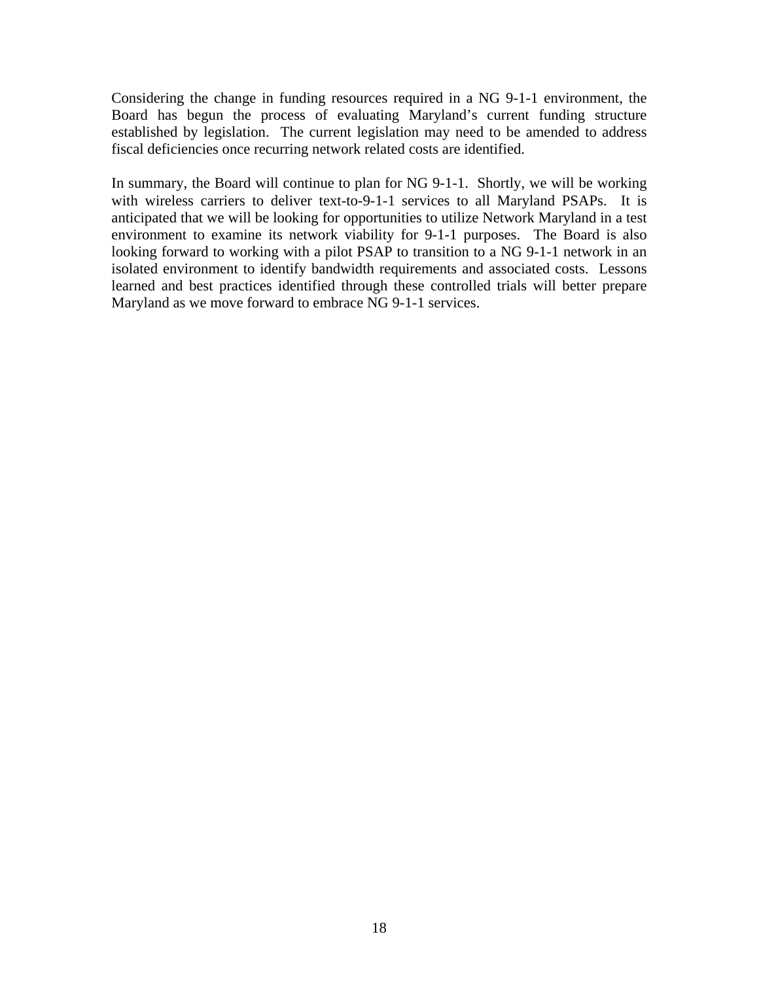Considering the change in funding resources required in a NG 9-1-1 environment, the Board has begun the process of evaluating Maryland's current funding structure established by legislation. The current legislation may need to be amended to address fiscal deficiencies once recurring network related costs are identified.

In summary, the Board will continue to plan for NG 9-1-1. Shortly, we will be working with wireless carriers to deliver text-to-9-1-1 services to all Maryland PSAPs. It is anticipated that we will be looking for opportunities to utilize Network Maryland in a test environment to examine its network viability for 9-1-1 purposes. The Board is also looking forward to working with a pilot PSAP to transition to a NG 9-1-1 network in an isolated environment to identify bandwidth requirements and associated costs. Lessons learned and best practices identified through these controlled trials will better prepare Maryland as we move forward to embrace NG 9-1-1 services.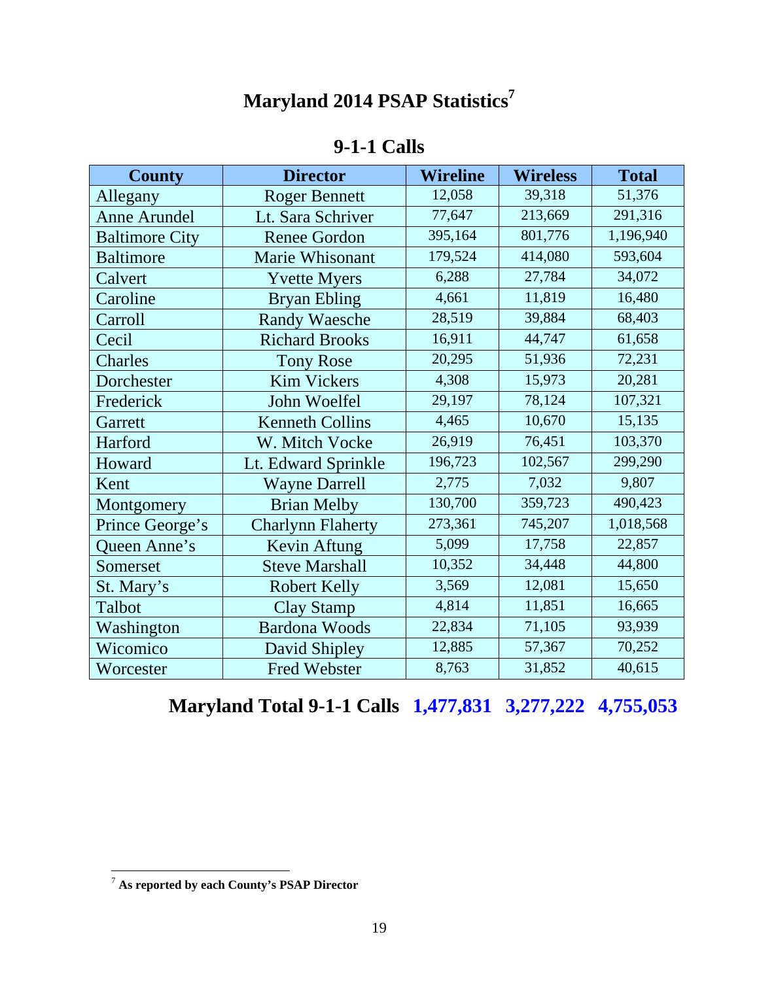# **Maryland 2014 PSAP Statistics7**

# **9-1-1 Calls**

| <b>County</b>         | <b>Director</b>          | <b>Wireline</b> | <b>Wireless</b> | <b>Total</b> |
|-----------------------|--------------------------|-----------------|-----------------|--------------|
| Allegany              | <b>Roger Bennett</b>     | 12,058          | 39,318          | 51,376       |
| <b>Anne Arundel</b>   | Lt. Sara Schriver        | 77,647          | 213,669         | 291,316      |
| <b>Baltimore City</b> | <b>Renee Gordon</b>      | 395,164         | 801,776         | 1,196,940    |
| <b>Baltimore</b>      | Marie Whisonant          | 179,524         | 414,080         | 593,604      |
| Calvert               | <b>Yvette Myers</b>      | 6,288           | 27,784          | 34,072       |
| Caroline              | <b>Bryan Ebling</b>      | 4,661           | 11,819          | 16,480       |
| Carroll               | <b>Randy Waesche</b>     | 28,519          | 39,884          | 68,403       |
| Cecil                 | <b>Richard Brooks</b>    | 16,911          | 44,747          | 61,658       |
| Charles               | <b>Tony Rose</b>         | 20,295          | 51,936          | 72,231       |
| Dorchester            | <b>Kim Vickers</b>       | 4,308           | 15,973          | 20,281       |
| Frederick             | John Woelfel             | 29,197          | 78,124          | 107,321      |
| Garrett               | <b>Kenneth Collins</b>   | 4,465           | 10,670          | 15,135       |
| Harford               | W. Mitch Vocke           | 26,919          | 76,451          | 103,370      |
| Howard                | Lt. Edward Sprinkle      | 196,723         | 102,567         | 299,290      |
| Kent                  | <b>Wayne Darrell</b>     | 2,775           | 7,032           | 9,807        |
| Montgomery            | <b>Brian Melby</b>       | 130,700         | 359,723         | 490,423      |
| Prince George's       | <b>Charlynn Flaherty</b> | 273,361         | 745,207         | 1,018,568    |
| Queen Anne's          | Kevin Aftung             | 5,099           | 17,758          | 22,857       |
| Somerset              | <b>Steve Marshall</b>    | 10,352          | 34,448          | 44,800       |
| St. Mary's            | <b>Robert Kelly</b>      | 3,569           | 12,081          | 15,650       |
| Talbot                | <b>Clay Stamp</b>        | 4,814           | 11,851          | 16,665       |
| Washington            | <b>Bardona Woods</b>     | 22,834          | 71,105          | 93,939       |
| Wicomico              | David Shipley            | 12,885          | 57,367          | 70,252       |
| Worcester             | <b>Fred Webster</b>      | 8,763           | 31,852          | 40,615       |

**Maryland Total 9-1-1 Calls 1,477,831 3,277,222 4,755,053**

 $\overline{a}$ 

<sup>7</sup> **As reported by each County's PSAP Director**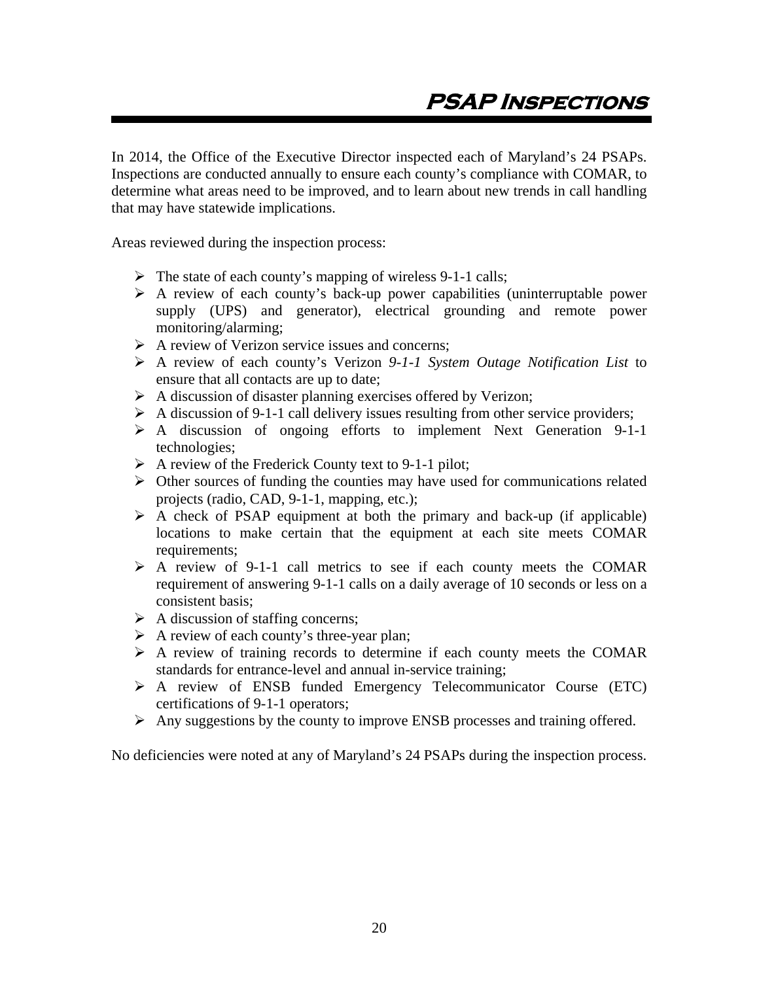In 2014, the Office of the Executive Director inspected each of Maryland's 24 PSAPs. Inspections are conducted annually to ensure each county's compliance with COMAR, to determine what areas need to be improved, and to learn about new trends in call handling that may have statewide implications.

Areas reviewed during the inspection process:

- $\triangleright$  The state of each county's mapping of wireless 9-1-1 calls;
- $\triangleright$  A review of each county's back-up power capabilities (uninterruptable power supply (UPS) and generator), electrical grounding and remote power monitoring/alarming;
- $\triangleright$  A review of Verizon service issues and concerns;
- A review of each county's Verizon *9-1-1 System Outage Notification List* to ensure that all contacts are up to date;
- $\triangleright$  A discussion of disaster planning exercises offered by Verizon;
- $\triangleright$  A discussion of 9-1-1 call delivery issues resulting from other service providers;
- A discussion of ongoing efforts to implement Next Generation 9-1-1 technologies;
- A review of the Frederick County text to 9-1-1 pilot;
- $\triangleright$  Other sources of funding the counties may have used for communications related projects (radio, CAD, 9-1-1, mapping, etc.);
- $\triangleright$  A check of PSAP equipment at both the primary and back-up (if applicable) locations to make certain that the equipment at each site meets COMAR requirements;
- $\triangleright$  A review of 9-1-1 call metrics to see if each county meets the COMAR requirement of answering 9-1-1 calls on a daily average of 10 seconds or less on a consistent basis;
- $\triangleright$  A discussion of staffing concerns;
- $\triangleright$  A review of each county's three-year plan;
- $\triangleright$  A review of training records to determine if each county meets the COMAR standards for entrance-level and annual in-service training;
- A review of ENSB funded Emergency Telecommunicator Course (ETC) certifications of 9-1-1 operators;
- $\triangleright$  Any suggestions by the county to improve ENSB processes and training offered.

No deficiencies were noted at any of Maryland's 24 PSAPs during the inspection process.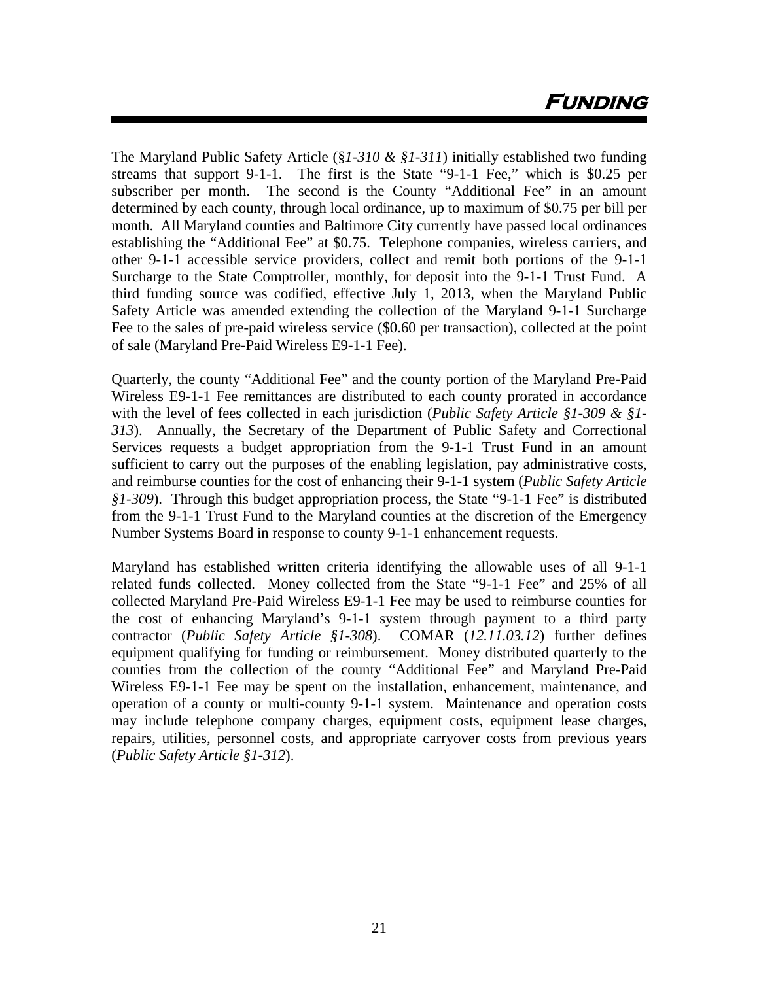# **Funding**

The Maryland Public Safety Article (§*1-310 & §1-311*) initially established two funding streams that support 9-1-1. The first is the State "9-1-1 Fee," which is \$0.25 per subscriber per month. The second is the County "Additional Fee" in an amount determined by each county, through local ordinance, up to maximum of \$0.75 per bill per month. All Maryland counties and Baltimore City currently have passed local ordinances establishing the "Additional Fee" at \$0.75. Telephone companies, wireless carriers, and other 9-1-1 accessible service providers, collect and remit both portions of the 9-1-1 Surcharge to the State Comptroller, monthly, for deposit into the 9-1-1 Trust Fund. A third funding source was codified, effective July 1, 2013, when the Maryland Public Safety Article was amended extending the collection of the Maryland 9-1-1 Surcharge Fee to the sales of pre-paid wireless service (\$0.60 per transaction), collected at the point of sale (Maryland Pre-Paid Wireless E9-1-1 Fee).

Quarterly, the county "Additional Fee" and the county portion of the Maryland Pre-Paid Wireless E9-1-1 Fee remittances are distributed to each county prorated in accordance with the level of fees collected in each jurisdiction (*Public Safety Article §1-309 & §1- 313*). Annually, the Secretary of the Department of Public Safety and Correctional Services requests a budget appropriation from the 9-1-1 Trust Fund in an amount sufficient to carry out the purposes of the enabling legislation, pay administrative costs, and reimburse counties for the cost of enhancing their 9-1-1 system (*Public Safety Article §1-309*). Through this budget appropriation process, the State "9-1-1 Fee" is distributed from the 9-1-1 Trust Fund to the Maryland counties at the discretion of the Emergency Number Systems Board in response to county 9-1-1 enhancement requests.

Maryland has established written criteria identifying the allowable uses of all 9-1-1 related funds collected. Money collected from the State "9-1-1 Fee" and 25% of all collected Maryland Pre-Paid Wireless E9-1-1 Fee may be used to reimburse counties for the cost of enhancing Maryland's 9-1-1 system through payment to a third party contractor (*Public Safety Article §1-308*). COMAR (*12.11.03.12*) further defines equipment qualifying for funding or reimbursement. Money distributed quarterly to the counties from the collection of the county "Additional Fee" and Maryland Pre-Paid Wireless E9-1-1 Fee may be spent on the installation, enhancement, maintenance, and operation of a county or multi-county 9-1-1 system. Maintenance and operation costs may include telephone company charges, equipment costs, equipment lease charges, repairs, utilities, personnel costs, and appropriate carryover costs from previous years (*Public Safety Article §1-312*).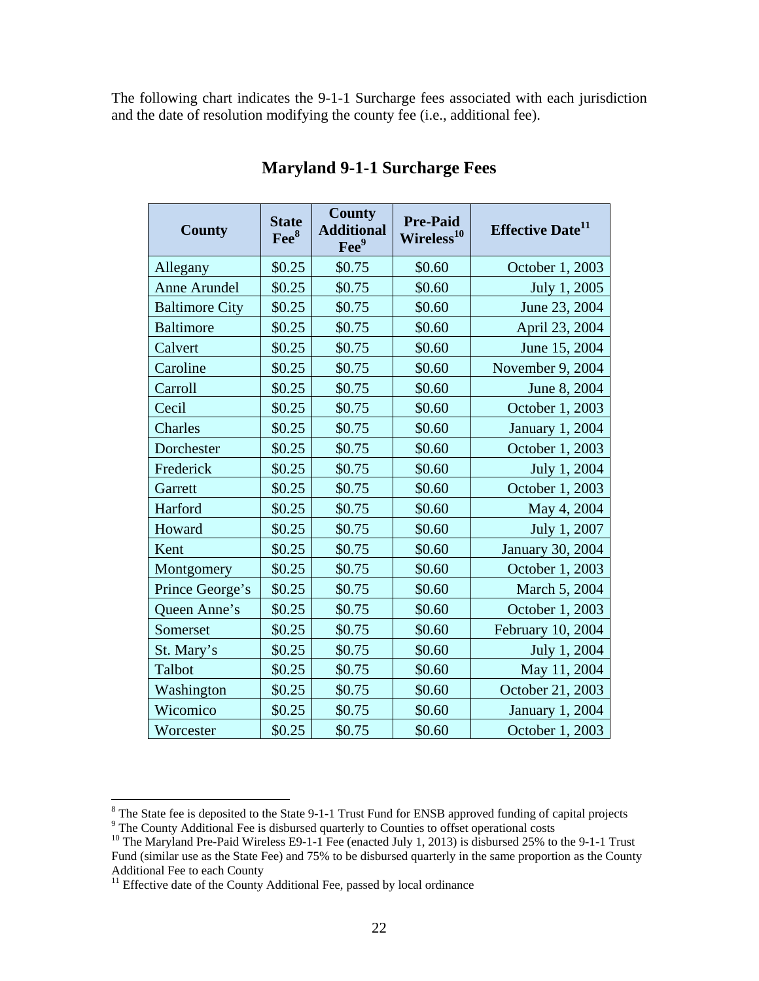The following chart indicates the 9-1-1 Surcharge fees associated with each jurisdiction and the date of resolution modifying the county fee (i.e., additional fee).

| <b>County</b>         | <b>State</b><br>Fee <sup>8</sup> | <b>County</b><br><b>Additional</b><br>Fee <sup>9</sup> | <b>Pre-Paid</b><br>Wireless <sup>10</sup> | <b>Effective Date</b> <sup>11</sup> |
|-----------------------|----------------------------------|--------------------------------------------------------|-------------------------------------------|-------------------------------------|
| Allegany              | \$0.25                           | \$0.75                                                 | \$0.60                                    | October 1, 2003                     |
| <b>Anne Arundel</b>   | \$0.25                           | \$0.75                                                 | \$0.60                                    | July 1, 2005                        |
| <b>Baltimore City</b> | \$0.25                           | \$0.75                                                 | \$0.60                                    | June 23, 2004                       |
| <b>Baltimore</b>      | \$0.25                           | \$0.75                                                 | \$0.60                                    | April 23, 2004                      |
| Calvert               | \$0.25                           | \$0.75                                                 | \$0.60                                    | June 15, 2004                       |
| Caroline              | \$0.25                           | \$0.75                                                 | \$0.60                                    | November 9, 2004                    |
| Carroll               | \$0.25                           | \$0.75                                                 | \$0.60                                    | June 8, 2004                        |
| Cecil                 | \$0.25                           | \$0.75                                                 | \$0.60                                    | October 1, 2003                     |
| Charles               | \$0.25                           | \$0.75                                                 | \$0.60                                    | <b>January 1, 2004</b>              |
| Dorchester            | \$0.25                           | \$0.75                                                 | \$0.60                                    | October 1, 2003                     |
| Frederick             | \$0.25                           | \$0.75                                                 | \$0.60                                    | July 1, 2004                        |
| Garrett               | \$0.25                           | \$0.75                                                 | \$0.60                                    | October 1, 2003                     |
| Harford               | \$0.25                           | \$0.75                                                 | \$0.60                                    | May 4, 2004                         |
| Howard                | \$0.25                           | \$0.75                                                 | \$0.60                                    | July 1, 2007                        |
| Kent                  | \$0.25                           | \$0.75                                                 | \$0.60                                    | January 30, 2004                    |
| Montgomery            | \$0.25                           | \$0.75                                                 | \$0.60                                    | October 1, 2003                     |
| Prince George's       | \$0.25                           | \$0.75                                                 | \$0.60                                    | March 5, 2004                       |
| Queen Anne's          | \$0.25                           | \$0.75                                                 | \$0.60                                    | October 1, 2003                     |
| Somerset              | \$0.25                           | \$0.75                                                 | \$0.60                                    | February 10, 2004                   |
| St. Mary's            | \$0.25                           | \$0.75                                                 | \$0.60                                    | July 1, 2004                        |
| Talbot                | \$0.25                           | \$0.75                                                 | \$0.60                                    | May 11, 2004                        |
| Washington            | \$0.25                           | \$0.75                                                 | \$0.60                                    | October 21, 2003                    |
| Wicomico              | \$0.25                           | \$0.75                                                 | \$0.60                                    | January 1, 2004                     |
| Worcester             | \$0.25                           | \$0.75                                                 | \$0.60                                    | October 1, 2003                     |

## **Maryland 9-1-1 Surcharge Fees**

<sup>&</sup>lt;sup>8</sup> The State fee is deposited to the State 9-1-1 Trust Fund for ENSB approved funding of capital projects  $9^9$  The County Additional Fee is disbursed quarterly to Counties to offset operational costs  $10^9$  The Maryland

Fund (similar use as the State Fee) and 75% to be disbursed quarterly in the same proportion as the County Additional Fee to each County

 $11$  Effective date of the County Additional Fee, passed by local ordinance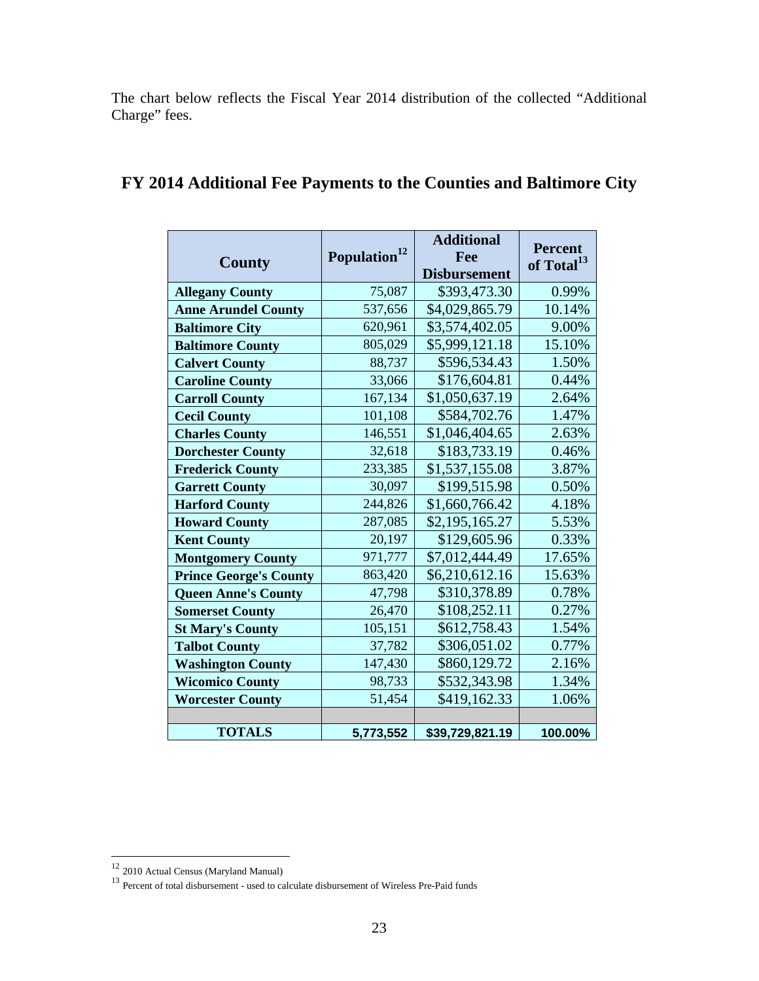The chart below reflects the Fiscal Year 2014 distribution of the collected "Additional Charge" fees.

| <b>County</b>                 | Population <sup>12</sup> | <b>Additional</b><br>Fee<br><b>Disbursement</b> | <b>Percent</b><br>of Total <sup>13</sup> |
|-------------------------------|--------------------------|-------------------------------------------------|------------------------------------------|
| <b>Allegany County</b>        | 75,087                   | \$393,473.30                                    | 0.99%                                    |
| <b>Anne Arundel County</b>    | 537,656                  | \$4,029,865.79                                  | 10.14%                                   |
| <b>Baltimore City</b>         | 620,961                  | \$3,574,402.05                                  | 9.00%                                    |
| <b>Baltimore County</b>       | 805,029                  | \$5,999,121.18                                  | 15.10%                                   |
| <b>Calvert County</b>         | 88,737                   | \$596,534.43                                    | 1.50%                                    |
| <b>Caroline County</b>        | 33,066                   | \$176,604.81                                    | 0.44%                                    |
| <b>Carroll County</b>         | 167,134                  | \$1,050,637.19                                  | 2.64%                                    |
| <b>Cecil County</b>           | 101,108                  | \$584,702.76                                    | 1.47%                                    |
| <b>Charles County</b>         | 146,551                  | \$1,046,404.65                                  | 2.63%                                    |
| <b>Dorchester County</b>      | 32,618                   | \$183,733.19                                    | 0.46%                                    |
| <b>Frederick County</b>       | 233,385                  | \$1,537,155.08                                  | 3.87%                                    |
| <b>Garrett County</b>         | 30,097                   | \$199,515.98                                    | 0.50%                                    |
| <b>Harford County</b>         | 244,826                  | \$1,660,766.42                                  | 4.18%                                    |
| <b>Howard County</b>          | 287,085                  | \$2,195,165.27                                  | 5.53%                                    |
| <b>Kent County</b>            | 20,197                   | \$129,605.96                                    | 0.33%                                    |
| <b>Montgomery County</b>      | 971,777                  | \$7,012,444.49                                  | 17.65%                                   |
| <b>Prince George's County</b> | 863,420                  | \$6,210,612.16                                  | 15.63%                                   |
| <b>Queen Anne's County</b>    | 47,798                   | \$310,378.89                                    | 0.78%                                    |
| <b>Somerset County</b>        | 26,470                   | \$108,252.11                                    | 0.27%                                    |
| <b>St Mary's County</b>       | 105,151                  | \$612,758.43                                    | 1.54%                                    |
| <b>Talbot County</b>          | 37,782                   | \$306,051.02                                    | 0.77%                                    |
| <b>Washington County</b>      | 147,430                  | \$860,129.72                                    | 2.16%                                    |
| <b>Wicomico County</b>        | 98,733                   | \$532,343.98                                    | 1.34%                                    |
| <b>Worcester County</b>       | 51,454                   | \$419,162.33                                    | 1.06%                                    |
|                               |                          |                                                 |                                          |
| <b>TOTALS</b>                 | 5,773,552                | \$39,729,821.19                                 | 100.00%                                  |

# **FY 2014 Additional Fee Payments to the Counties and Baltimore City**

 $\overline{a}$ 

<sup>&</sup>lt;sup>12</sup> 2010 Actual Census (Maryland Manual)

<sup>&</sup>lt;sup>13</sup> Percent of total disbursement - used to calculate disbursement of Wireless Pre-Paid funds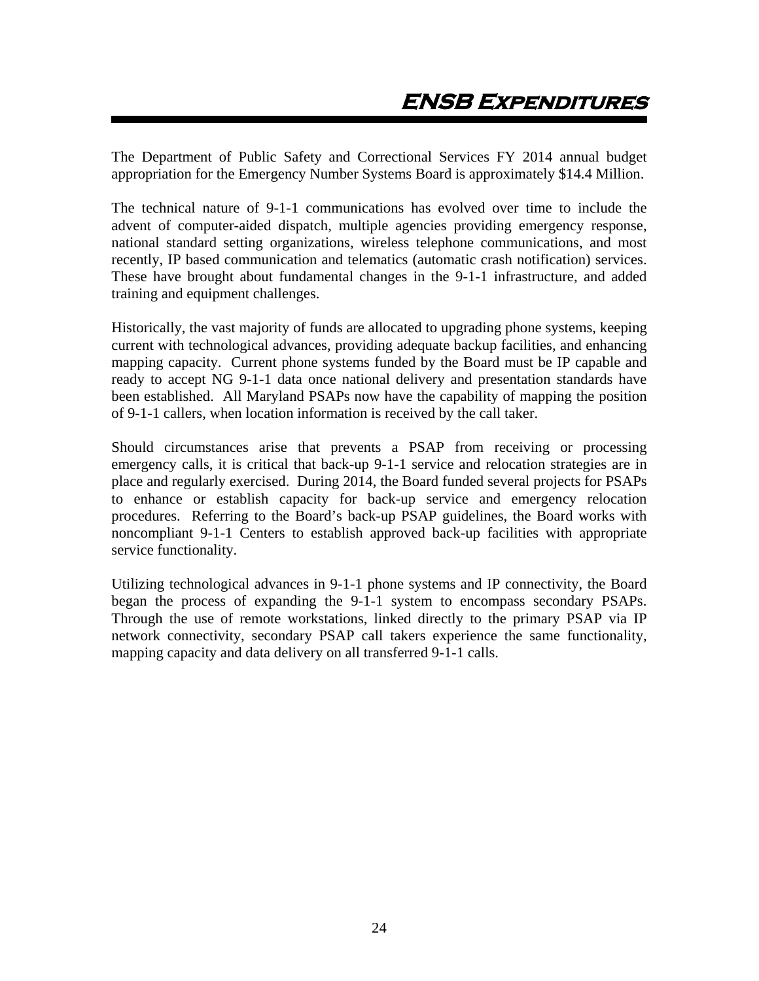The Department of Public Safety and Correctional Services FY 2014 annual budget appropriation for the Emergency Number Systems Board is approximately \$14.4 Million.

The technical nature of 9-1-1 communications has evolved over time to include the advent of computer-aided dispatch, multiple agencies providing emergency response, national standard setting organizations, wireless telephone communications, and most recently, IP based communication and telematics (automatic crash notification) services. These have brought about fundamental changes in the 9-1-1 infrastructure, and added training and equipment challenges.

Historically, the vast majority of funds are allocated to upgrading phone systems, keeping current with technological advances, providing adequate backup facilities, and enhancing mapping capacity. Current phone systems funded by the Board must be IP capable and ready to accept NG 9-1-1 data once national delivery and presentation standards have been established. All Maryland PSAPs now have the capability of mapping the position of 9-1-1 callers, when location information is received by the call taker.

Should circumstances arise that prevents a PSAP from receiving or processing emergency calls, it is critical that back-up 9-1-1 service and relocation strategies are in place and regularly exercised. During 2014, the Board funded several projects for PSAPs to enhance or establish capacity for back-up service and emergency relocation procedures. Referring to the Board's back-up PSAP guidelines, the Board works with noncompliant 9-1-1 Centers to establish approved back-up facilities with appropriate service functionality.

Utilizing technological advances in 9-1-1 phone systems and IP connectivity, the Board began the process of expanding the 9-1-1 system to encompass secondary PSAPs. Through the use of remote workstations, linked directly to the primary PSAP via IP network connectivity, secondary PSAP call takers experience the same functionality, mapping capacity and data delivery on all transferred 9-1-1 calls.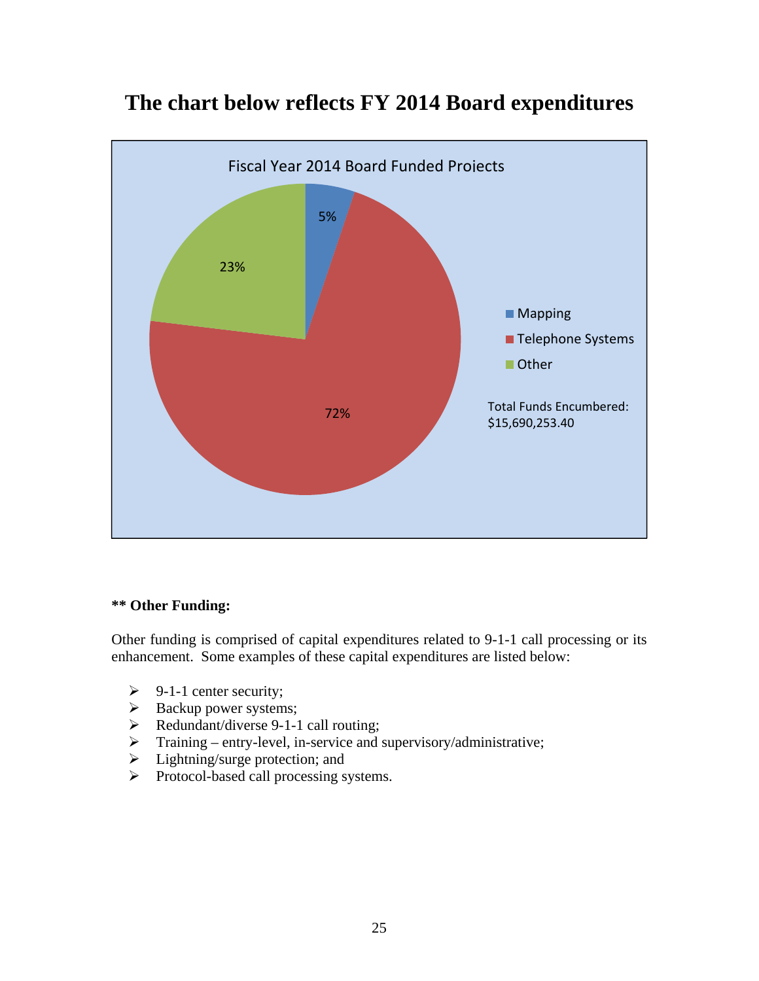

# **The chart below reflects FY 2014 Board expenditures**

### **\*\* Other Funding:**

Other funding is comprised of capital expenditures related to 9-1-1 call processing or its enhancement. Some examples of these capital expenditures are listed below:

- $\triangleright$  9-1-1 center security;
- $\triangleright$  Backup power systems;
- $\triangleright$  Redundant/diverse 9-1-1 call routing;
- $\triangleright$  Training entry-level, in-service and supervisory/administrative;
- $\triangleright$  Lightning/surge protection; and
- > Protocol-based call processing systems.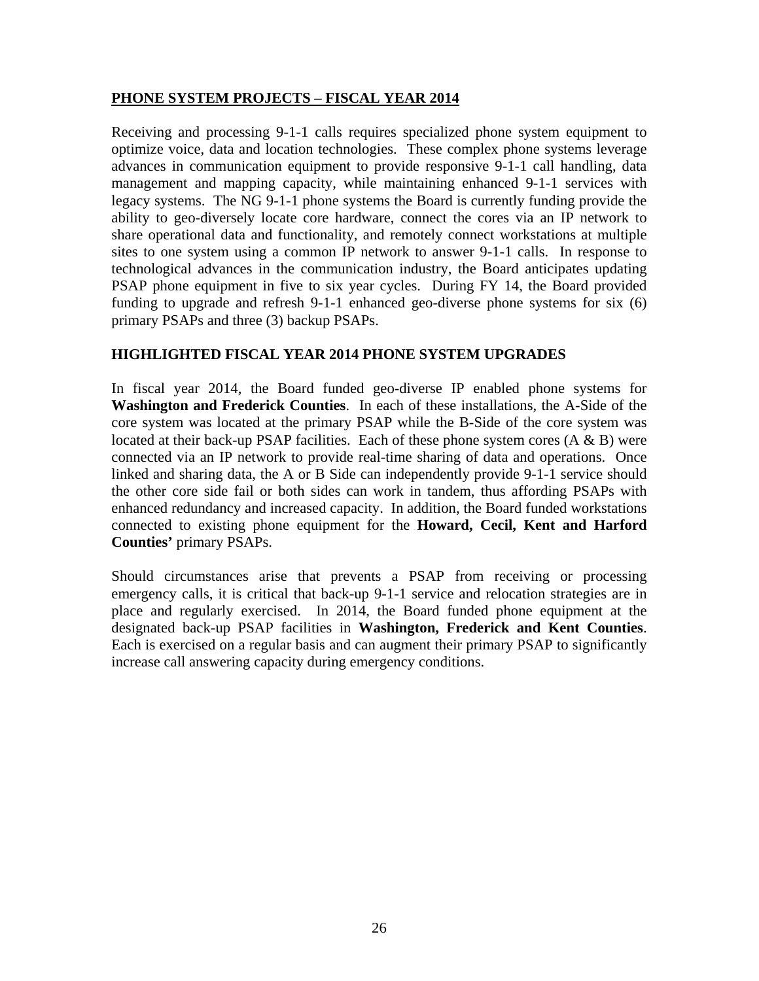#### **PHONE SYSTEM PROJECTS – FISCAL YEAR 2014**

Receiving and processing 9-1-1 calls requires specialized phone system equipment to optimize voice, data and location technologies. These complex phone systems leverage advances in communication equipment to provide responsive 9-1-1 call handling, data management and mapping capacity, while maintaining enhanced 9-1-1 services with legacy systems. The NG 9-1-1 phone systems the Board is currently funding provide the ability to geo-diversely locate core hardware, connect the cores via an IP network to share operational data and functionality, and remotely connect workstations at multiple sites to one system using a common IP network to answer 9-1-1 calls. In response to technological advances in the communication industry, the Board anticipates updating PSAP phone equipment in five to six year cycles. During FY 14, the Board provided funding to upgrade and refresh 9-1-1 enhanced geo-diverse phone systems for six (6) primary PSAPs and three (3) backup PSAPs.

#### **HIGHLIGHTED FISCAL YEAR 2014 PHONE SYSTEM UPGRADES**

In fiscal year 2014, the Board funded geo-diverse IP enabled phone systems for **Washington and Frederick Counties**. In each of these installations, the A-Side of the core system was located at the primary PSAP while the B-Side of the core system was located at their back-up PSAP facilities. Each of these phone system cores  $(A \& B)$  were connected via an IP network to provide real-time sharing of data and operations. Once linked and sharing data, the A or B Side can independently provide 9-1-1 service should the other core side fail or both sides can work in tandem, thus affording PSAPs with enhanced redundancy and increased capacity. In addition, the Board funded workstations connected to existing phone equipment for the **Howard, Cecil, Kent and Harford Counties'** primary PSAPs.

Should circumstances arise that prevents a PSAP from receiving or processing emergency calls, it is critical that back-up 9-1-1 service and relocation strategies are in place and regularly exercised. In 2014, the Board funded phone equipment at the designated back-up PSAP facilities in **Washington, Frederick and Kent Counties**. Each is exercised on a regular basis and can augment their primary PSAP to significantly increase call answering capacity during emergency conditions.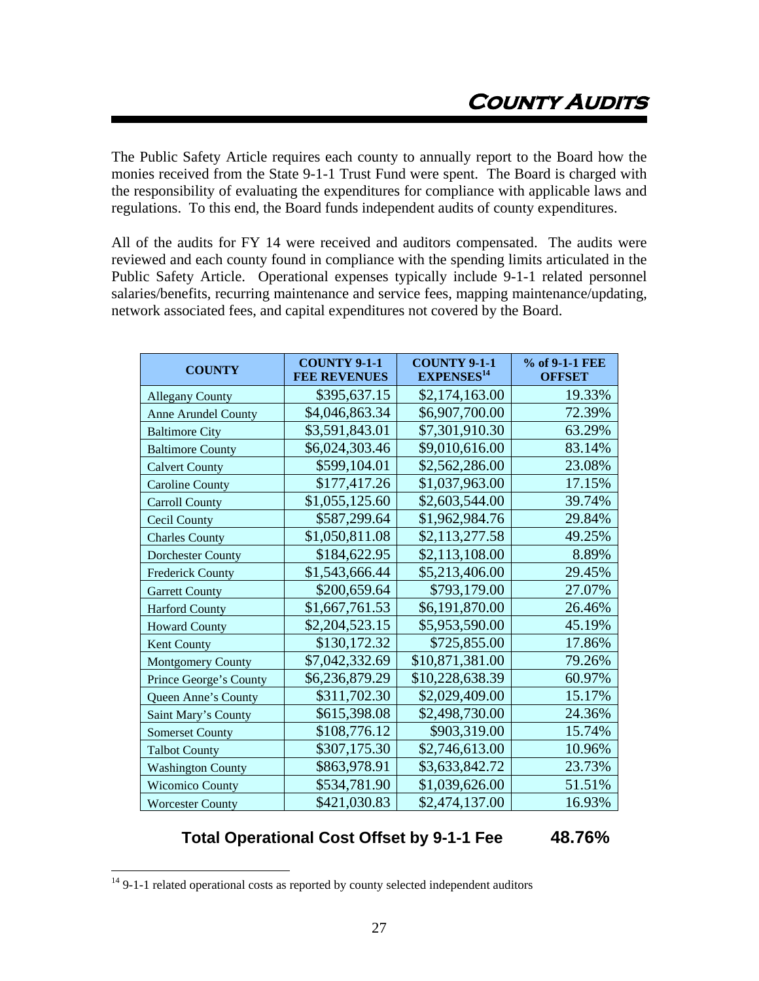The Public Safety Article requires each county to annually report to the Board how the monies received from the State 9-1-1 Trust Fund were spent. The Board is charged with the responsibility of evaluating the expenditures for compliance with applicable laws and regulations. To this end, the Board funds independent audits of county expenditures.

All of the audits for FY 14 were received and auditors compensated. The audits were reviewed and each county found in compliance with the spending limits articulated in the Public Safety Article. Operational expenses typically include 9-1-1 related personnel salaries/benefits, recurring maintenance and service fees, mapping maintenance/updating, network associated fees, and capital expenditures not covered by the Board.

| <b>COUNTY</b>              | <b>COUNTY 9-1-1</b><br><b>FEE REVENUES</b> | <b>COUNTY 9-1-1</b><br><b>EXPENSES</b> <sup>14</sup> | % of 9-1-1 FEE<br><b>OFFSET</b> |
|----------------------------|--------------------------------------------|------------------------------------------------------|---------------------------------|
| <b>Allegany County</b>     | \$395,637.15                               | \$2,174,163.00                                       | 19.33%                          |
| <b>Anne Arundel County</b> | \$4,046,863.34                             | \$6,907,700.00                                       | 72.39%                          |
| <b>Baltimore City</b>      | \$3,591,843.01                             | \$7,301,910.30                                       | 63.29%                          |
| <b>Baltimore County</b>    | \$6,024,303.46                             | \$9,010,616.00                                       | 83.14%                          |
| <b>Calvert County</b>      | \$599,104.01                               | \$2,562,286.00                                       | 23.08%                          |
| <b>Caroline County</b>     | \$177,417.26                               | \$1,037,963.00                                       | 17.15%                          |
| <b>Carroll County</b>      | \$1,055,125.60                             | \$2,603,544.00                                       | 39.74%                          |
| Cecil County               | \$587,299.64                               | \$1,962,984.76                                       | 29.84%                          |
| <b>Charles County</b>      | \$1,050,811.08                             | \$2,113,277.58                                       | 49.25%                          |
| <b>Dorchester County</b>   | \$184,622.95                               | \$2,113,108.00                                       | 8.89%                           |
| <b>Frederick County</b>    | \$1,543,666.44                             | \$5,213,406.00                                       | 29.45%                          |
| <b>Garrett County</b>      | \$200,659.64                               | \$793,179.00                                         | 27.07%                          |
| <b>Harford County</b>      | \$1,667,761.53                             | \$6,191,870.00                                       | 26.46%                          |
| <b>Howard County</b>       | \$2,204,523.15                             | \$5,953,590.00                                       | 45.19%                          |
| Kent County                | \$130,172.32                               | \$725,855.00                                         | 17.86%                          |
| Montgomery County          | \$7,042,332.69                             | \$10,871,381.00                                      | 79.26%                          |
| Prince George's County     | \$6,236,879.29                             | \$10,228,638.39                                      | 60.97%                          |
| Queen Anne's County        | \$311,702.30                               | \$2,029,409.00                                       | 15.17%                          |
| Saint Mary's County        | \$615,398.08                               | \$2,498,730.00                                       | 24.36%                          |
| <b>Somerset County</b>     | \$108,776.12                               | \$903,319.00                                         | 15.74%                          |
| <b>Talbot County</b>       | \$307,175.30                               | \$2,746,613.00                                       | 10.96%                          |
| <b>Washington County</b>   | \$863,978.91                               | \$3,633,842.72                                       | 23.73%                          |
| <b>Wicomico County</b>     | \$534,781.90                               | \$1,039,626.00                                       | 51.51%                          |
| <b>Worcester County</b>    | \$421,030.83                               | \$2,474,137.00                                       | 16.93%                          |

### **Total Operational Cost Offset by 9-1-1 Fee 48.76%**

 $\overline{a}$ 

 $14$  9-1-1 related operational costs as reported by county selected independent auditors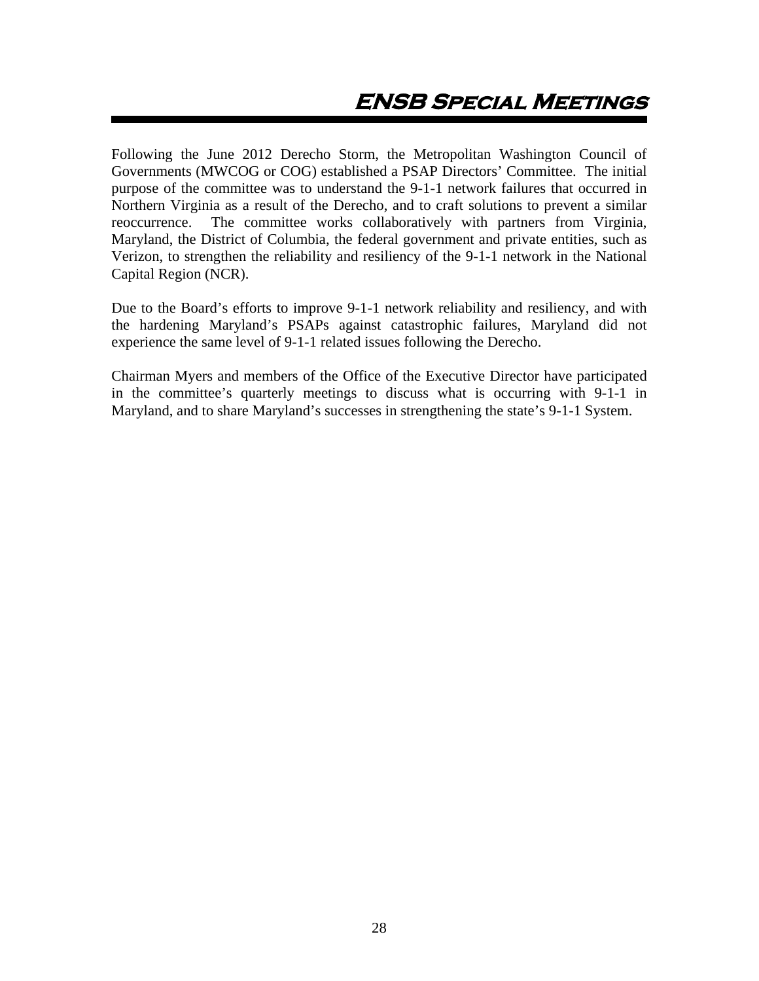Following the June 2012 Derecho Storm, the Metropolitan Washington Council of Governments (MWCOG or COG) established a PSAP Directors' Committee. The initial purpose of the committee was to understand the 9-1-1 network failures that occurred in Northern Virginia as a result of the Derecho, and to craft solutions to prevent a similar reoccurrence. The committee works collaboratively with partners from Virginia, Maryland, the District of Columbia, the federal government and private entities, such as Verizon, to strengthen the reliability and resiliency of the 9-1-1 network in the National Capital Region (NCR).

Due to the Board's efforts to improve 9-1-1 network reliability and resiliency, and with the hardening Maryland's PSAPs against catastrophic failures, Maryland did not experience the same level of 9-1-1 related issues following the Derecho.

Chairman Myers and members of the Office of the Executive Director have participated in the committee's quarterly meetings to discuss what is occurring with 9-1-1 in Maryland, and to share Maryland's successes in strengthening the state's 9-1-1 System.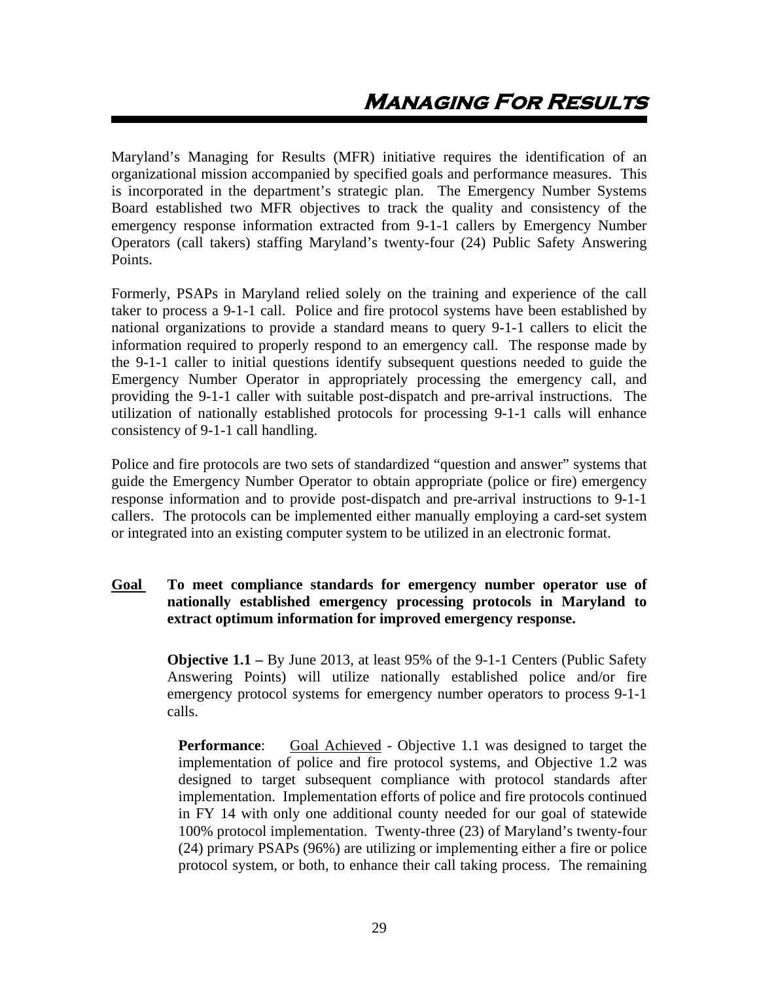Maryland's Managing for Results (MFR) initiative requires the identification of an organizational mission accompanied by specified goals and performance measures. This is incorporated in the department's strategic plan. The Emergency Number Systems Board established two MFR objectives to track the quality and consistency of the emergency response information extracted from 9-1-1 callers by Emergency Number Operators (call takers) staffing Maryland's twenty-four (24) Public Safety Answering Points.

Formerly, PSAPs in Maryland relied solely on the training and experience of the call taker to process a 9-1-1 call. Police and fire protocol systems have been established by national organizations to provide a standard means to query 9-1-1 callers to elicit the information required to properly respond to an emergency call. The response made by the 9-1-1 caller to initial questions identify subsequent questions needed to guide the Emergency Number Operator in appropriately processing the emergency call, and providing the 9-1-1 caller with suitable post-dispatch and pre-arrival instructions. The utilization of nationally established protocols for processing 9-1-1 calls will enhance consistency of 9-1-1 call handling.

Police and fire protocols are two sets of standardized "question and answer" systems that guide the Emergency Number Operator to obtain appropriate (police or fire) emergency response information and to provide post-dispatch and pre-arrival instructions to 9-1-1 callers. The protocols can be implemented either manually employing a card-set system or integrated into an existing computer system to be utilized in an electronic format.

#### **Goal To meet compliance standards for emergency number operator use of nationally established emergency processing protocols in Maryland to extract optimum information for improved emergency response.**

**Objective 1.1 –** By June 2013, at least 95% of the 9-1-1 Centers (Public Safety Answering Points) will utilize nationally established police and/or fire emergency protocol systems for emergency number operators to process 9-1-1 calls.

**Performance:** Goal Achieved - Objective 1.1 was designed to target the implementation of police and fire protocol systems, and Objective 1.2 was designed to target subsequent compliance with protocol standards after implementation. Implementation efforts of police and fire protocols continued in FY 14 with only one additional county needed for our goal of statewide 100% protocol implementation. Twenty-three (23) of Maryland's twenty-four (24) primary PSAPs (96%) are utilizing or implementing either a fire or police protocol system, or both, to enhance their call taking process. The remaining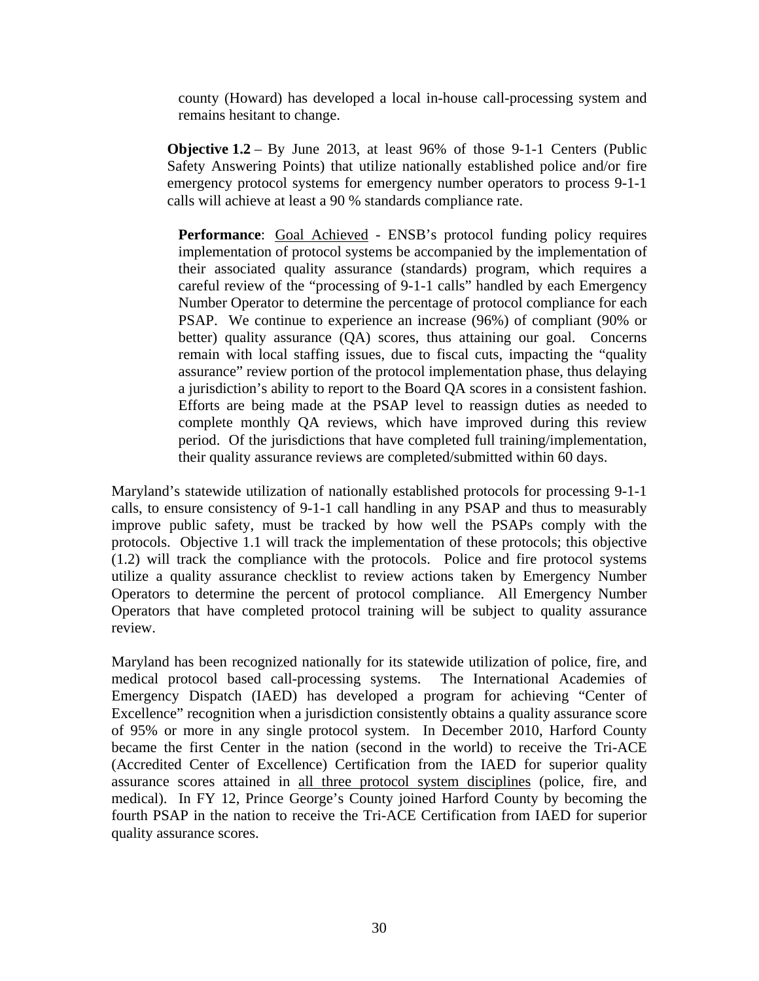county (Howard) has developed a local in-house call-processing system and remains hesitant to change.

**Objective 1.2** – By June 2013, at least 96% of those 9-1-1 Centers (Public Safety Answering Points) that utilize nationally established police and/or fire emergency protocol systems for emergency number operators to process 9-1-1 calls will achieve at least a 90 % standards compliance rate.

Performance: Goal Achieved - ENSB's protocol funding policy requires implementation of protocol systems be accompanied by the implementation of their associated quality assurance (standards) program, which requires a careful review of the "processing of 9-1-1 calls" handled by each Emergency Number Operator to determine the percentage of protocol compliance for each PSAP. We continue to experience an increase (96%) of compliant (90% or better) quality assurance (QA) scores, thus attaining our goal. Concerns remain with local staffing issues, due to fiscal cuts, impacting the "quality assurance" review portion of the protocol implementation phase, thus delaying a jurisdiction's ability to report to the Board QA scores in a consistent fashion. Efforts are being made at the PSAP level to reassign duties as needed to complete monthly QA reviews, which have improved during this review period. Of the jurisdictions that have completed full training/implementation, their quality assurance reviews are completed/submitted within 60 days.

Maryland's statewide utilization of nationally established protocols for processing 9-1-1 calls, to ensure consistency of 9-1-1 call handling in any PSAP and thus to measurably improve public safety, must be tracked by how well the PSAPs comply with the protocols. Objective 1.1 will track the implementation of these protocols; this objective (1.2) will track the compliance with the protocols. Police and fire protocol systems utilize a quality assurance checklist to review actions taken by Emergency Number Operators to determine the percent of protocol compliance. All Emergency Number Operators that have completed protocol training will be subject to quality assurance review.

Maryland has been recognized nationally for its statewide utilization of police, fire, and medical protocol based call-processing systems. The International Academies of Emergency Dispatch (IAED) has developed a program for achieving "Center of Excellence" recognition when a jurisdiction consistently obtains a quality assurance score of 95% or more in any single protocol system. In December 2010, Harford County became the first Center in the nation (second in the world) to receive the Tri-ACE (Accredited Center of Excellence) Certification from the IAED for superior quality assurance scores attained in all three protocol system disciplines (police, fire, and medical). In FY 12, Prince George's County joined Harford County by becoming the fourth PSAP in the nation to receive the Tri-ACE Certification from IAED for superior quality assurance scores.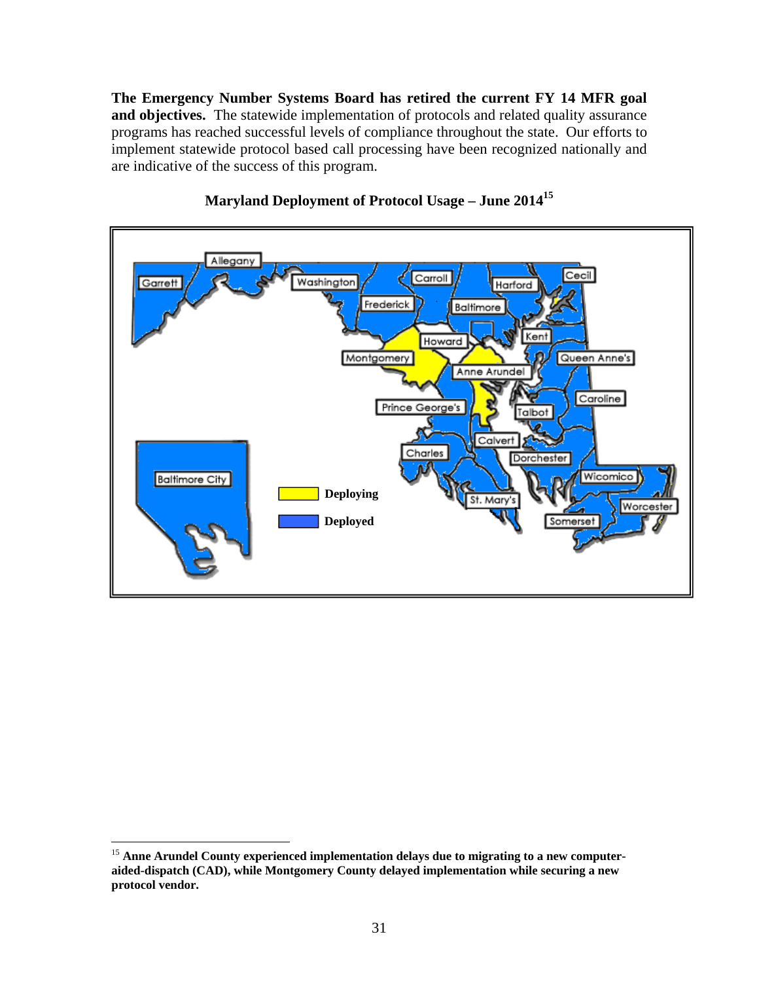**The Emergency Number Systems Board has retired the current FY 14 MFR goal and objectives.** The statewide implementation of protocols and related quality assurance programs has reached successful levels of compliance throughout the state. Our efforts to implement statewide protocol based call processing have been recognized nationally and are indicative of the success of this program.



## **Maryland Deployment of Protocol Usage – June 201415**

 $\overline{a}$ 

<sup>&</sup>lt;sup>15</sup> Anne Arundel County experienced implementation delays due to migrating to a new computer**aided-dispatch (CAD), while Montgomery County delayed implementation while securing a new protocol vendor.**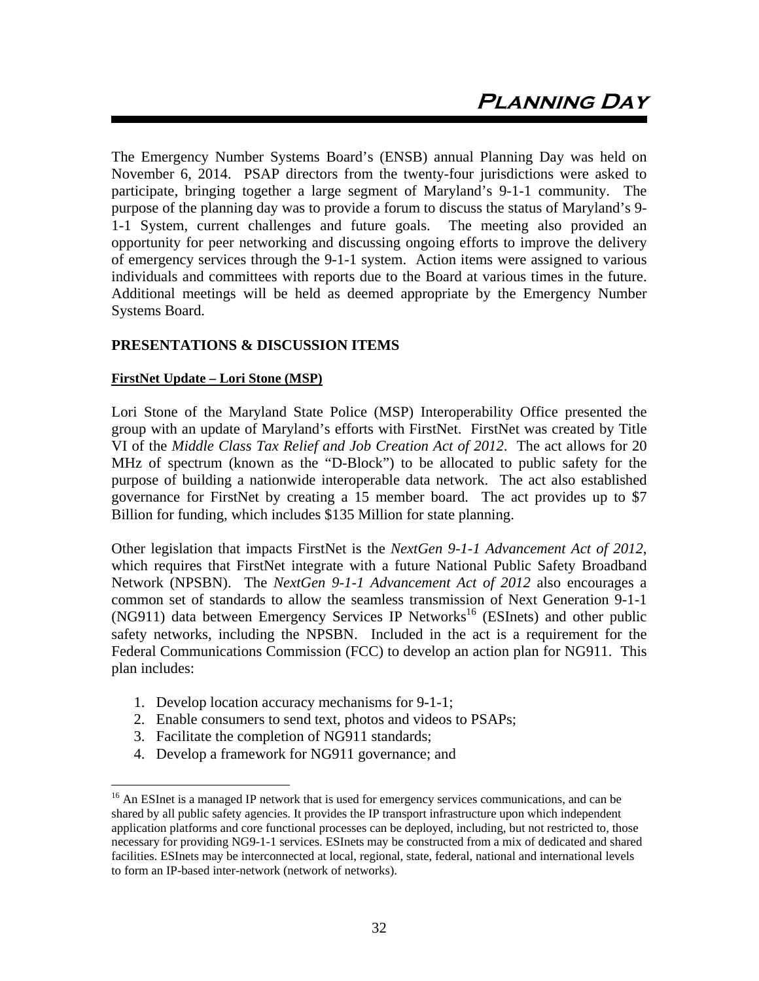The Emergency Number Systems Board's (ENSB) annual Planning Day was held on November 6, 2014. PSAP directors from the twenty-four jurisdictions were asked to participate, bringing together a large segment of Maryland's 9-1-1 community. The purpose of the planning day was to provide a forum to discuss the status of Maryland's 9- 1-1 System, current challenges and future goals. The meeting also provided an opportunity for peer networking and discussing ongoing efforts to improve the delivery of emergency services through the 9-1-1 system. Action items were assigned to various individuals and committees with reports due to the Board at various times in the future. Additional meetings will be held as deemed appropriate by the Emergency Number Systems Board.

#### **PRESENTATIONS & DISCUSSION ITEMS**

#### **FirstNet Update – Lori Stone (MSP)**

Lori Stone of the Maryland State Police (MSP) Interoperability Office presented the group with an update of Maryland's efforts with FirstNet. FirstNet was created by Title VI of the *Middle Class Tax Relief and Job Creation Act of 2012*. The act allows for 20 MHz of spectrum (known as the "D-Block") to be allocated to public safety for the purpose of building a nationwide interoperable data network. The act also established governance for FirstNet by creating a 15 member board. The act provides up to \$7 Billion for funding, which includes \$135 Million for state planning.

Other legislation that impacts FirstNet is the *NextGen 9-1-1 Advancement Act of 2012*, which requires that FirstNet integrate with a future National Public Safety Broadband Network (NPSBN). The *NextGen 9-1-1 Advancement Act of 2012* also encourages a common set of standards to allow the seamless transmission of Next Generation 9-1-1 (NG911) data between Emergency Services IP Networks<sup>16</sup> (ESInets) and other public safety networks, including the NPSBN. Included in the act is a requirement for the Federal Communications Commission (FCC) to develop an action plan for NG911. This plan includes:

- 1. Develop location accuracy mechanisms for 9-1-1;
- 2. Enable consumers to send text, photos and videos to PSAPs;
- 3. Facilitate the completion of NG911 standards;

<u>.</u>

4. Develop a framework for NG911 governance; and

<sup>&</sup>lt;sup>16</sup> An ESInet is a managed IP network that is used for emergency services communications, and can be shared by all public safety agencies. It provides the IP transport infrastructure upon which independent application platforms and core functional processes can be deployed, including, but not restricted to, those necessary for providing NG9-1-1 services. ESInets may be constructed from a mix of dedicated and shared facilities. ESInets may be interconnected at local, regional, state, federal, national and international levels to form an IP-based inter-network (network of networks).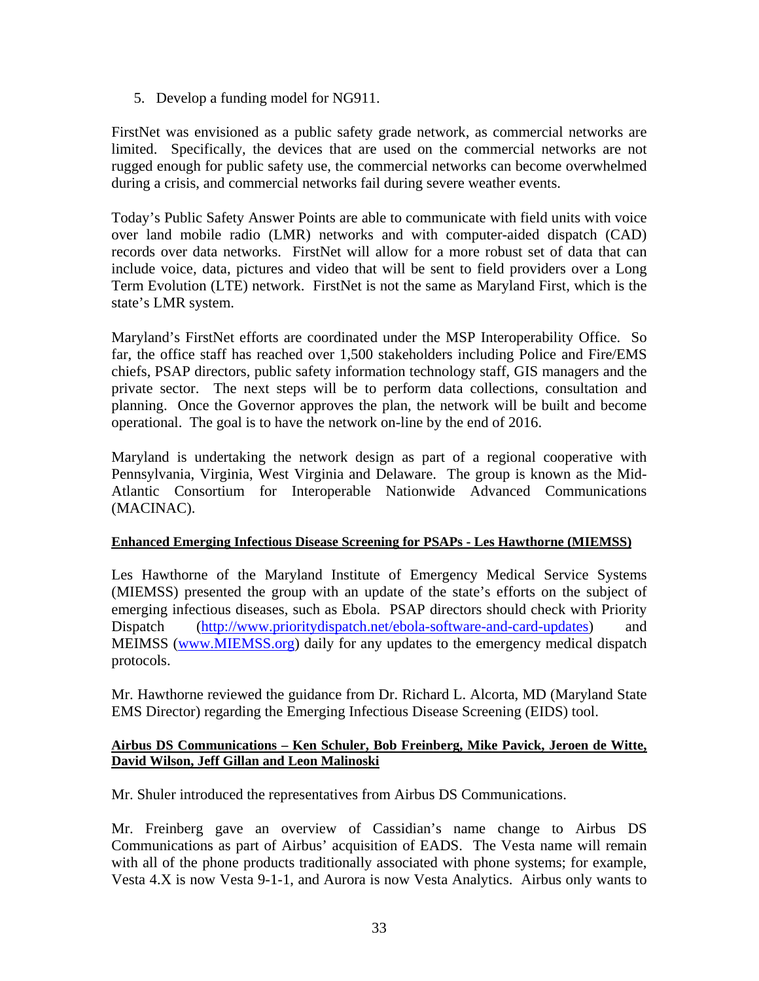5. Develop a funding model for NG911.

FirstNet was envisioned as a public safety grade network, as commercial networks are limited. Specifically, the devices that are used on the commercial networks are not rugged enough for public safety use, the commercial networks can become overwhelmed during a crisis, and commercial networks fail during severe weather events.

Today's Public Safety Answer Points are able to communicate with field units with voice over land mobile radio (LMR) networks and with computer-aided dispatch (CAD) records over data networks. FirstNet will allow for a more robust set of data that can include voice, data, pictures and video that will be sent to field providers over a Long Term Evolution (LTE) network. FirstNet is not the same as Maryland First, which is the state's LMR system.

Maryland's FirstNet efforts are coordinated under the MSP Interoperability Office. So far, the office staff has reached over 1,500 stakeholders including Police and Fire/EMS chiefs, PSAP directors, public safety information technology staff, GIS managers and the private sector. The next steps will be to perform data collections, consultation and planning. Once the Governor approves the plan, the network will be built and become operational. The goal is to have the network on-line by the end of 2016.

Maryland is undertaking the network design as part of a regional cooperative with Pennsylvania, Virginia, West Virginia and Delaware. The group is known as the Mid-Atlantic Consortium for Interoperable Nationwide Advanced Communications (MACINAC).

#### **Enhanced Emerging Infectious Disease Screening for PSAPs - Les Hawthorne (MIEMSS)**

Les Hawthorne of the Maryland Institute of Emergency Medical Service Systems (MIEMSS) presented the group with an update of the state's efforts on the subject of emerging infectious diseases, such as Ebola. PSAP directors should check with Priority Dispatch (http://www.prioritydispatch.net/ebola-software-and-card-updates) and MEIMSS (www.MIEMSS.org) daily for any updates to the emergency medical dispatch protocols.

Mr. Hawthorne reviewed the guidance from Dr. Richard L. Alcorta, MD (Maryland State EMS Director) regarding the Emerging Infectious Disease Screening (EIDS) tool.

#### **Airbus DS Communications – Ken Schuler, Bob Freinberg, Mike Pavick, Jeroen de Witte, David Wilson, Jeff Gillan and Leon Malinoski**

Mr. Shuler introduced the representatives from Airbus DS Communications.

Mr. Freinberg gave an overview of Cassidian's name change to Airbus DS Communications as part of Airbus' acquisition of EADS. The Vesta name will remain with all of the phone products traditionally associated with phone systems; for example, Vesta 4.X is now Vesta 9-1-1, and Aurora is now Vesta Analytics. Airbus only wants to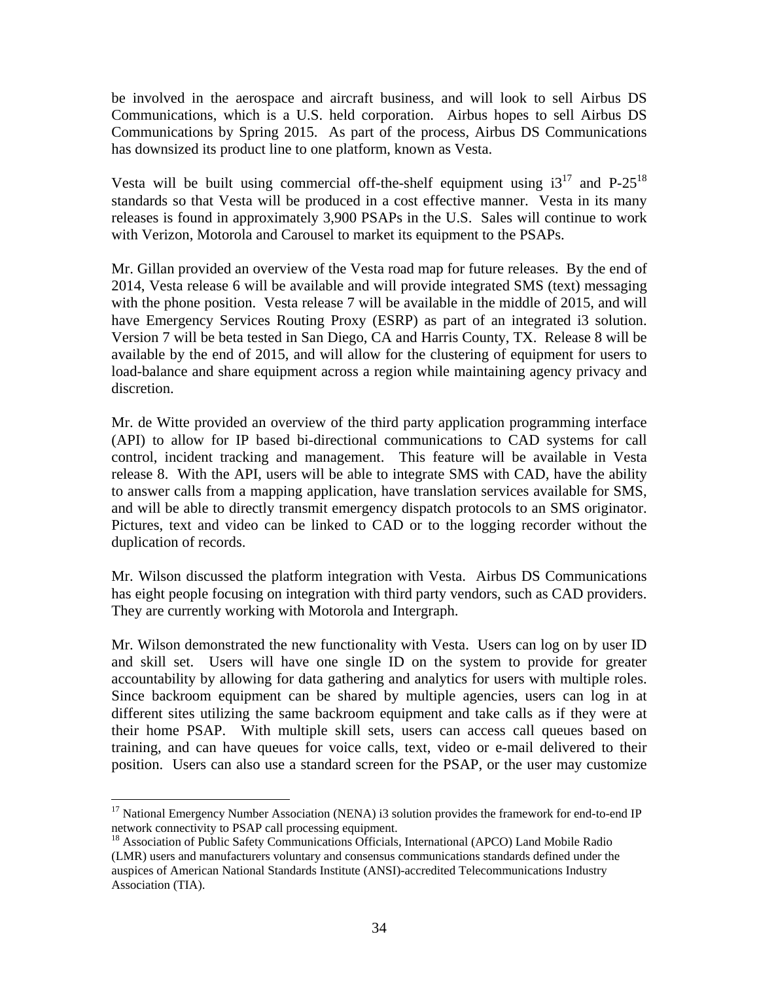be involved in the aerospace and aircraft business, and will look to sell Airbus DS Communications, which is a U.S. held corporation. Airbus hopes to sell Airbus DS Communications by Spring 2015. As part of the process, Airbus DS Communications has downsized its product line to one platform, known as Vesta.

Vesta will be built using commercial off-the-shelf equipment using  $i3^{17}$  and P-25<sup>18</sup> standards so that Vesta will be produced in a cost effective manner. Vesta in its many releases is found in approximately 3,900 PSAPs in the U.S. Sales will continue to work with Verizon, Motorola and Carousel to market its equipment to the PSAPs.

Mr. Gillan provided an overview of the Vesta road map for future releases. By the end of 2014, Vesta release 6 will be available and will provide integrated SMS (text) messaging with the phone position. Vesta release 7 will be available in the middle of 2015, and will have Emergency Services Routing Proxy (ESRP) as part of an integrated i3 solution. Version 7 will be beta tested in San Diego, CA and Harris County, TX. Release 8 will be available by the end of 2015, and will allow for the clustering of equipment for users to load-balance and share equipment across a region while maintaining agency privacy and discretion.

Mr. de Witte provided an overview of the third party application programming interface (API) to allow for IP based bi-directional communications to CAD systems for call control, incident tracking and management. This feature will be available in Vesta release 8. With the API, users will be able to integrate SMS with CAD, have the ability to answer calls from a mapping application, have translation services available for SMS, and will be able to directly transmit emergency dispatch protocols to an SMS originator. Pictures, text and video can be linked to CAD or to the logging recorder without the duplication of records.

Mr. Wilson discussed the platform integration with Vesta. Airbus DS Communications has eight people focusing on integration with third party vendors, such as CAD providers. They are currently working with Motorola and Intergraph.

Mr. Wilson demonstrated the new functionality with Vesta. Users can log on by user ID and skill set. Users will have one single ID on the system to provide for greater accountability by allowing for data gathering and analytics for users with multiple roles. Since backroom equipment can be shared by multiple agencies, users can log in at different sites utilizing the same backroom equipment and take calls as if they were at their home PSAP. With multiple skill sets, users can access call queues based on training, and can have queues for voice calls, text, video or e-mail delivered to their position. Users can also use a standard screen for the PSAP, or the user may customize

1

<sup>&</sup>lt;sup>17</sup> National Emergency Number Association (NENA) i3 solution provides the framework for end-to-end IP network connectivity to PSAP call processing equipment.

<sup>&</sup>lt;sup>18</sup> Association of Public Safety Communications Officials, International (APCO) Land Mobile Radio (LMR) users and manufacturers voluntary and consensus communications standards defined under the auspices of American National Standards Institute (ANSI)-accredited Telecommunications Industry Association (TIA).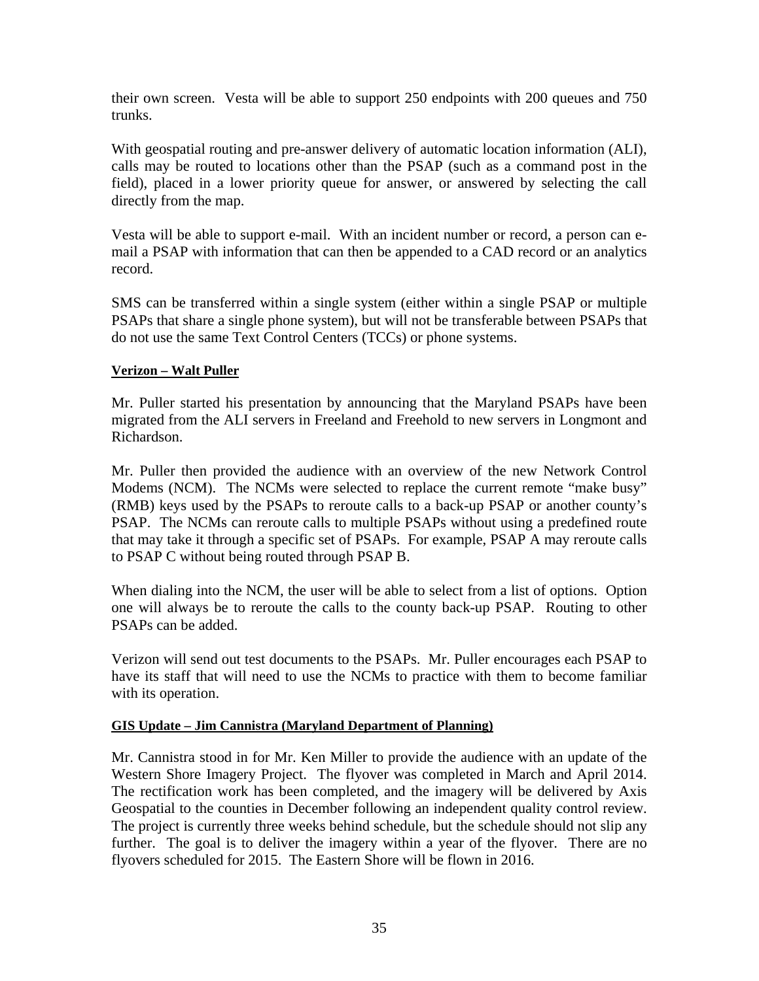their own screen. Vesta will be able to support 250 endpoints with 200 queues and 750 trunks.

With geospatial routing and pre-answer delivery of automatic location information (ALI), calls may be routed to locations other than the PSAP (such as a command post in the field), placed in a lower priority queue for answer, or answered by selecting the call directly from the map.

Vesta will be able to support e-mail. With an incident number or record, a person can email a PSAP with information that can then be appended to a CAD record or an analytics record.

SMS can be transferred within a single system (either within a single PSAP or multiple PSAPs that share a single phone system), but will not be transferable between PSAPs that do not use the same Text Control Centers (TCCs) or phone systems.

#### **Verizon – Walt Puller**

Mr. Puller started his presentation by announcing that the Maryland PSAPs have been migrated from the ALI servers in Freeland and Freehold to new servers in Longmont and Richardson.

Mr. Puller then provided the audience with an overview of the new Network Control Modems (NCM). The NCMs were selected to replace the current remote "make busy" (RMB) keys used by the PSAPs to reroute calls to a back-up PSAP or another county's PSAP. The NCMs can reroute calls to multiple PSAPs without using a predefined route that may take it through a specific set of PSAPs. For example, PSAP A may reroute calls to PSAP C without being routed through PSAP B.

When dialing into the NCM, the user will be able to select from a list of options. Option one will always be to reroute the calls to the county back-up PSAP. Routing to other PSAPs can be added.

Verizon will send out test documents to the PSAPs. Mr. Puller encourages each PSAP to have its staff that will need to use the NCMs to practice with them to become familiar with its operation.

#### **GIS Update – Jim Cannistra (Maryland Department of Planning)**

Mr. Cannistra stood in for Mr. Ken Miller to provide the audience with an update of the Western Shore Imagery Project. The flyover was completed in March and April 2014. The rectification work has been completed, and the imagery will be delivered by Axis Geospatial to the counties in December following an independent quality control review. The project is currently three weeks behind schedule, but the schedule should not slip any further. The goal is to deliver the imagery within a year of the flyover. There are no flyovers scheduled for 2015. The Eastern Shore will be flown in 2016.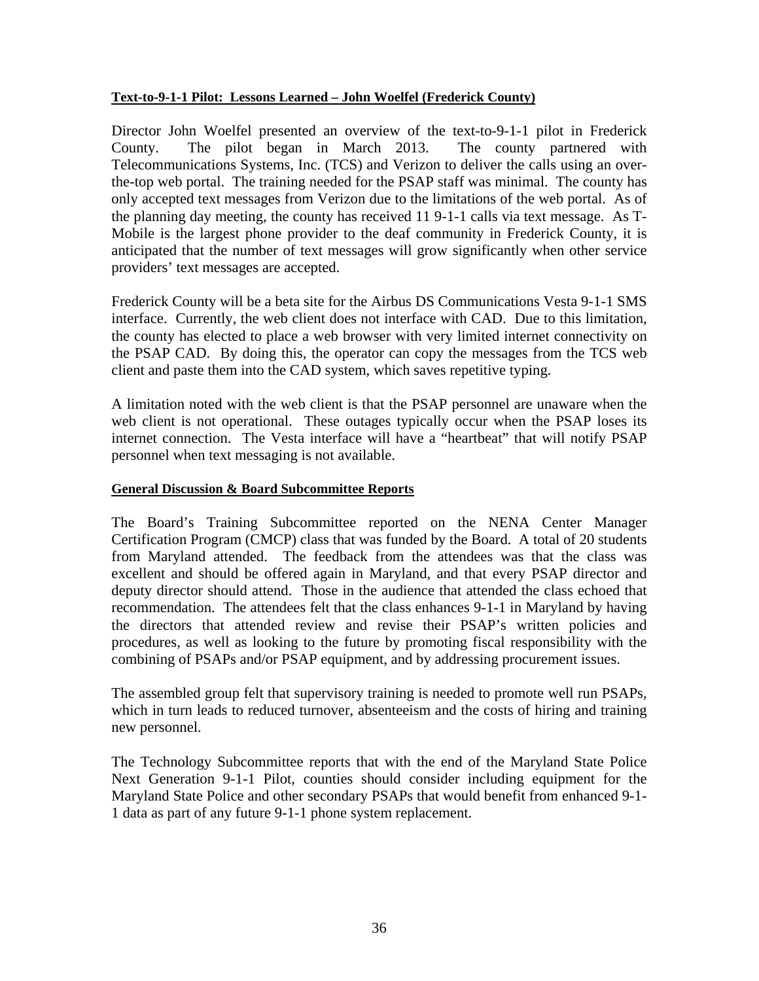#### **Text-to-9-1-1 Pilot: Lessons Learned – John Woelfel (Frederick County)**

Director John Woelfel presented an overview of the text-to-9-1-1 pilot in Frederick County. The pilot began in March 2013. The county partnered with Telecommunications Systems, Inc. (TCS) and Verizon to deliver the calls using an overthe-top web portal. The training needed for the PSAP staff was minimal. The county has only accepted text messages from Verizon due to the limitations of the web portal. As of the planning day meeting, the county has received 11 9-1-1 calls via text message. As T-Mobile is the largest phone provider to the deaf community in Frederick County, it is anticipated that the number of text messages will grow significantly when other service providers' text messages are accepted.

Frederick County will be a beta site for the Airbus DS Communications Vesta 9-1-1 SMS interface. Currently, the web client does not interface with CAD. Due to this limitation, the county has elected to place a web browser with very limited internet connectivity on the PSAP CAD. By doing this, the operator can copy the messages from the TCS web client and paste them into the CAD system, which saves repetitive typing.

A limitation noted with the web client is that the PSAP personnel are unaware when the web client is not operational. These outages typically occur when the PSAP loses its internet connection. The Vesta interface will have a "heartbeat" that will notify PSAP personnel when text messaging is not available.

#### **General Discussion & Board Subcommittee Reports**

The Board's Training Subcommittee reported on the NENA Center Manager Certification Program (CMCP) class that was funded by the Board. A total of 20 students from Maryland attended. The feedback from the attendees was that the class was excellent and should be offered again in Maryland, and that every PSAP director and deputy director should attend. Those in the audience that attended the class echoed that recommendation. The attendees felt that the class enhances 9-1-1 in Maryland by having the directors that attended review and revise their PSAP's written policies and procedures, as well as looking to the future by promoting fiscal responsibility with the combining of PSAPs and/or PSAP equipment, and by addressing procurement issues.

The assembled group felt that supervisory training is needed to promote well run PSAPs, which in turn leads to reduced turnover, absenteeism and the costs of hiring and training new personnel.

The Technology Subcommittee reports that with the end of the Maryland State Police Next Generation 9-1-1 Pilot, counties should consider including equipment for the Maryland State Police and other secondary PSAPs that would benefit from enhanced 9-1- 1 data as part of any future 9-1-1 phone system replacement.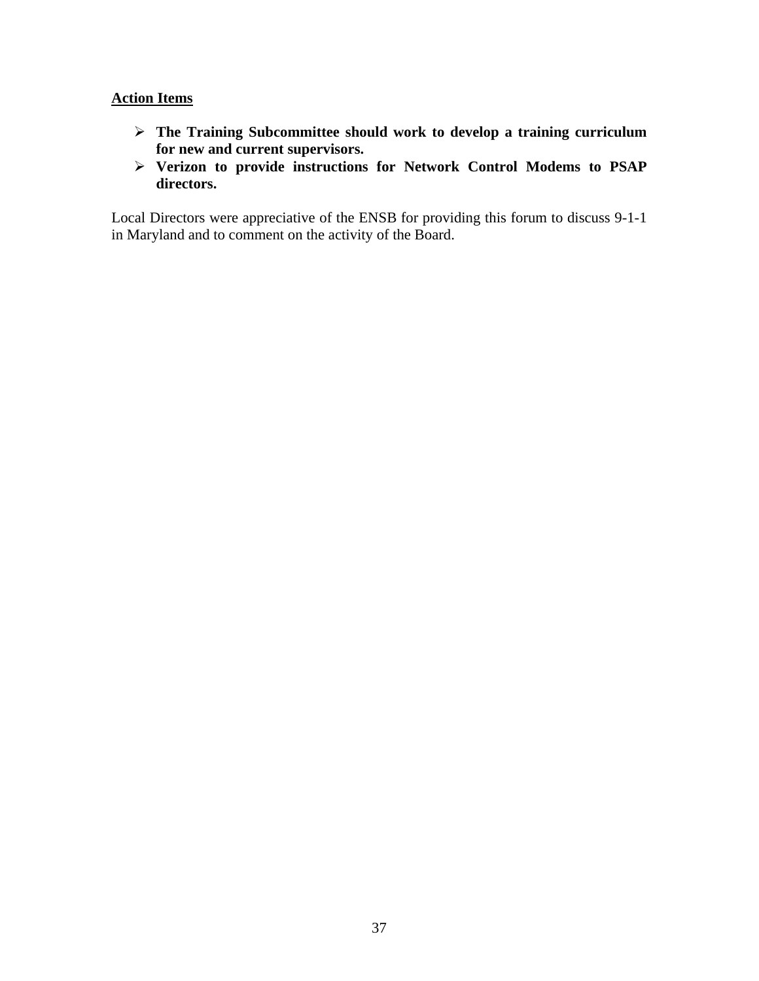#### **Action Items**

- **The Training Subcommittee should work to develop a training curriculum for new and current supervisors.**
- **Verizon to provide instructions for Network Control Modems to PSAP directors.**

Local Directors were appreciative of the ENSB for providing this forum to discuss 9-1-1 in Maryland and to comment on the activity of the Board.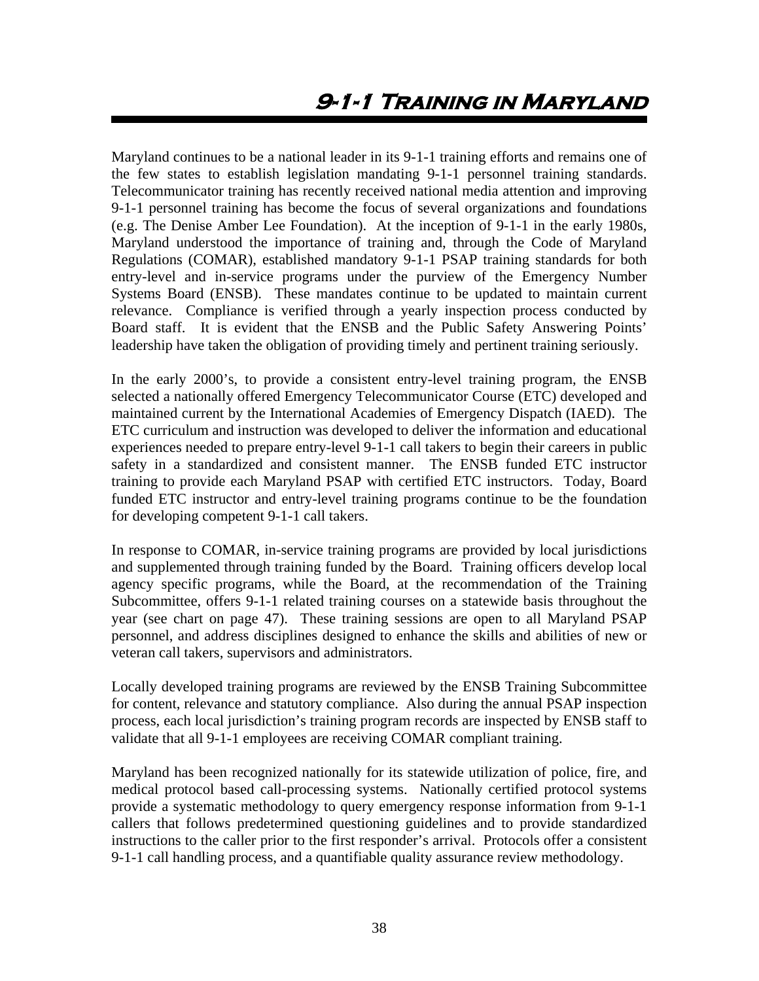Maryland continues to be a national leader in its 9-1-1 training efforts and remains one of the few states to establish legislation mandating 9-1-1 personnel training standards. Telecommunicator training has recently received national media attention and improving 9-1-1 personnel training has become the focus of several organizations and foundations (e.g. The Denise Amber Lee Foundation). At the inception of 9-1-1 in the early 1980s, Maryland understood the importance of training and, through the Code of Maryland Regulations (COMAR), established mandatory 9-1-1 PSAP training standards for both entry-level and in-service programs under the purview of the Emergency Number Systems Board (ENSB). These mandates continue to be updated to maintain current relevance. Compliance is verified through a yearly inspection process conducted by Board staff. It is evident that the ENSB and the Public Safety Answering Points' leadership have taken the obligation of providing timely and pertinent training seriously.

In the early 2000's, to provide a consistent entry-level training program, the ENSB selected a nationally offered Emergency Telecommunicator Course (ETC) developed and maintained current by the International Academies of Emergency Dispatch (IAED). The ETC curriculum and instruction was developed to deliver the information and educational experiences needed to prepare entry-level 9-1-1 call takers to begin their careers in public safety in a standardized and consistent manner. The ENSB funded ETC instructor training to provide each Maryland PSAP with certified ETC instructors. Today, Board funded ETC instructor and entry-level training programs continue to be the foundation for developing competent 9-1-1 call takers.

In response to COMAR, in-service training programs are provided by local jurisdictions and supplemented through training funded by the Board. Training officers develop local agency specific programs, while the Board, at the recommendation of the Training Subcommittee, offers 9-1-1 related training courses on a statewide basis throughout the year (see chart on page 47). These training sessions are open to all Maryland PSAP personnel, and address disciplines designed to enhance the skills and abilities of new or veteran call takers, supervisors and administrators.

Locally developed training programs are reviewed by the ENSB Training Subcommittee for content, relevance and statutory compliance. Also during the annual PSAP inspection process, each local jurisdiction's training program records are inspected by ENSB staff to validate that all 9-1-1 employees are receiving COMAR compliant training.

Maryland has been recognized nationally for its statewide utilization of police, fire, and medical protocol based call-processing systems. Nationally certified protocol systems provide a systematic methodology to query emergency response information from 9-1-1 callers that follows predetermined questioning guidelines and to provide standardized instructions to the caller prior to the first responder's arrival. Protocols offer a consistent 9-1-1 call handling process, and a quantifiable quality assurance review methodology.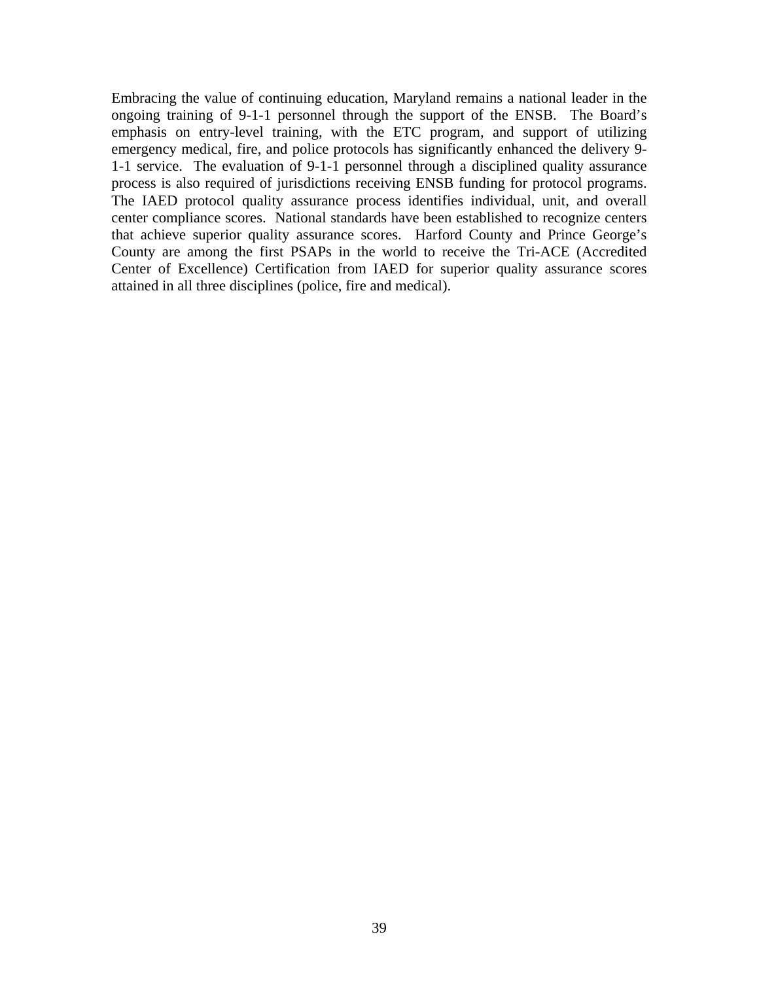Embracing the value of continuing education, Maryland remains a national leader in the ongoing training of 9-1-1 personnel through the support of the ENSB. The Board's emphasis on entry-level training, with the ETC program, and support of utilizing emergency medical, fire, and police protocols has significantly enhanced the delivery 9- 1-1 service. The evaluation of 9-1-1 personnel through a disciplined quality assurance process is also required of jurisdictions receiving ENSB funding for protocol programs. The IAED protocol quality assurance process identifies individual, unit, and overall center compliance scores. National standards have been established to recognize centers that achieve superior quality assurance scores. Harford County and Prince George's County are among the first PSAPs in the world to receive the Tri-ACE (Accredited Center of Excellence) Certification from IAED for superior quality assurance scores attained in all three disciplines (police, fire and medical).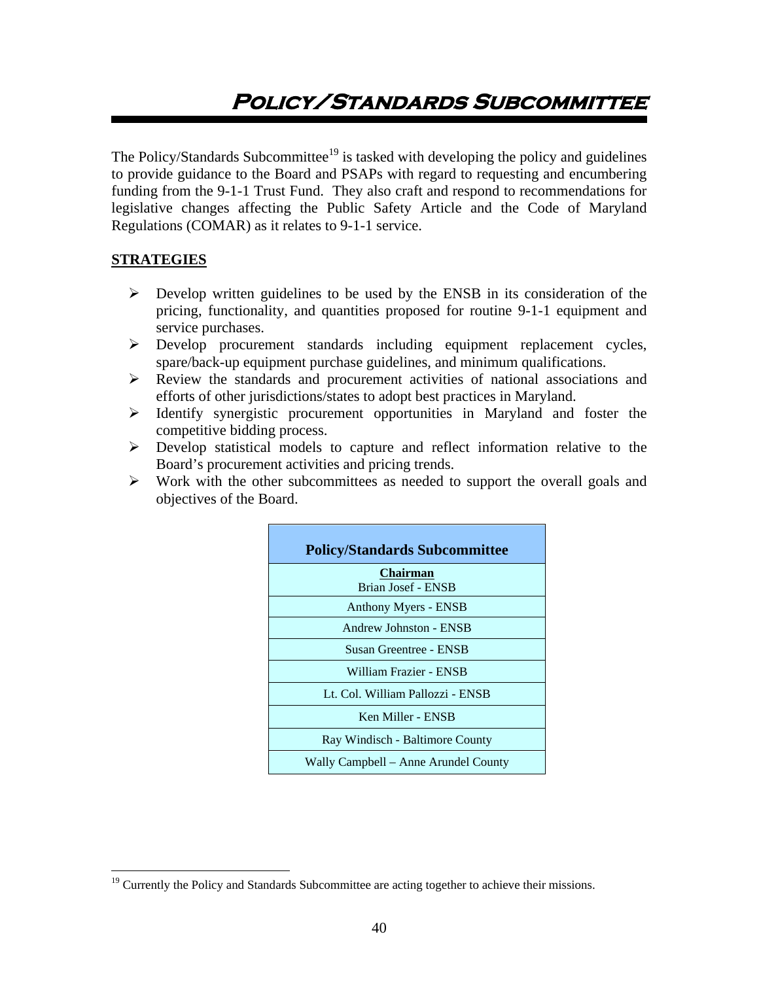# **Policy/Standards Subcommittee**

The Policy/Standards Subcommittee<sup>19</sup> is tasked with developing the policy and guidelines to provide guidance to the Board and PSAPs with regard to requesting and encumbering funding from the 9-1-1 Trust Fund. They also craft and respond to recommendations for legislative changes affecting the Public Safety Article and the Code of Maryland Regulations (COMAR) as it relates to 9-1-1 service.

#### **STRATEGIES**

 $\overline{a}$ 

- $\triangleright$  Develop written guidelines to be used by the ENSB in its consideration of the pricing, functionality, and quantities proposed for routine 9-1-1 equipment and service purchases.
- Develop procurement standards including equipment replacement cycles, spare/back-up equipment purchase guidelines, and minimum qualifications.
- Review the standards and procurement activities of national associations and efforts of other jurisdictions/states to adopt best practices in Maryland.
- $\triangleright$  Identify synergistic procurement opportunities in Maryland and foster the competitive bidding process.
- Develop statistical models to capture and reflect information relative to the Board's procurement activities and pricing trends.
- $\triangleright$  Work with the other subcommittees as needed to support the overall goals and objectives of the Board.

| <b>Policy/Standards Subcommittee</b>  |
|---------------------------------------|
| <b>Chairman</b><br>Brian Josef - ENSB |
| Anthony Myers - ENSB                  |
| Andrew Johnston - ENSB                |
| Susan Greentree - ENSB                |
| William Frazier - ENSB                |
| Lt. Col. William Pallozzi - ENSB      |
| Ken Miller - ENSB                     |
| Ray Windisch - Baltimore County       |
| Wally Campbell – Anne Arundel County  |

<sup>&</sup>lt;sup>19</sup> Currently the Policy and Standards Subcommittee are acting together to achieve their missions.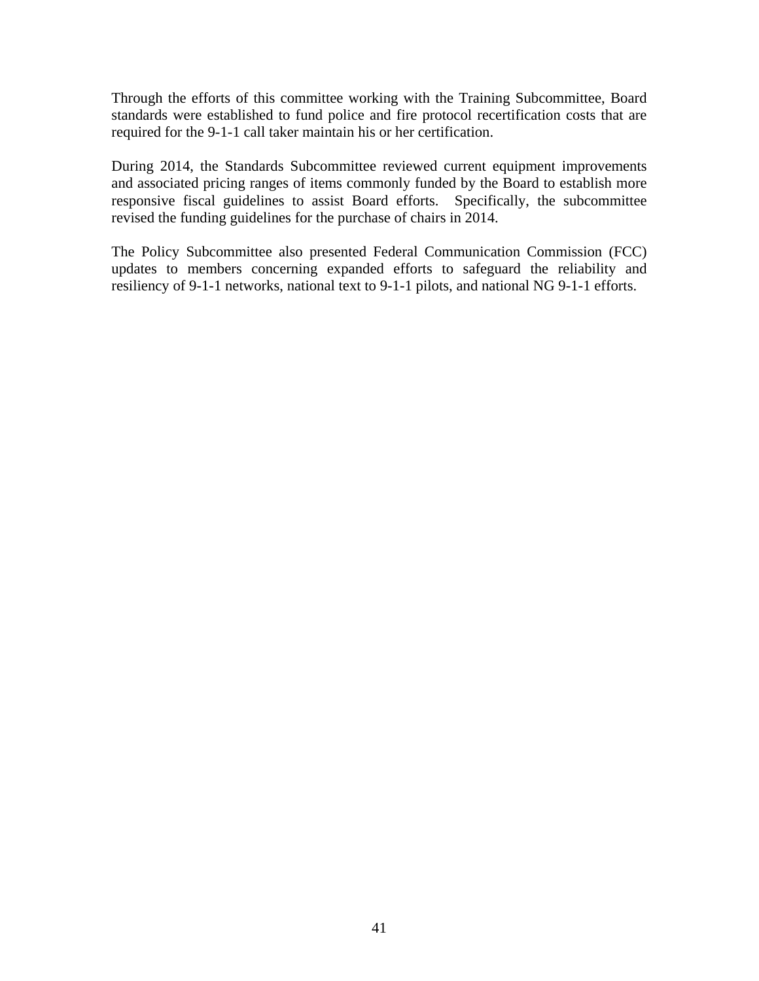Through the efforts of this committee working with the Training Subcommittee, Board standards were established to fund police and fire protocol recertification costs that are required for the 9-1-1 call taker maintain his or her certification.

During 2014, the Standards Subcommittee reviewed current equipment improvements and associated pricing ranges of items commonly funded by the Board to establish more responsive fiscal guidelines to assist Board efforts. Specifically, the subcommittee revised the funding guidelines for the purchase of chairs in 2014.

The Policy Subcommittee also presented Federal Communication Commission (FCC) updates to members concerning expanded efforts to safeguard the reliability and resiliency of 9-1-1 networks, national text to 9-1-1 pilots, and national NG 9-1-1 efforts.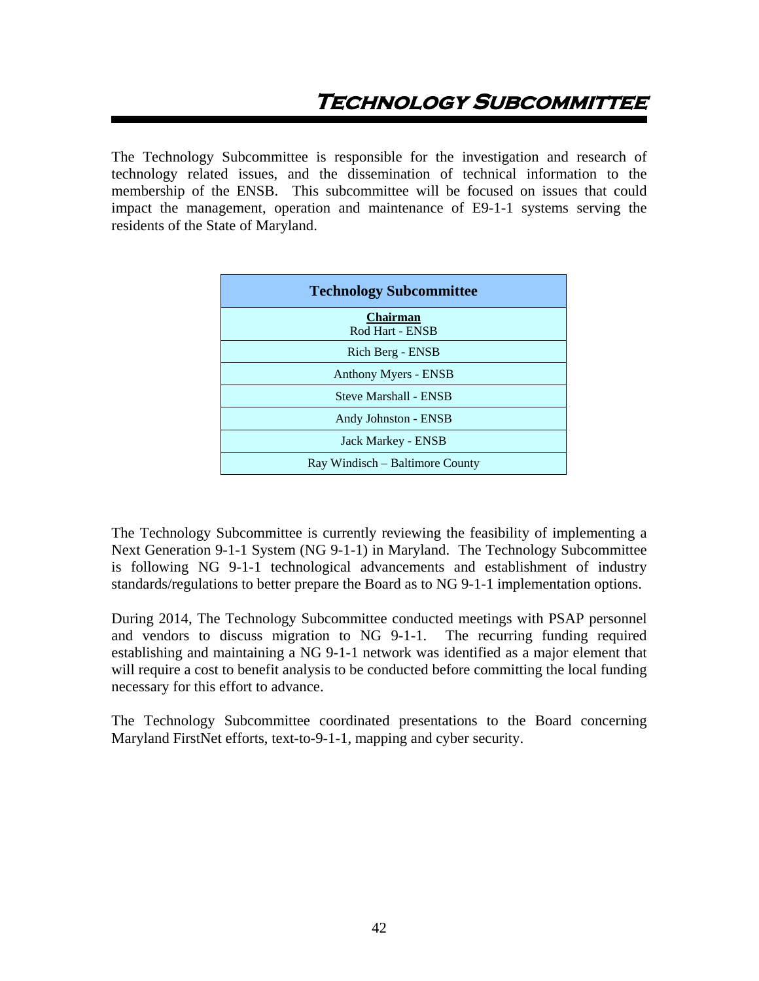The Technology Subcommittee is responsible for the investigation and research of technology related issues, and the dissemination of technical information to the membership of the ENSB. This subcommittee will be focused on issues that could impact the management, operation and maintenance of E9-1-1 systems serving the residents of the State of Maryland.

| <b>Technology Subcommittee</b>     |
|------------------------------------|
| <b>Chairman</b><br>Rod Hart - ENSB |
| Rich Berg - ENSB                   |
| Anthony Myers - ENSB               |
| <b>Steve Marshall - ENSB</b>       |
| Andy Johnston - ENSB               |
| Jack Markey - ENSB                 |
| Ray Windisch – Baltimore County    |

The Technology Subcommittee is currently reviewing the feasibility of implementing a Next Generation 9-1-1 System (NG 9-1-1) in Maryland. The Technology Subcommittee is following NG 9-1-1 technological advancements and establishment of industry standards/regulations to better prepare the Board as to NG 9-1-1 implementation options.

During 2014, The Technology Subcommittee conducted meetings with PSAP personnel and vendors to discuss migration to NG 9-1-1. The recurring funding required establishing and maintaining a NG 9-1-1 network was identified as a major element that will require a cost to benefit analysis to be conducted before committing the local funding necessary for this effort to advance.

The Technology Subcommittee coordinated presentations to the Board concerning Maryland FirstNet efforts, text-to-9-1-1, mapping and cyber security.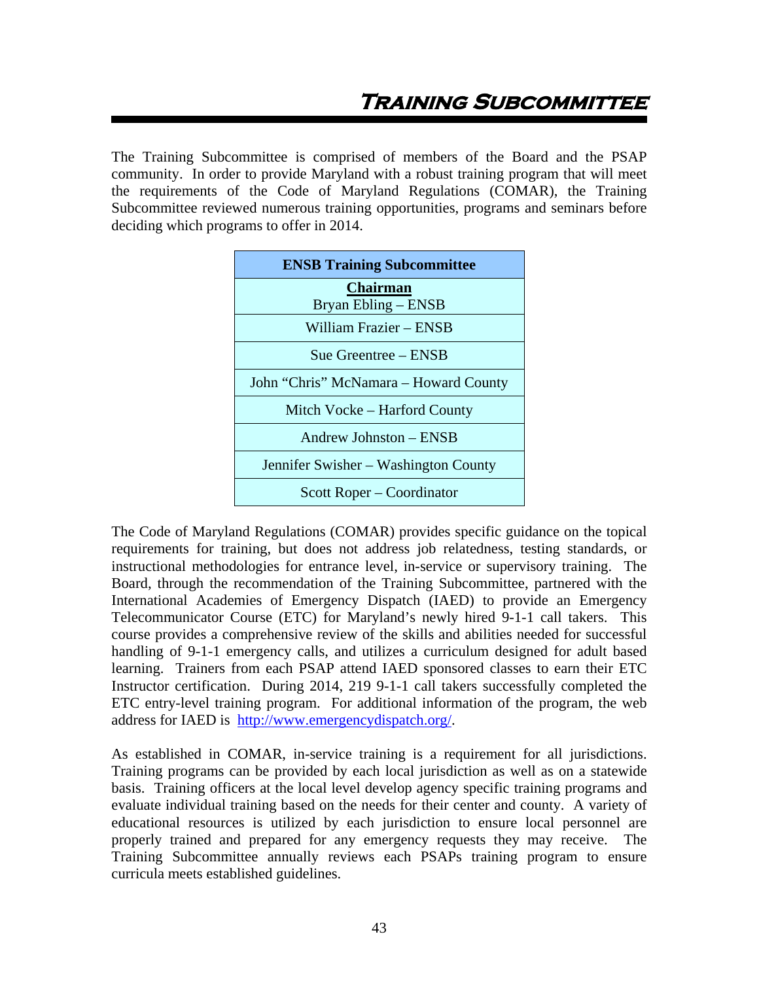The Training Subcommittee is comprised of members of the Board and the PSAP community. In order to provide Maryland with a robust training program that will meet the requirements of the Code of Maryland Regulations (COMAR), the Training Subcommittee reviewed numerous training opportunities, programs and seminars before deciding which programs to offer in 2014.

| <b>ENSB Training Subcommittee</b>     |  |  |
|---------------------------------------|--|--|
| <b>Chairman</b>                       |  |  |
| Bryan Ebling – ENSB                   |  |  |
| William Frazier – ENSB                |  |  |
| Sue Greentree – ENSB                  |  |  |
| John "Chris" McNamara - Howard County |  |  |
| Mitch Vocke – Harford County          |  |  |
| Andrew Johnston - ENSB                |  |  |
| Jennifer Swisher – Washington County  |  |  |
| Scott Roper – Coordinator             |  |  |

The Code of Maryland Regulations (COMAR) provides specific guidance on the topical requirements for training, but does not address job relatedness, testing standards, or instructional methodologies for entrance level, in-service or supervisory training. The Board, through the recommendation of the Training Subcommittee, partnered with the International Academies of Emergency Dispatch (IAED) to provide an Emergency Telecommunicator Course (ETC) for Maryland's newly hired 9-1-1 call takers. This course provides a comprehensive review of the skills and abilities needed for successful handling of 9-1-1 emergency calls, and utilizes a curriculum designed for adult based learning. Trainers from each PSAP attend IAED sponsored classes to earn their ETC Instructor certification. During 2014, 219 9-1-1 call takers successfully completed the ETC entry-level training program. For additional information of the program, the web address for IAED is http://www.emergencydispatch.org/.

As established in COMAR, in-service training is a requirement for all jurisdictions. Training programs can be provided by each local jurisdiction as well as on a statewide basis. Training officers at the local level develop agency specific training programs and evaluate individual training based on the needs for their center and county. A variety of educational resources is utilized by each jurisdiction to ensure local personnel are properly trained and prepared for any emergency requests they may receive. The Training Subcommittee annually reviews each PSAPs training program to ensure curricula meets established guidelines.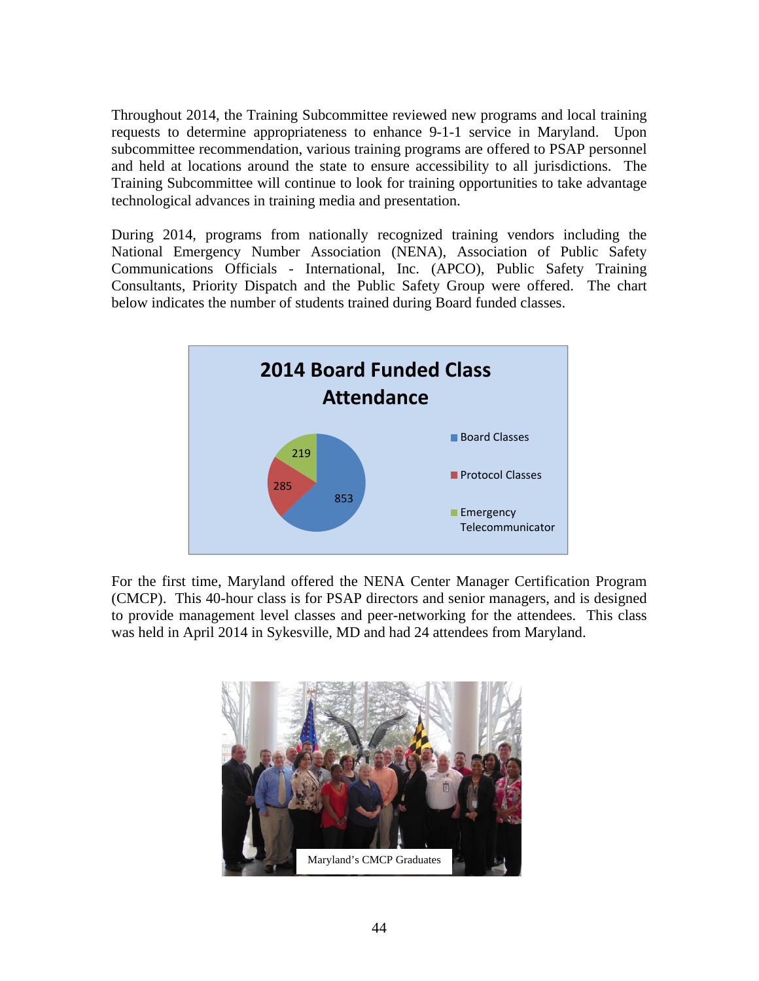Throughout 2014, the Training Subcommittee reviewed new programs and local training requests to determine appropriateness to enhance 9-1-1 service in Maryland. Upon subcommittee recommendation, various training programs are offered to PSAP personnel and held at locations around the state to ensure accessibility to all jurisdictions. The Training Subcommittee will continue to look for training opportunities to take advantage technological advances in training media and presentation.

During 2014, programs from nationally recognized training vendors including the National Emergency Number Association (NENA), Association of Public Safety Communications Officials - International, Inc. (APCO), Public Safety Training Consultants, Priority Dispatch and the Public Safety Group were offered. The chart below indicates the number of students trained during Board funded classes.



For the first time, Maryland offered the NENA Center Manager Certification Program (CMCP). This 40-hour class is for PSAP directors and senior managers, and is designed to provide management level classes and peer-networking for the attendees. This class was held in April 2014 in Sykesville, MD and had 24 attendees from Maryland.

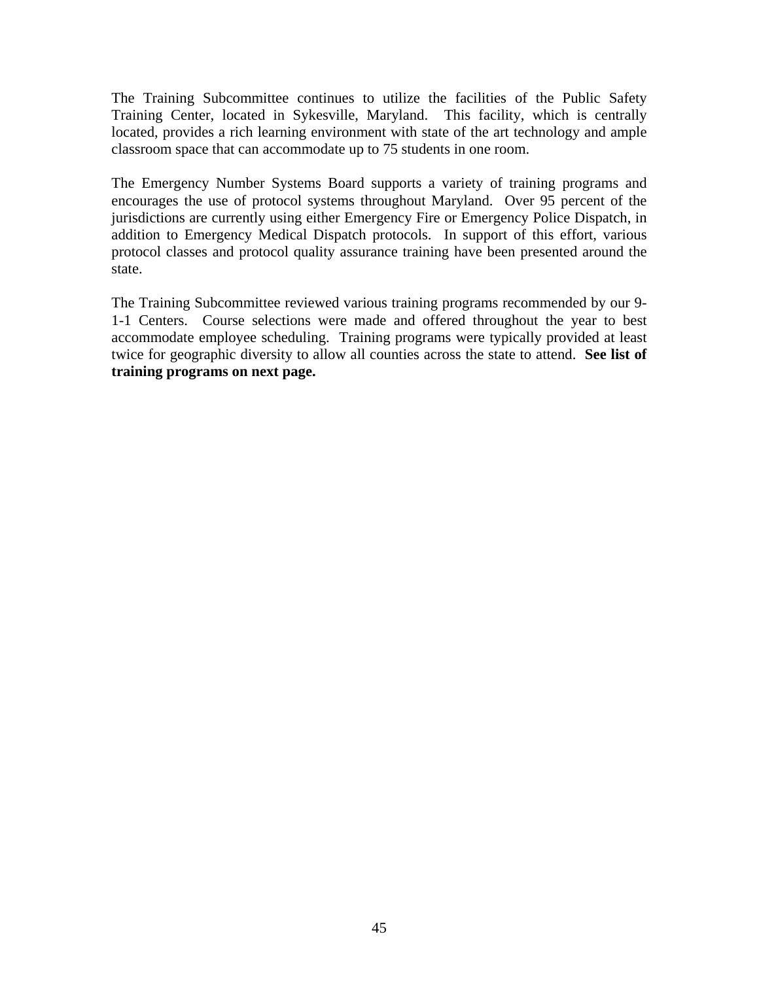The Training Subcommittee continues to utilize the facilities of the Public Safety Training Center, located in Sykesville, Maryland. This facility, which is centrally located, provides a rich learning environment with state of the art technology and ample classroom space that can accommodate up to 75 students in one room.

The Emergency Number Systems Board supports a variety of training programs and encourages the use of protocol systems throughout Maryland. Over 95 percent of the jurisdictions are currently using either Emergency Fire or Emergency Police Dispatch, in addition to Emergency Medical Dispatch protocols. In support of this effort, various protocol classes and protocol quality assurance training have been presented around the state.

The Training Subcommittee reviewed various training programs recommended by our 9- 1-1 Centers. Course selections were made and offered throughout the year to best accommodate employee scheduling. Training programs were typically provided at least twice for geographic diversity to allow all counties across the state to attend. **See list of training programs on next page.**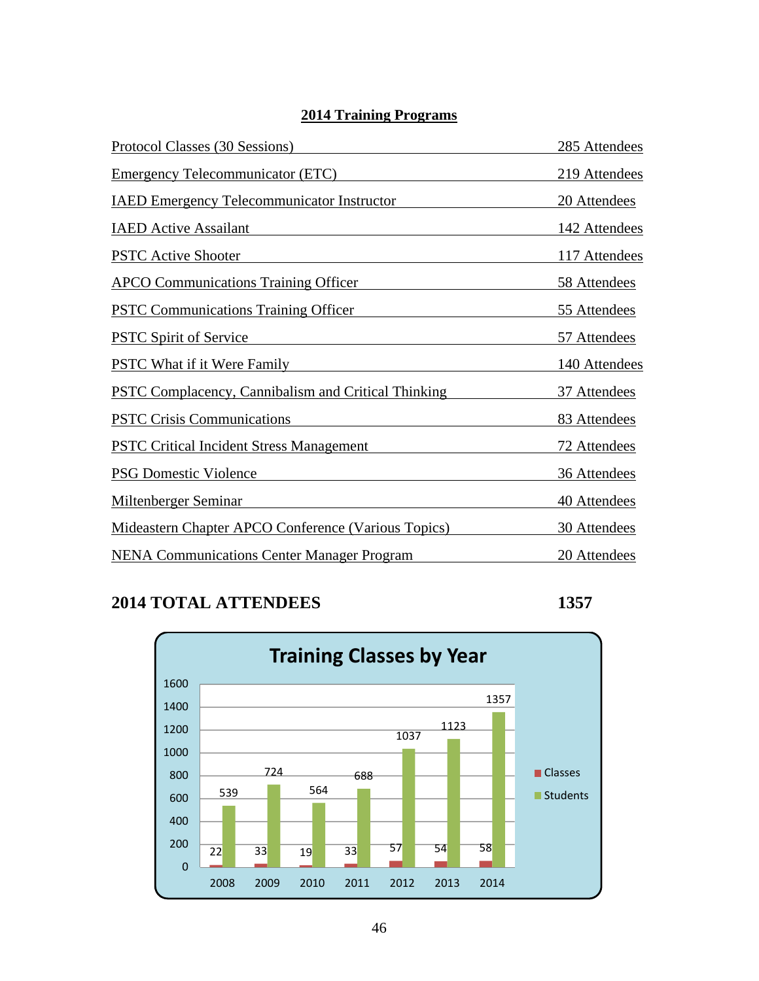## **2014 Training Programs**

| Protocol Classes (30 Sessions)                             | 285 Attendees |
|------------------------------------------------------------|---------------|
| <b>Emergency Telecommunicator (ETC)</b>                    | 219 Attendees |
| <b>IAED Emergency Telecommunicator Instructor</b>          | 20 Attendees  |
| <b>IAED</b> Active Assailant                               | 142 Attendees |
| <b>PSTC Active Shooter</b>                                 | 117 Attendees |
| <b>APCO Communications Training Officer</b>                | 58 Attendees  |
| <b>PSTC Communications Training Officer</b>                | 55 Attendees  |
| <b>PSTC Spirit of Service</b>                              | 57 Attendees  |
| <b>PSTC What if it Were Family</b>                         | 140 Attendees |
| <b>PSTC Complacency, Cannibalism and Critical Thinking</b> | 37 Attendees  |
| <b>PSTC Crisis Communications</b>                          | 83 Attendees  |
| <b>PSTC Critical Incident Stress Management</b>            | 72 Attendees  |
| <b>PSG Domestic Violence</b>                               | 36 Attendees  |
| <b>Miltenberger Seminar</b>                                | 40 Attendees  |
| Mideastern Chapter APCO Conference (Various Topics)        | 30 Attendees  |
| <b>NENA Communications Center Manager Program</b>          | 20 Attendees  |

## **2014 TOTAL ATTENDEES 1357**

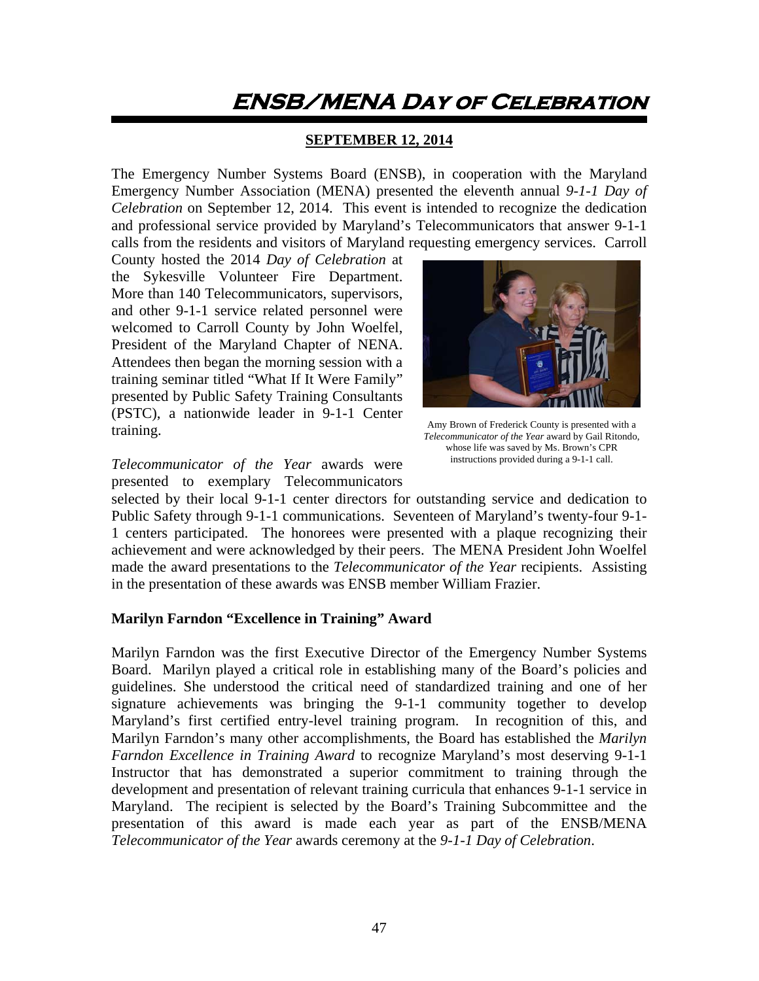# **ENSB/MENA Day of Celebration**

#### **SEPTEMBER 12, 2014**

The Emergency Number Systems Board (ENSB), in cooperation with the Maryland Emergency Number Association (MENA) presented the eleventh annual *9-1-1 Day of Celebration* on September 12, 2014. This event is intended to recognize the dedication and professional service provided by Maryland's Telecommunicators that answer 9-1-1 calls from the residents and visitors of Maryland requesting emergency services. Carroll

County hosted the 2014 *Day of Celebration* at the Sykesville Volunteer Fire Department. More than 140 Telecommunicators, supervisors, and other 9-1-1 service related personnel were welcomed to Carroll County by John Woelfel, President of the Maryland Chapter of NENA. Attendees then began the morning session with a training seminar titled "What If It Were Family" presented by Public Safety Training Consultants (PSTC), a nationwide leader in 9-1-1 Center training.



Amy Brown of Frederick County is presented with a *Telecommunicator of the Year* award by Gail Ritondo, whose life was saved by Ms. Brown's CPR instructions provided during a 9-1-1 call.

*Telecommunicator of the Year* awards were presented to exemplary Telecommunicators

selected by their local 9-1-1 center directors for outstanding service and dedication to Public Safety through 9-1-1 communications. Seventeen of Maryland's twenty-four 9-1- 1 centers participated. The honorees were presented with a plaque recognizing their achievement and were acknowledged by their peers. The MENA President John Woelfel made the award presentations to the *Telecommunicator of the Year* recipients. Assisting in the presentation of these awards was ENSB member William Frazier.

#### **Marilyn Farndon "Excellence in Training" Award**

Marilyn Farndon was the first Executive Director of the Emergency Number Systems Board. Marilyn played a critical role in establishing many of the Board's policies and guidelines. She understood the critical need of standardized training and one of her signature achievements was bringing the 9-1-1 community together to develop Maryland's first certified entry-level training program. In recognition of this, and Marilyn Farndon's many other accomplishments, the Board has established the *Marilyn Farndon Excellence in Training Award* to recognize Maryland's most deserving 9-1-1 Instructor that has demonstrated a superior commitment to training through the development and presentation of relevant training curricula that enhances 9-1-1 service in Maryland. The recipient is selected by the Board's Training Subcommittee and the presentation of this award is made each year as part of the ENSB/MENA *Telecommunicator of the Year* awards ceremony at the *9-1-1 Day of Celebration*.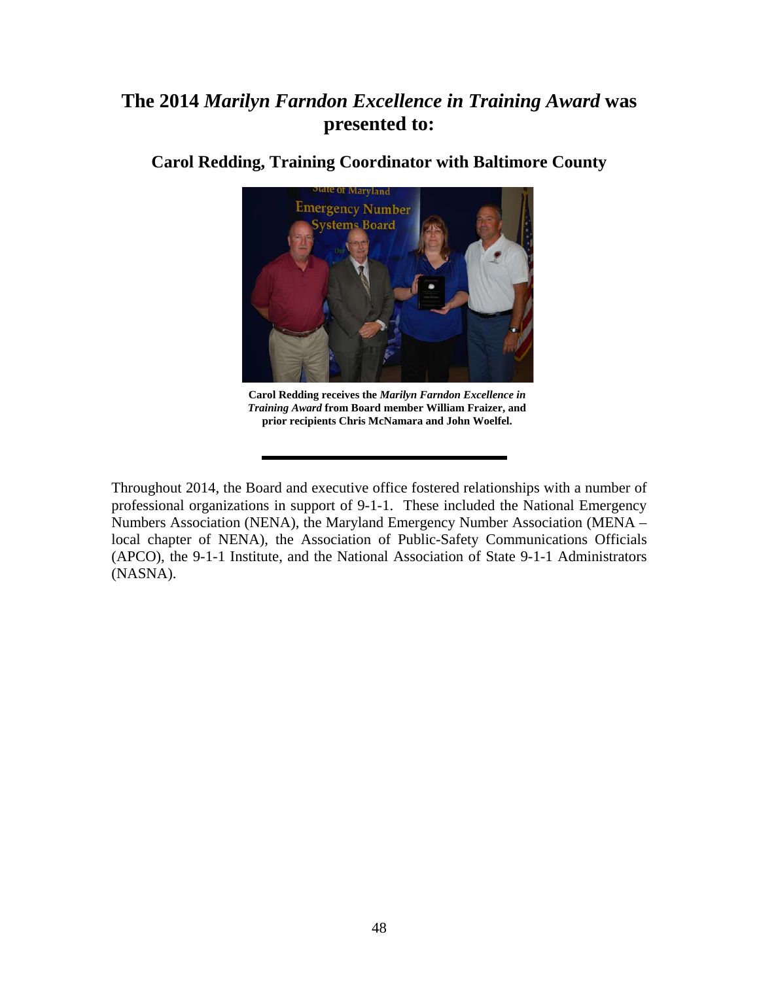# **The 2014** *Marilyn Farndon Excellence in Training Award* **was presented to:**



**Carol Redding, Training Coordinator with Baltimore County**

**Carol Redding receives the** *Marilyn Farndon Excellence in Training Award* **from Board member William Fraizer, and prior recipients Chris McNamara and John Woelfel.** 

Throughout 2014, the Board and executive office fostered relationships with a number of professional organizations in support of 9-1-1. These included the National Emergency Numbers Association (NENA), the Maryland Emergency Number Association (MENA – local chapter of NENA), the Association of Public-Safety Communications Officials (APCO), the 9-1-1 Institute, and the National Association of State 9-1-1 Administrators (NASNA).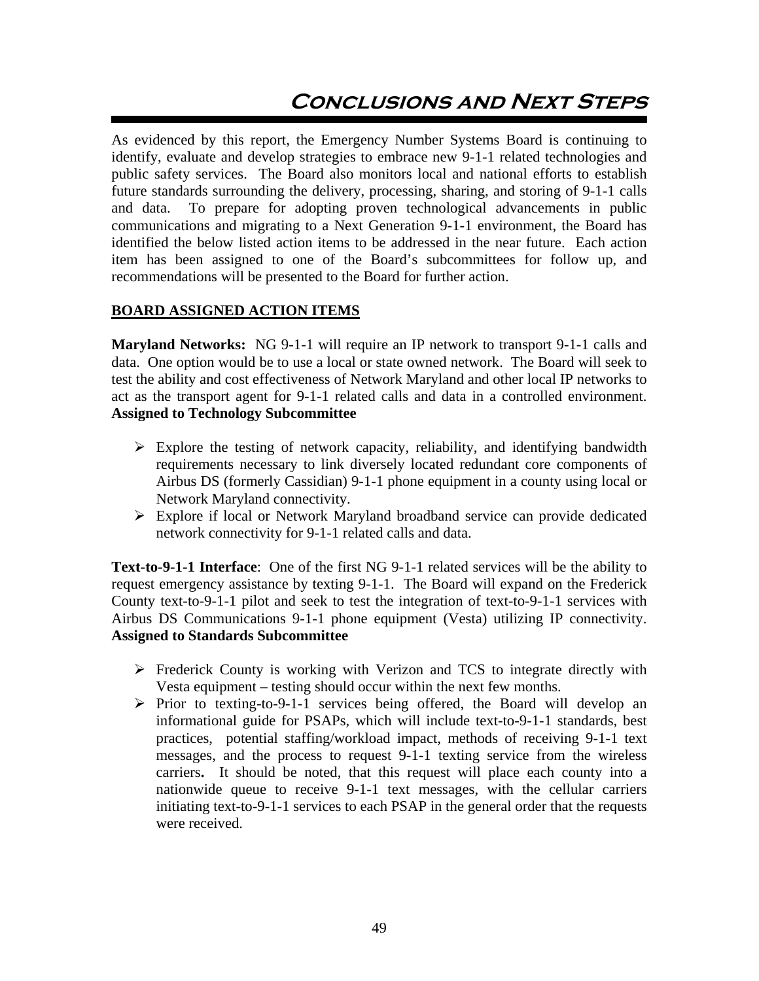# **Conclusions and Next Steps**

As evidenced by this report, the Emergency Number Systems Board is continuing to identify, evaluate and develop strategies to embrace new 9-1-1 related technologies and public safety services. The Board also monitors local and national efforts to establish future standards surrounding the delivery, processing, sharing, and storing of 9-1-1 calls and data. To prepare for adopting proven technological advancements in public communications and migrating to a Next Generation 9-1-1 environment, the Board has identified the below listed action items to be addressed in the near future. Each action item has been assigned to one of the Board's subcommittees for follow up, and recommendations will be presented to the Board for further action.

#### **BOARD ASSIGNED ACTION ITEMS**

**Maryland Networks:** NG 9-1-1 will require an IP network to transport 9-1-1 calls and data. One option would be to use a local or state owned network. The Board will seek to test the ability and cost effectiveness of Network Maryland and other local IP networks to act as the transport agent for 9-1-1 related calls and data in a controlled environment. **Assigned to Technology Subcommittee** 

- $\triangleright$  Explore the testing of network capacity, reliability, and identifying bandwidth requirements necessary to link diversely located redundant core components of Airbus DS (formerly Cassidian) 9-1-1 phone equipment in a county using local or Network Maryland connectivity.
- Explore if local or Network Maryland broadband service can provide dedicated network connectivity for 9-1-1 related calls and data.

**Text-to-9-1-1 Interface**: One of the first NG 9-1-1 related services will be the ability to request emergency assistance by texting 9-1-1. The Board will expand on the Frederick County text-to-9-1-1 pilot and seek to test the integration of text-to-9-1-1 services with Airbus DS Communications 9-1-1 phone equipment (Vesta) utilizing IP connectivity. **Assigned to Standards Subcommittee** 

- $\triangleright$  Frederick County is working with Verizon and TCS to integrate directly with Vesta equipment – testing should occur within the next few months.
- $\triangleright$  Prior to texting-to-9-1-1 services being offered, the Board will develop an informational guide for PSAPs, which will include text-to-9-1-1 standards, best practices, potential staffing/workload impact, methods of receiving 9-1-1 text messages, and the process to request 9-1-1 texting service from the wireless carriers**.** It should be noted, that this request will place each county into a nationwide queue to receive 9-1-1 text messages, with the cellular carriers initiating text-to-9-1-1 services to each PSAP in the general order that the requests were received.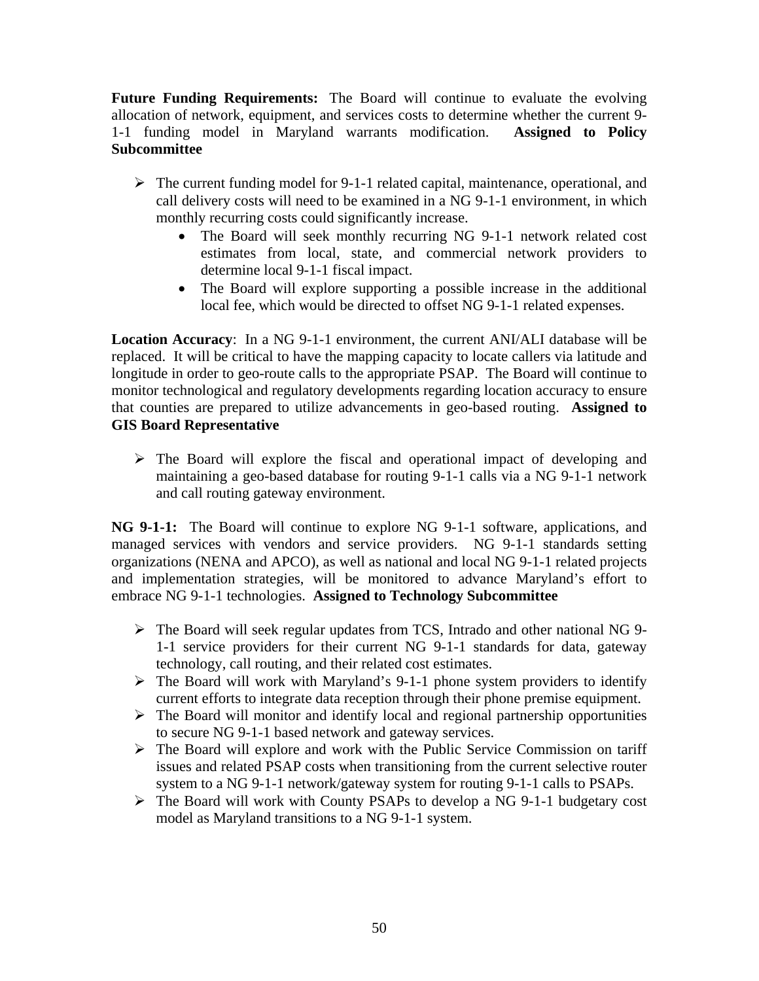**Future Funding Requirements:** The Board will continue to evaluate the evolving allocation of network, equipment, and services costs to determine whether the current 9- 1-1 funding model in Maryland warrants modification. **Assigned to Policy Subcommittee** 

- $\triangleright$  The current funding model for 9-1-1 related capital, maintenance, operational, and call delivery costs will need to be examined in a NG 9-1-1 environment, in which monthly recurring costs could significantly increase.
	- The Board will seek monthly recurring NG 9-1-1 network related cost estimates from local, state, and commercial network providers to determine local 9-1-1 fiscal impact.
	- The Board will explore supporting a possible increase in the additional local fee, which would be directed to offset NG 9-1-1 related expenses.

**Location Accuracy**: In a NG 9-1-1 environment, the current ANI/ALI database will be replaced. It will be critical to have the mapping capacity to locate callers via latitude and longitude in order to geo-route calls to the appropriate PSAP. The Board will continue to monitor technological and regulatory developments regarding location accuracy to ensure that counties are prepared to utilize advancements in geo-based routing. **Assigned to GIS Board Representative** 

 $\triangleright$  The Board will explore the fiscal and operational impact of developing and maintaining a geo-based database for routing 9-1-1 calls via a NG 9-1-1 network and call routing gateway environment.

**NG 9-1-1:** The Board will continue to explore NG 9-1-1 software, applications, and managed services with vendors and service providers. NG 9-1-1 standards setting organizations (NENA and APCO), as well as national and local NG 9-1-1 related projects and implementation strategies, will be monitored to advance Maryland's effort to embrace NG 9-1-1 technologies. **Assigned to Technology Subcommittee** 

- $\triangleright$  The Board will seek regular updates from TCS, Intrado and other national NG 9-1-1 service providers for their current NG 9-1-1 standards for data, gateway technology, call routing, and their related cost estimates.
- $\triangleright$  The Board will work with Maryland's 9-1-1 phone system providers to identify current efforts to integrate data reception through their phone premise equipment.
- $\triangleright$  The Board will monitor and identify local and regional partnership opportunities to secure NG 9-1-1 based network and gateway services.
- $\triangleright$  The Board will explore and work with the Public Service Commission on tariff issues and related PSAP costs when transitioning from the current selective router system to a NG 9-1-1 network/gateway system for routing 9-1-1 calls to PSAPs.
- The Board will work with County PSAPs to develop a NG 9-1-1 budgetary cost model as Maryland transitions to a NG 9-1-1 system.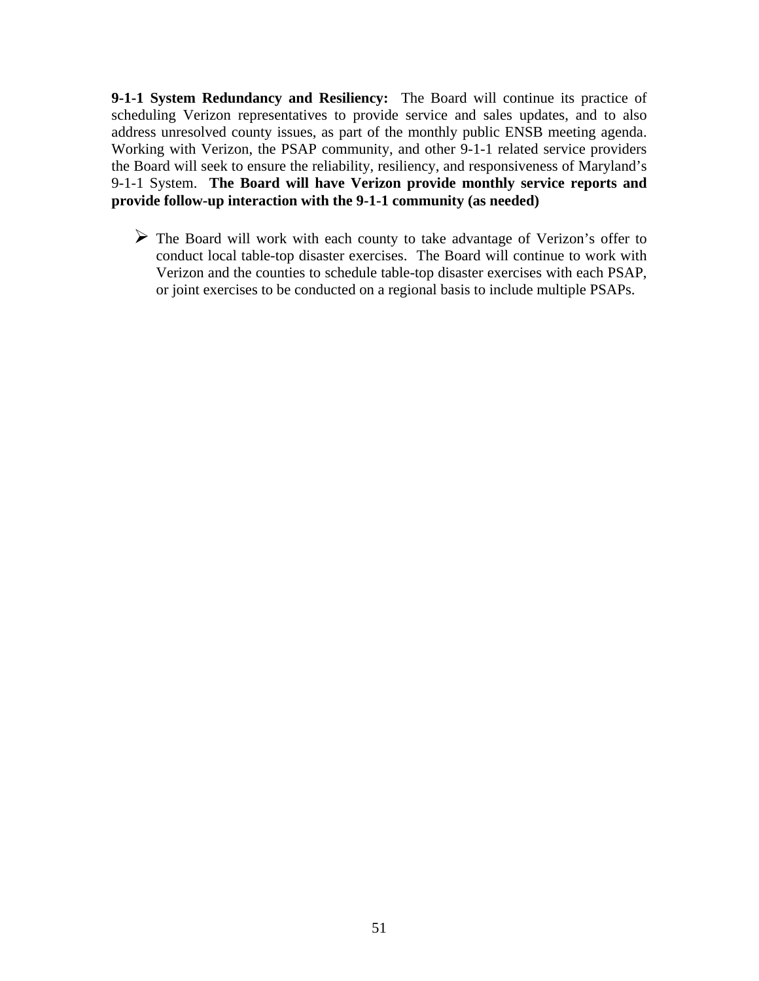**9-1-1 System Redundancy and Resiliency:** The Board will continue its practice of scheduling Verizon representatives to provide service and sales updates, and to also address unresolved county issues, as part of the monthly public ENSB meeting agenda. Working with Verizon, the PSAP community, and other 9-1-1 related service providers the Board will seek to ensure the reliability, resiliency, and responsiveness of Maryland's 9-1-1 System. **The Board will have Verizon provide monthly service reports and provide follow-up interaction with the 9-1-1 community (as needed)** 

 The Board will work with each county to take advantage of Verizon's offer to conduct local table-top disaster exercises. The Board will continue to work with Verizon and the counties to schedule table-top disaster exercises with each PSAP, or joint exercises to be conducted on a regional basis to include multiple PSAPs.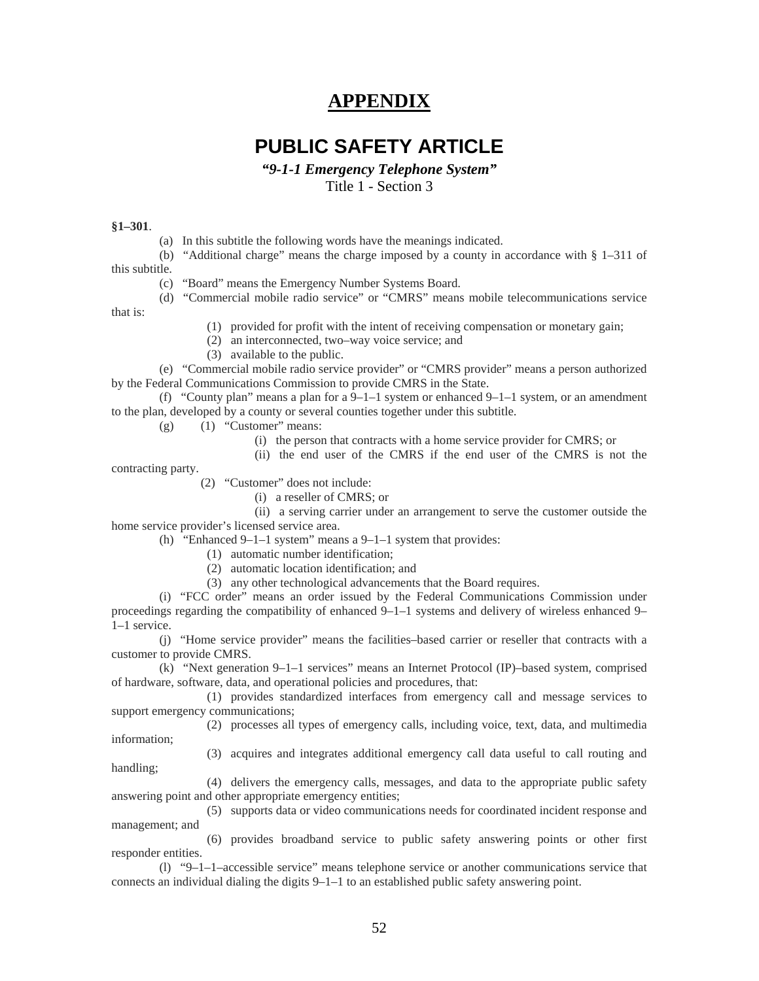# **APPENDIX**

# **PUBLIC SAFETY ARTICLE**

*"9-1-1 Emergency Telephone System"* 

Title 1 - Section 3

#### **§1–301**.

(a) In this subtitle the following words have the meanings indicated.

(b) "Additional charge" means the charge imposed by a county in accordance with § 1–311 of this subtitle.

(c) "Board" means the Emergency Number Systems Board.

(d) "Commercial mobile radio service" or "CMRS" means mobile telecommunications service that is:

(1) provided for profit with the intent of receiving compensation or monetary gain;

(2) an interconnected, two–way voice service; and

(3) available to the public.

(e) "Commercial mobile radio service provider" or "CMRS provider" means a person authorized by the Federal Communications Commission to provide CMRS in the State.

(f) "County plan" means a plan for a  $9-1-1$  system or enhanced  $9-1-1$  system, or an amendment to the plan, developed by a county or several counties together under this subtitle.

- $(g)$  (1) "Customer" means:
	- (i) the person that contracts with a home service provider for CMRS; or
	- (ii) the end user of the CMRS if the end user of the CMRS is not the

contracting party.

(2) "Customer" does not include:

(i) a reseller of CMRS; or

(ii) a serving carrier under an arrangement to serve the customer outside the home service provider's licensed service area.

(h) "Enhanced 9–1–1 system" means a 9–1–1 system that provides:

- (1) automatic number identification;
- (2) automatic location identification; and
- (3) any other technological advancements that the Board requires.

(i) "FCC order" means an order issued by the Federal Communications Commission under proceedings regarding the compatibility of enhanced 9–1–1 systems and delivery of wireless enhanced 9– 1–1 service.

(j) "Home service provider" means the facilities–based carrier or reseller that contracts with a customer to provide CMRS.

(k) "Next generation 9–1–1 services" means an Internet Protocol (IP)–based system, comprised of hardware, software, data, and operational policies and procedures, that:

(1) provides standardized interfaces from emergency call and message services to support emergency communications;

(2) processes all types of emergency calls, including voice, text, data, and multimedia information;

(3) acquires and integrates additional emergency call data useful to call routing and handling;

(4) delivers the emergency calls, messages, and data to the appropriate public safety answering point and other appropriate emergency entities;

(5) supports data or video communications needs for coordinated incident response and management; and

(6) provides broadband service to public safety answering points or other first responder entities.

(l) "9–1–1–accessible service" means telephone service or another communications service that connects an individual dialing the digits 9–1–1 to an established public safety answering point.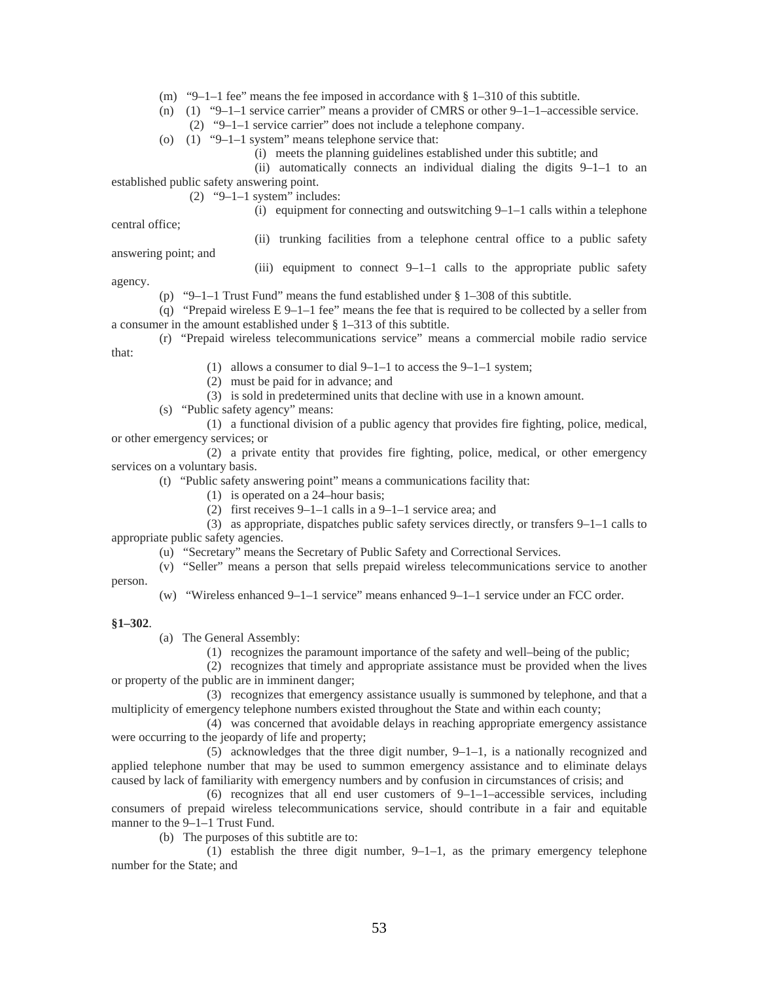- (m) "9–1–1 fee" means the fee imposed in accordance with § 1–310 of this subtitle.
- (n) (1) "9–1–1 service carrier" means a provider of CMRS or other 9–1–1–accessible service.
	- (2) "9–1–1 service carrier" does not include a telephone company.
- (o) (1) "9–1–1 system" means telephone service that:
	- (i) meets the planning guidelines established under this subtitle; and
	- (ii) automatically connects an individual dialing the digits 9–1–1 to an

established public safety answering point.

(2)  $\degree$ 9-1-1 system" includes:

(i) equipment for connecting and outswitching 9–1–1 calls within a telephone

central office;

(ii) trunking facilities from a telephone central office to a public safety

answering point; and

(iii) equipment to connect 9–1–1 calls to the appropriate public safety

agency.

(p) "9–1–1 Trust Fund" means the fund established under § 1–308 of this subtitle.

(q) "Prepaid wireless  $E 9-1-1$  fee" means the fee that is required to be collected by a seller from a consumer in the amount established under § 1–313 of this subtitle.

(r) "Prepaid wireless telecommunications service" means a commercial mobile radio service that:

- (1) allows a consumer to dial 9–1–1 to access the 9–1–1 system;
- (2) must be paid for in advance; and
- (3) is sold in predetermined units that decline with use in a known amount.
- (s) "Public safety agency" means:

(1) a functional division of a public agency that provides fire fighting, police, medical, or other emergency services; or

(2) a private entity that provides fire fighting, police, medical, or other emergency services on a voluntary basis.

- (t) "Public safety answering point" means a communications facility that:
	- (1) is operated on a 24–hour basis;
	- (2) first receives 9–1–1 calls in a 9–1–1 service area; and

(3) as appropriate, dispatches public safety services directly, or transfers 9–1–1 calls to appropriate public safety agencies.

(u) "Secretary" means the Secretary of Public Safety and Correctional Services.

(v) "Seller" means a person that sells prepaid wireless telecommunications service to another person.

(w) "Wireless enhanced 9–1–1 service" means enhanced 9–1–1 service under an FCC order.

#### **§1–302**.

(a) The General Assembly:

(1) recognizes the paramount importance of the safety and well–being of the public;

(2) recognizes that timely and appropriate assistance must be provided when the lives or property of the public are in imminent danger;

(3) recognizes that emergency assistance usually is summoned by telephone, and that a multiplicity of emergency telephone numbers existed throughout the State and within each county;

(4) was concerned that avoidable delays in reaching appropriate emergency assistance were occurring to the jeopardy of life and property;

(5) acknowledges that the three digit number, 9–1–1, is a nationally recognized and applied telephone number that may be used to summon emergency assistance and to eliminate delays caused by lack of familiarity with emergency numbers and by confusion in circumstances of crisis; and

(6) recognizes that all end user customers of  $9-1-1$ –accessible services, including consumers of prepaid wireless telecommunications service, should contribute in a fair and equitable manner to the 9–1–1 Trust Fund.

(b) The purposes of this subtitle are to:

(1) establish the three digit number, 9–1–1, as the primary emergency telephone number for the State; and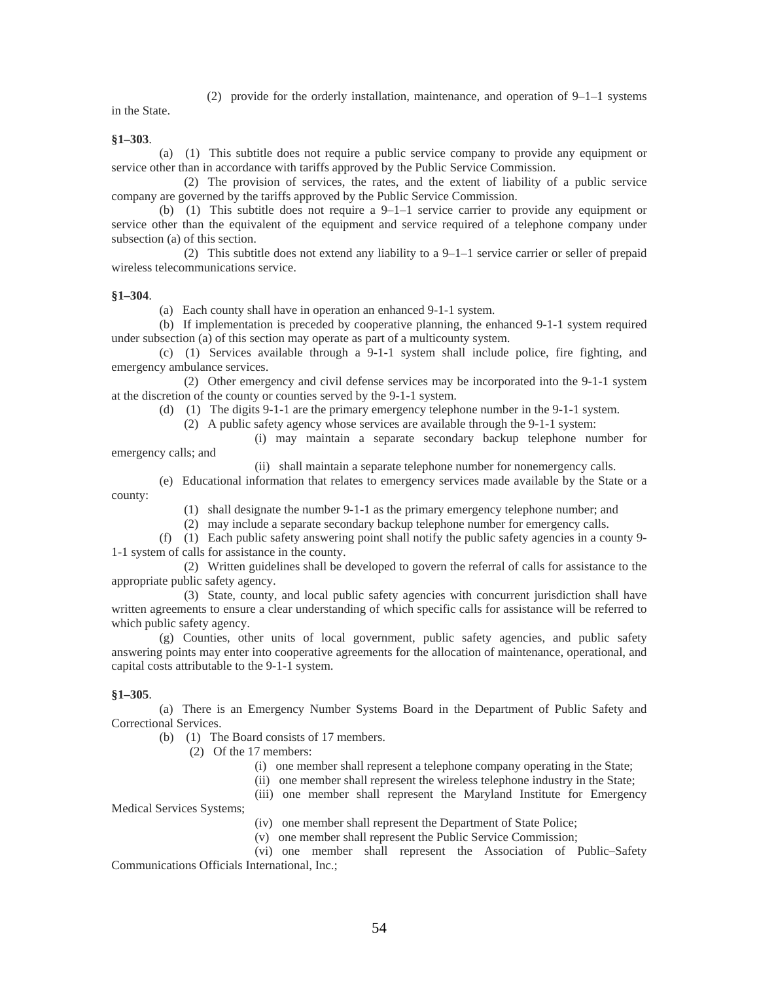(2) provide for the orderly installation, maintenance, and operation of 9–1–1 systems

in the State.

**§1–303**.

(a) (1) This subtitle does not require a public service company to provide any equipment or service other than in accordance with tariffs approved by the Public Service Commission.

(2) The provision of services, the rates, and the extent of liability of a public service company are governed by the tariffs approved by the Public Service Commission.

(b) (1) This subtitle does not require a 9–1–1 service carrier to provide any equipment or service other than the equivalent of the equipment and service required of a telephone company under subsection (a) of this section.

(2) This subtitle does not extend any liability to a 9–1–1 service carrier or seller of prepaid wireless telecommunications service.

#### **§1–304**.

(a) Each county shall have in operation an enhanced 9-1-1 system.

(b) If implementation is preceded by cooperative planning, the enhanced 9-1-1 system required under subsection (a) of this section may operate as part of a multicounty system.

(c) (1) Services available through a 9-1-1 system shall include police, fire fighting, and emergency ambulance services.

(2) Other emergency and civil defense services may be incorporated into the 9-1-1 system at the discretion of the county or counties served by the 9-1-1 system.

(d) (1) The digits 9-1-1 are the primary emergency telephone number in the 9-1-1 system.

(2) A public safety agency whose services are available through the 9-1-1 system:

(i) may maintain a separate secondary backup telephone number for

emergency calls; and

(ii) shall maintain a separate telephone number for nonemergency calls.

(e) Educational information that relates to emergency services made available by the State or a county:

(1) shall designate the number 9-1-1 as the primary emergency telephone number; and

(2) may include a separate secondary backup telephone number for emergency calls.

(f) (1) Each public safety answering point shall notify the public safety agencies in a county 9- 1-1 system of calls for assistance in the county.

(2) Written guidelines shall be developed to govern the referral of calls for assistance to the appropriate public safety agency.

(3) State, county, and local public safety agencies with concurrent jurisdiction shall have written agreements to ensure a clear understanding of which specific calls for assistance will be referred to which public safety agency.

(g) Counties, other units of local government, public safety agencies, and public safety answering points may enter into cooperative agreements for the allocation of maintenance, operational, and capital costs attributable to the 9-1-1 system.

#### **§1–305**.

(a) There is an Emergency Number Systems Board in the Department of Public Safety and Correctional Services.

(b) (1) The Board consists of 17 members.

(2) Of the 17 members:

(i) one member shall represent a telephone company operating in the State;

(ii) one member shall represent the wireless telephone industry in the State;

(iii) one member shall represent the Maryland Institute for Emergency

Medical Services Systems;

(iv) one member shall represent the Department of State Police;

(v) one member shall represent the Public Service Commission;

(vi) one member shall represent the Association of Public–Safety Communications Officials International, Inc.;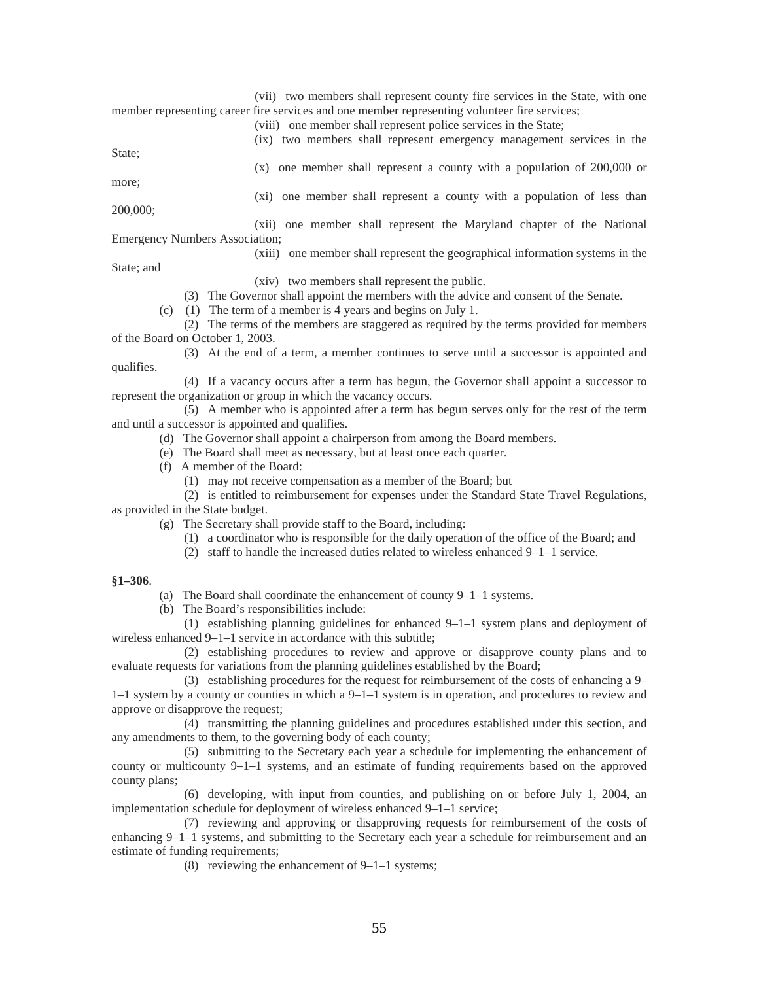(vii) two members shall represent county fire services in the State, with one member representing career fire services and one member representing volunteer fire services;

(viii) one member shall represent police services in the State;

(ix) two members shall represent emergency management services in the

State;

more;

(x) one member shall represent a county with a population of 200,000 or

200,000;

(xi) one member shall represent a county with a population of less than

(xii) one member shall represent the Maryland chapter of the National Emergency Numbers Association;

#### (xiii) one member shall represent the geographical information systems in the

State; and

qualifies.

(xiv) two members shall represent the public.

(3) The Governor shall appoint the members with the advice and consent of the Senate.

(c) (1) The term of a member is 4 years and begins on July 1.

(2) The terms of the members are staggered as required by the terms provided for members of the Board on October 1, 2003.

(3) At the end of a term, a member continues to serve until a successor is appointed and

(4) If a vacancy occurs after a term has begun, the Governor shall appoint a successor to represent the organization or group in which the vacancy occurs.

(5) A member who is appointed after a term has begun serves only for the rest of the term and until a successor is appointed and qualifies.

(d) The Governor shall appoint a chairperson from among the Board members.

- (e) The Board shall meet as necessary, but at least once each quarter.
- (f) A member of the Board:
	- (1) may not receive compensation as a member of the Board; but
	- (2) is entitled to reimbursement for expenses under the Standard State Travel Regulations,

as provided in the State budget.

- (g) The Secretary shall provide staff to the Board, including:
	- (1) a coordinator who is responsible for the daily operation of the office of the Board; and
	- (2) staff to handle the increased duties related to wireless enhanced 9–1–1 service.

#### **§1–306**.

- (a) The Board shall coordinate the enhancement of county 9–1–1 systems.
- (b) The Board's responsibilities include:

(1) establishing planning guidelines for enhanced 9–1–1 system plans and deployment of wireless enhanced 9–1–1 service in accordance with this subtitle;

(2) establishing procedures to review and approve or disapprove county plans and to evaluate requests for variations from the planning guidelines established by the Board;

(3) establishing procedures for the request for reimbursement of the costs of enhancing a 9– 1–1 system by a county or counties in which a 9–1–1 system is in operation, and procedures to review and approve or disapprove the request;

(4) transmitting the planning guidelines and procedures established under this section, and any amendments to them, to the governing body of each county;

(5) submitting to the Secretary each year a schedule for implementing the enhancement of county or multicounty 9–1–1 systems, and an estimate of funding requirements based on the approved county plans;

(6) developing, with input from counties, and publishing on or before July 1, 2004, an implementation schedule for deployment of wireless enhanced 9–1–1 service;

(7) reviewing and approving or disapproving requests for reimbursement of the costs of enhancing 9–1–1 systems, and submitting to the Secretary each year a schedule for reimbursement and an estimate of funding requirements;

(8) reviewing the enhancement of 9–1–1 systems;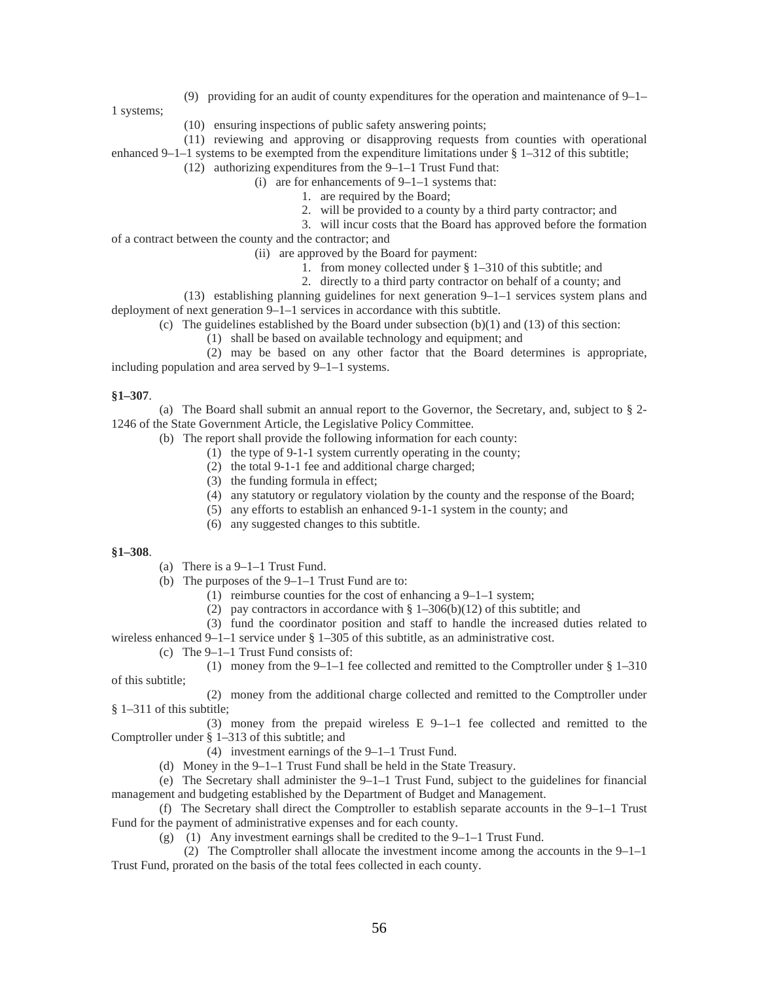(9) providing for an audit of county expenditures for the operation and maintenance of 9–1–

1 systems;

- (10) ensuring inspections of public safety answering points;
- (11) reviewing and approving or disapproving requests from counties with operational enhanced 9–1–1 systems to be exempted from the expenditure limitations under § 1–312 of this subtitle;
	- (12) authorizing expenditures from the 9–1–1 Trust Fund that:
		- (i) are for enhancements of 9–1–1 systems that:
			- 1. are required by the Board;
				- 2. will be provided to a county by a third party contractor; and
			- 3. will incur costs that the Board has approved before the formation
- of a contract between the county and the contractor; and
	- (ii) are approved by the Board for payment:
		- 1. from money collected under § 1–310 of this subtitle; and
		- 2. directly to a third party contractor on behalf of a county; and
- (13) establishing planning guidelines for next generation 9–1–1 services system plans and deployment of next generation 9–1–1 services in accordance with this subtitle.
	- (c) The guidelines established by the Board under subsection  $(b)(1)$  and  $(13)$  of this section:
		- (1) shall be based on available technology and equipment; and

(2) may be based on any other factor that the Board determines is appropriate, including population and area served by 9–1–1 systems.

#### **§1–307**.

(a) The Board shall submit an annual report to the Governor, the Secretary, and, subject to § 2- 1246 of the State Government Article, the Legislative Policy Committee.

(b) The report shall provide the following information for each county:

- (1) the type of 9-1-1 system currently operating in the county;
- (2) the total 9-1-1 fee and additional charge charged;
- (3) the funding formula in effect;
- (4) any statutory or regulatory violation by the county and the response of the Board;
- (5) any efforts to establish an enhanced 9-1-1 system in the county; and
- (6) any suggested changes to this subtitle.

#### **§1–308**.

- (a) There is a 9–1–1 Trust Fund.
- (b) The purposes of the 9–1–1 Trust Fund are to:
	- (1) reimburse counties for the cost of enhancing a 9–1–1 system;
	- (2) pay contractors in accordance with  $\S 1-306(b)(12)$  of this subtitle; and
	- (3) fund the coordinator position and staff to handle the increased duties related to

wireless enhanced  $9-1-1$  service under § 1–305 of this subtitle, as an administrative cost.

(c) The 9–1–1 Trust Fund consists of:

(1) money from the 9–1–1 fee collected and remitted to the Comptroller under § 1–310 of this subtitle;

(2) money from the additional charge collected and remitted to the Comptroller under § 1–311 of this subtitle;

(3) money from the prepaid wireless  $E_2$  9–1–1 fee collected and remitted to the Comptroller under § 1–313 of this subtitle; and

- (4) investment earnings of the 9–1–1 Trust Fund.
- (d) Money in the 9–1–1 Trust Fund shall be held in the State Treasury.

(e) The Secretary shall administer the 9–1–1 Trust Fund, subject to the guidelines for financial management and budgeting established by the Department of Budget and Management.

(f) The Secretary shall direct the Comptroller to establish separate accounts in the  $9-1-1$  Trust Fund for the payment of administrative expenses and for each county.

(g) (1) Any investment earnings shall be credited to the 9–1–1 Trust Fund.

(2) The Comptroller shall allocate the investment income among the accounts in the 9–1–1 Trust Fund, prorated on the basis of the total fees collected in each county.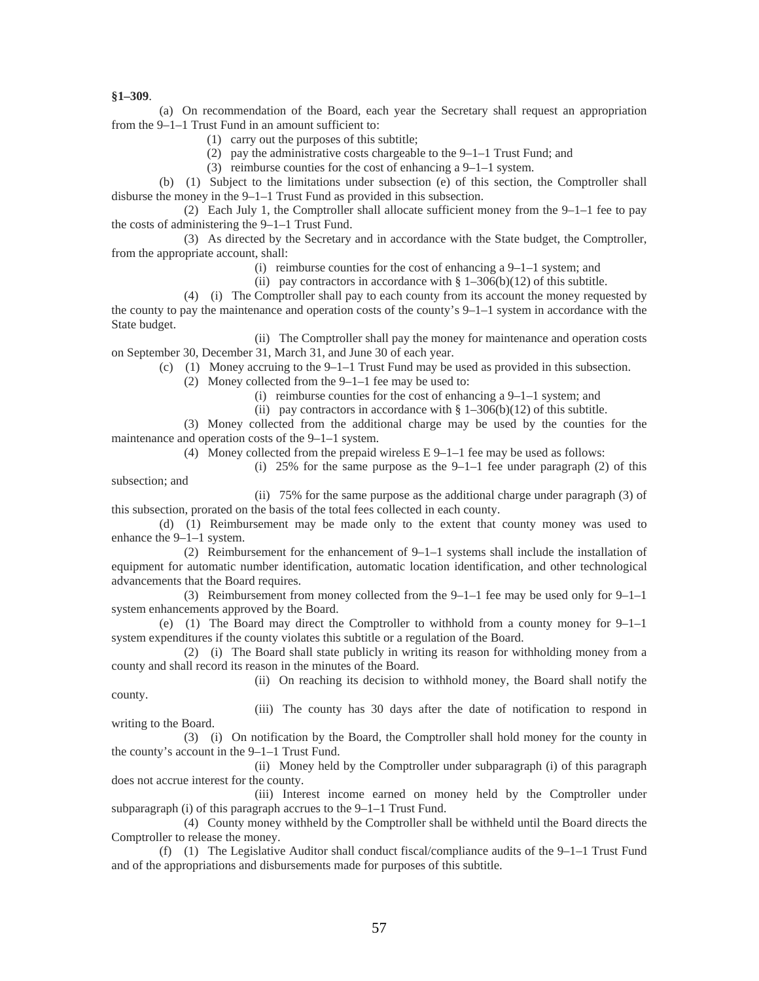**§1–309**.

county.

(a) On recommendation of the Board, each year the Secretary shall request an appropriation from the 9–1–1 Trust Fund in an amount sufficient to:

- (1) carry out the purposes of this subtitle;
- (2) pay the administrative costs chargeable to the  $9-1-1$  Trust Fund; and
- (3) reimburse counties for the cost of enhancing a 9–1–1 system.

(b) (1) Subject to the limitations under subsection (e) of this section, the Comptroller shall disburse the money in the 9–1–1 Trust Fund as provided in this subsection.

(2) Each July 1, the Comptroller shall allocate sufficient money from the 9–1–1 fee to pay the costs of administering the 9–1–1 Trust Fund.

(3) As directed by the Secretary and in accordance with the State budget, the Comptroller, from the appropriate account, shall:

(i) reimburse counties for the cost of enhancing a 9–1–1 system; and

(ii) pay contractors in accordance with  $\S 1-306(b)(12)$  of this subtitle.

(4) (i) The Comptroller shall pay to each county from its account the money requested by the county to pay the maintenance and operation costs of the county's  $9-1-1$  system in accordance with the State budget.

(ii) The Comptroller shall pay the money for maintenance and operation costs on September 30, December 31, March 31, and June 30 of each year.

(c) (1) Money accruing to the 9–1–1 Trust Fund may be used as provided in this subsection.

- (2) Money collected from the 9–1–1 fee may be used to:
	- (i) reimburse counties for the cost of enhancing a 9–1–1 system; and
	- (ii) pay contractors in accordance with  $\S 1-306(b)(12)$  of this subtitle.

(3) Money collected from the additional charge may be used by the counties for the maintenance and operation costs of the 9–1–1 system.

(4) Money collected from the prepaid wireless E 9–1–1 fee may be used as follows:

(i) 25% for the same purpose as the  $9-1-1$  fee under paragraph (2) of this subsection; and

(ii) 75% for the same purpose as the additional charge under paragraph (3) of this subsection, prorated on the basis of the total fees collected in each county.

(d) (1) Reimbursement may be made only to the extent that county money was used to enhance the 9–1–1 system.

(2) Reimbursement for the enhancement of 9–1–1 systems shall include the installation of equipment for automatic number identification, automatic location identification, and other technological advancements that the Board requires.

(3) Reimbursement from money collected from the 9–1–1 fee may be used only for 9–1–1 system enhancements approved by the Board.

(e) (1) The Board may direct the Comptroller to withhold from a county money for 9–1–1 system expenditures if the county violates this subtitle or a regulation of the Board.

(2) (i) The Board shall state publicly in writing its reason for withholding money from a county and shall record its reason in the minutes of the Board.

(ii) On reaching its decision to withhold money, the Board shall notify the

(iii) The county has 30 days after the date of notification to respond in writing to the Board.

(3) (i) On notification by the Board, the Comptroller shall hold money for the county in the county's account in the 9–1–1 Trust Fund.

(ii) Money held by the Comptroller under subparagraph (i) of this paragraph does not accrue interest for the county.

(iii) Interest income earned on money held by the Comptroller under subparagraph (i) of this paragraph accrues to the 9–1–1 Trust Fund.

(4) County money withheld by the Comptroller shall be withheld until the Board directs the Comptroller to release the money.

(f) (1) The Legislative Auditor shall conduct fiscal/compliance audits of the 9–1–1 Trust Fund and of the appropriations and disbursements made for purposes of this subtitle.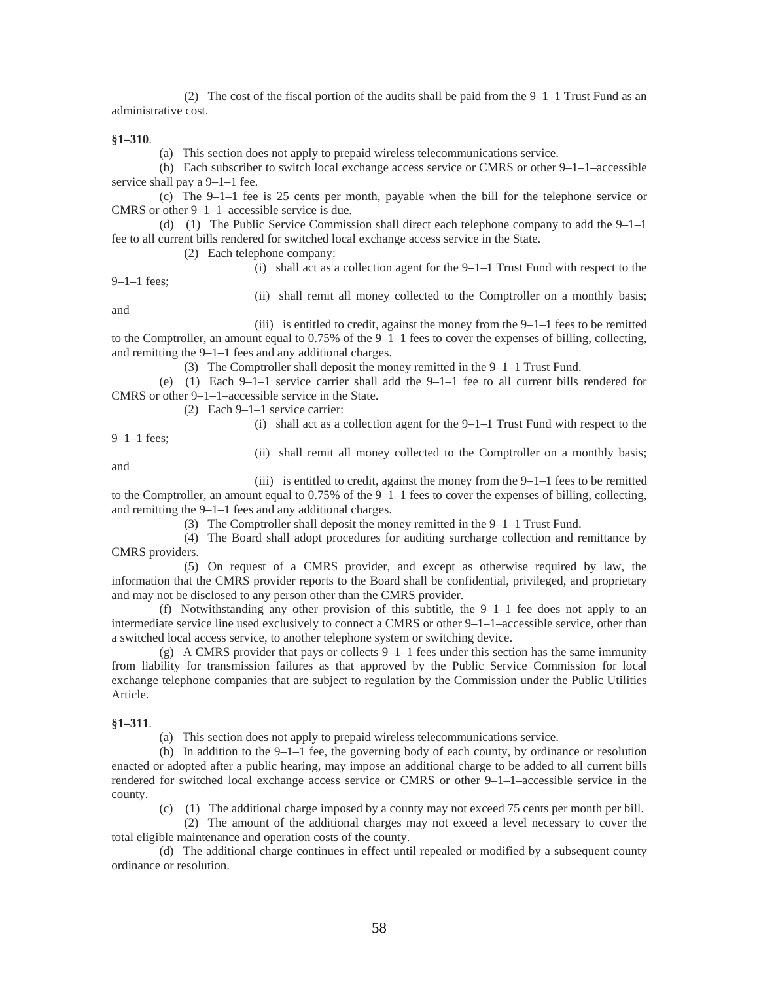(2) The cost of the fiscal portion of the audits shall be paid from the 9–1–1 Trust Fund as an administrative cost.

#### **§1–310**.

(a) This section does not apply to prepaid wireless telecommunications service.

(b) Each subscriber to switch local exchange access service or CMRS or other  $9-1-1$ –accessible service shall pay a 9–1–1 fee.

(c) The 9–1–1 fee is 25 cents per month, payable when the bill for the telephone service or CMRS or other 9–1–1–accessible service is due.

(d) (1) The Public Service Commission shall direct each telephone company to add the 9–1–1 fee to all current bills rendered for switched local exchange access service in the State.

(2) Each telephone company:

(i) shall act as a collection agent for the 9–1–1 Trust Fund with respect to the

9–1–1 fees;

(ii) shall remit all money collected to the Comptroller on a monthly basis;

and

(iii) is entitled to credit, against the money from the  $9-1-1$  fees to be remitted to the Comptroller, an amount equal to 0.75% of the 9–1–1 fees to cover the expenses of billing, collecting, and remitting the 9–1–1 fees and any additional charges.

(3) The Comptroller shall deposit the money remitted in the 9–1–1 Trust Fund.

(e) (1) Each  $9-1-1$  service carrier shall add the  $9-1-1$  fee to all current bills rendered for CMRS or other 9–1–1–accessible service in the State.

(2) Each 9–1–1 service carrier:

(i) shall act as a collection agent for the 9–1–1 Trust Fund with respect to the

9–1–1 fees;

(ii) shall remit all money collected to the Comptroller on a monthly basis;

and

(iii) is entitled to credit, against the money from the 9–1–1 fees to be remitted to the Comptroller, an amount equal to 0.75% of the 9–1–1 fees to cover the expenses of billing, collecting, and remitting the 9–1–1 fees and any additional charges.

(3) The Comptroller shall deposit the money remitted in the 9–1–1 Trust Fund.

(4) The Board shall adopt procedures for auditing surcharge collection and remittance by CMRS providers.

(5) On request of a CMRS provider, and except as otherwise required by law, the information that the CMRS provider reports to the Board shall be confidential, privileged, and proprietary and may not be disclosed to any person other than the CMRS provider.

(f) Notwithstanding any other provision of this subtitle, the  $9-1-1$  fee does not apply to an intermediate service line used exclusively to connect a CMRS or other 9–1–1–accessible service, other than a switched local access service, to another telephone system or switching device.

(g) A CMRS provider that pays or collects 9–1–1 fees under this section has the same immunity from liability for transmission failures as that approved by the Public Service Commission for local exchange telephone companies that are subject to regulation by the Commission under the Public Utilities Article.

#### **§1–311**.

(a) This section does not apply to prepaid wireless telecommunications service.

(b) In addition to the 9–1–1 fee, the governing body of each county, by ordinance or resolution enacted or adopted after a public hearing, may impose an additional charge to be added to all current bills rendered for switched local exchange access service or CMRS or other 9–1–1–accessible service in the county.

(c) (1) The additional charge imposed by a county may not exceed 75 cents per month per bill.

(2) The amount of the additional charges may not exceed a level necessary to cover the total eligible maintenance and operation costs of the county.

(d) The additional charge continues in effect until repealed or modified by a subsequent county ordinance or resolution.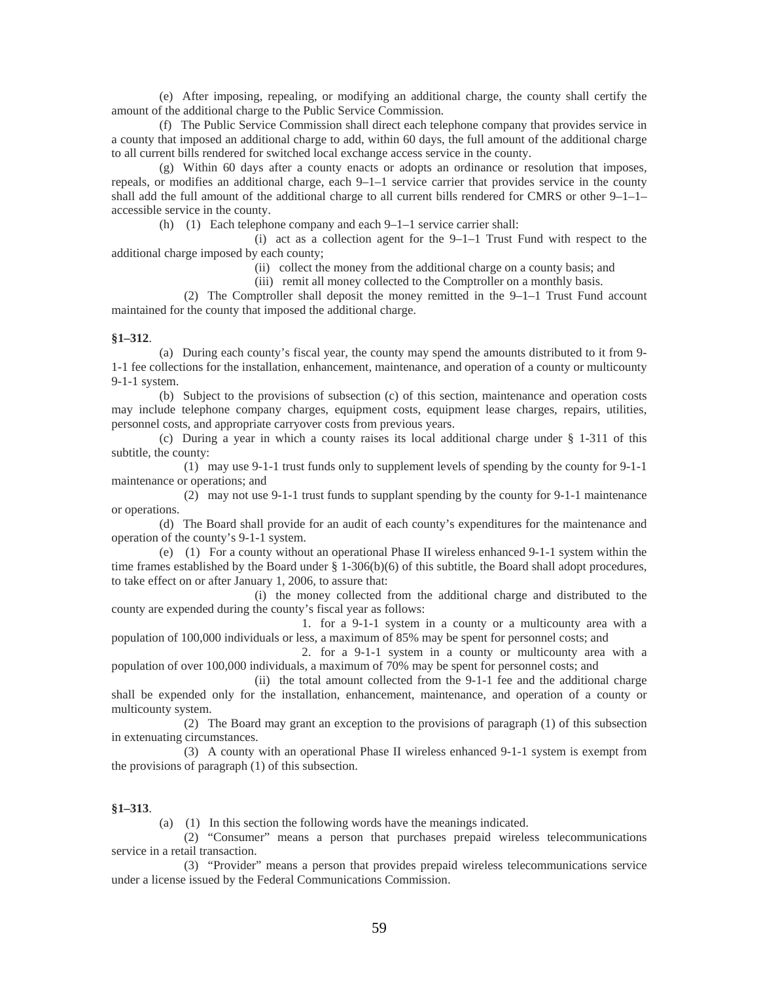(e) After imposing, repealing, or modifying an additional charge, the county shall certify the amount of the additional charge to the Public Service Commission.

(f) The Public Service Commission shall direct each telephone company that provides service in a county that imposed an additional charge to add, within 60 days, the full amount of the additional charge to all current bills rendered for switched local exchange access service in the county.

(g) Within 60 days after a county enacts or adopts an ordinance or resolution that imposes, repeals, or modifies an additional charge, each 9–1–1 service carrier that provides service in the county shall add the full amount of the additional charge to all current bills rendered for CMRS or other 9–1–1– accessible service in the county.

(h) (1) Each telephone company and each 9–1–1 service carrier shall:

(i) act as a collection agent for the 9–1–1 Trust Fund with respect to the additional charge imposed by each county;

(ii) collect the money from the additional charge on a county basis; and

(iii) remit all money collected to the Comptroller on a monthly basis.

(2) The Comptroller shall deposit the money remitted in the 9–1–1 Trust Fund account maintained for the county that imposed the additional charge.

#### **§1–312**.

(a) During each county's fiscal year, the county may spend the amounts distributed to it from 9- 1-1 fee collections for the installation, enhancement, maintenance, and operation of a county or multicounty 9-1-1 system.

(b) Subject to the provisions of subsection (c) of this section, maintenance and operation costs may include telephone company charges, equipment costs, equipment lease charges, repairs, utilities, personnel costs, and appropriate carryover costs from previous years.

(c) During a year in which a county raises its local additional charge under § 1-311 of this subtitle, the county:

(1) may use 9-1-1 trust funds only to supplement levels of spending by the county for 9-1-1 maintenance or operations; and

(2) may not use 9-1-1 trust funds to supplant spending by the county for 9-1-1 maintenance or operations.

(d) The Board shall provide for an audit of each county's expenditures for the maintenance and operation of the county's 9-1-1 system.

(e) (1) For a county without an operational Phase II wireless enhanced 9-1-1 system within the time frames established by the Board under § 1-306(b)(6) of this subtitle, the Board shall adopt procedures, to take effect on or after January 1, 2006, to assure that:

(i) the money collected from the additional charge and distributed to the county are expended during the county's fiscal year as follows:

1. for a 9-1-1 system in a county or a multicounty area with a population of 100,000 individuals or less, a maximum of 85% may be spent for personnel costs; and

2. for a 9-1-1 system in a county or multicounty area with a population of over 100,000 individuals, a maximum of 70% may be spent for personnel costs; and

(ii) the total amount collected from the 9-1-1 fee and the additional charge shall be expended only for the installation, enhancement, maintenance, and operation of a county or multicounty system.

(2) The Board may grant an exception to the provisions of paragraph (1) of this subsection in extenuating circumstances.

(3) A county with an operational Phase II wireless enhanced 9-1-1 system is exempt from the provisions of paragraph (1) of this subsection.

#### **§1–313**.

(a) (1) In this section the following words have the meanings indicated.

(2) "Consumer" means a person that purchases prepaid wireless telecommunications service in a retail transaction.

(3) "Provider" means a person that provides prepaid wireless telecommunications service under a license issued by the Federal Communications Commission.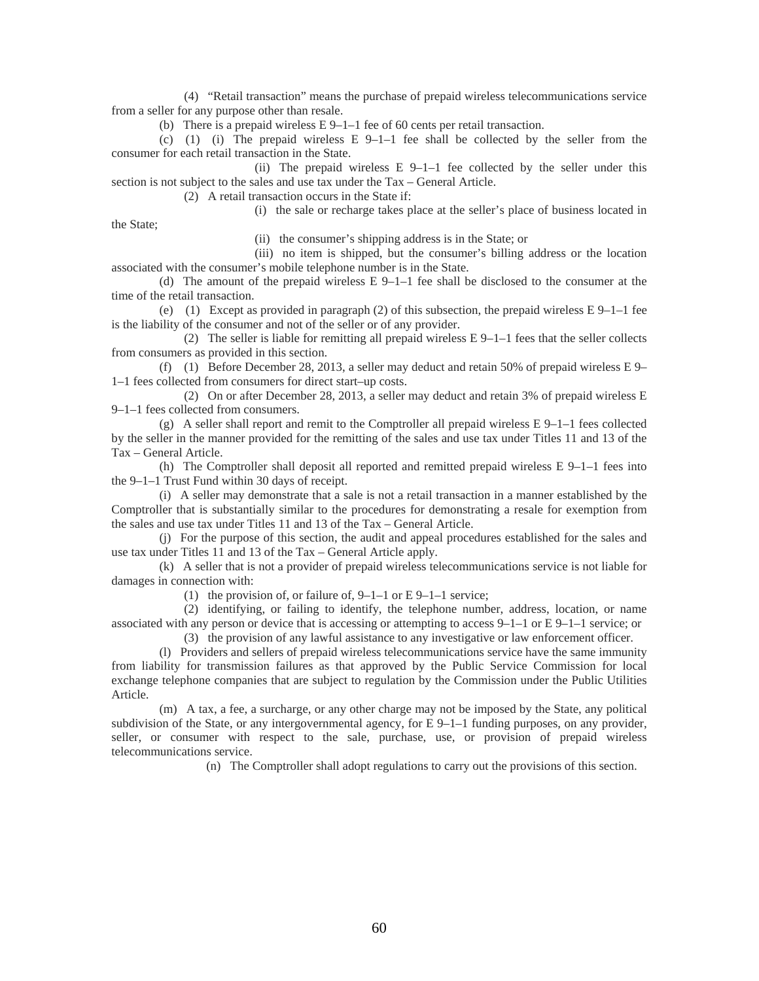(4) "Retail transaction" means the purchase of prepaid wireless telecommunications service from a seller for any purpose other than resale.

(b) There is a prepaid wireless E 9–1–1 fee of 60 cents per retail transaction.

(c) (1) (i) The prepaid wireless  $E\left[9-1-1\right]$  fee shall be collected by the seller from the consumer for each retail transaction in the State.

(ii) The prepaid wireless  $E_1 = 9 - 1 - 1$  fee collected by the seller under this section is not subject to the sales and use tax under the Tax – General Article.

(2) A retail transaction occurs in the State if:

(i) the sale or recharge takes place at the seller's place of business located in

the State;

(ii) the consumer's shipping address is in the State; or

(iii) no item is shipped, but the consumer's billing address or the location associated with the consumer's mobile telephone number is in the State.

(d) The amount of the prepaid wireless  $E 9-1-1$  fee shall be disclosed to the consumer at the time of the retail transaction.

(e) (1) Except as provided in paragraph (2) of this subsection, the prepaid wireless  $E\left(9-1-1\right)$  fee is the liability of the consumer and not of the seller or of any provider.

(2) The seller is liable for remitting all prepaid wireless  $E\left(9-1-1\right)$  fees that the seller collects from consumers as provided in this section.

(f) (1) Before December 28, 2013, a seller may deduct and retain 50% of prepaid wireless E 9– 1–1 fees collected from consumers for direct start–up costs.

(2) On or after December 28, 2013, a seller may deduct and retain 3% of prepaid wireless E 9–1–1 fees collected from consumers.

(g) A seller shall report and remit to the Comptroller all prepaid wireless  $E\left(9-1-1\right)$  fees collected by the seller in the manner provided for the remitting of the sales and use tax under Titles 11 and 13 of the Tax – General Article.

(h) The Comptroller shall deposit all reported and remitted prepaid wireless  $E\left[9-1-1\right]$  fees into the 9–1–1 Trust Fund within 30 days of receipt.

(i) A seller may demonstrate that a sale is not a retail transaction in a manner established by the Comptroller that is substantially similar to the procedures for demonstrating a resale for exemption from the sales and use tax under Titles 11 and 13 of the Tax – General Article.

(j) For the purpose of this section, the audit and appeal procedures established for the sales and use tax under Titles 11 and 13 of the Tax – General Article apply.

(k) A seller that is not a provider of prepaid wireless telecommunications service is not liable for damages in connection with:

(1) the provision of, or failure of,  $9-1-1$  or  $E\left(-9-1-1\right)$  service;

(2) identifying, or failing to identify, the telephone number, address, location, or name associated with any person or device that is accessing or attempting to access  $9-1-1$  or E  $9-1-1$  service; or

(3) the provision of any lawful assistance to any investigative or law enforcement officer.

(l) Providers and sellers of prepaid wireless telecommunications service have the same immunity from liability for transmission failures as that approved by the Public Service Commission for local exchange telephone companies that are subject to regulation by the Commission under the Public Utilities Article.

(m) A tax, a fee, a surcharge, or any other charge may not be imposed by the State, any political subdivision of the State, or any intergovernmental agency, for  $E\left[9-1-1\right]$  funding purposes, on any provider, seller, or consumer with respect to the sale, purchase, use, or provision of prepaid wireless telecommunications service.

(n) The Comptroller shall adopt regulations to carry out the provisions of this section.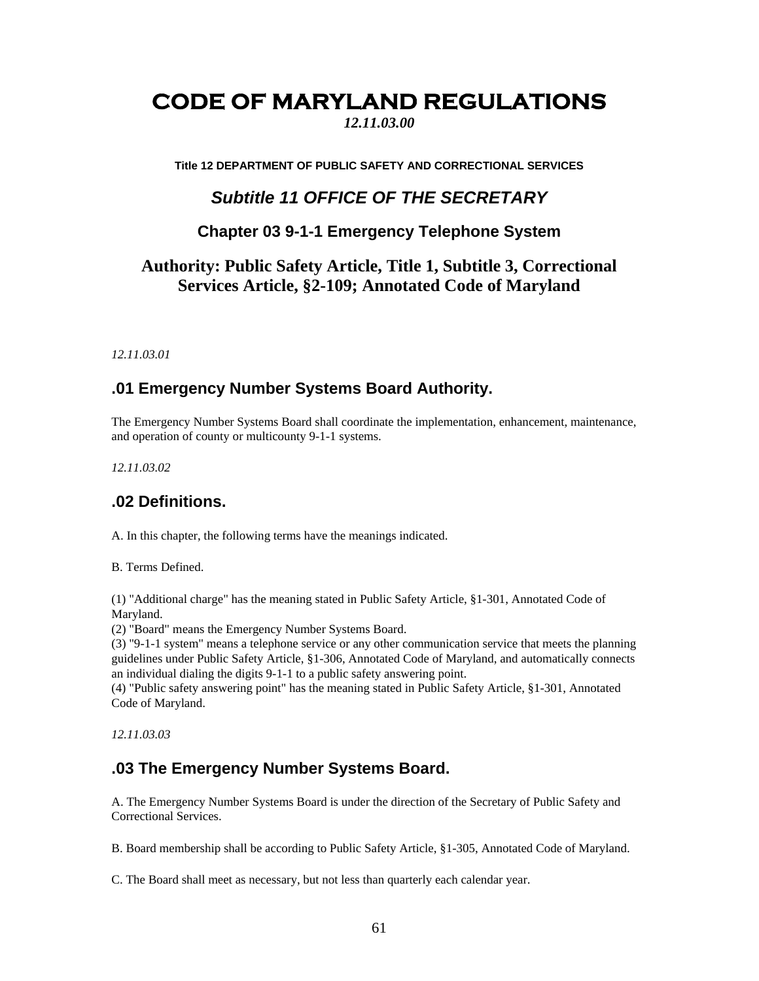# **CODE OF MARYLAND REGULATIONS**

*12.11.03.00* 

**Title 12 DEPARTMENT OF PUBLIC SAFETY AND CORRECTIONAL SERVICES** 

## *Subtitle 11 OFFICE OF THE SECRETARY*

#### **Chapter 03 9-1-1 Emergency Telephone System**

## **Authority: Public Safety Article, Title 1, Subtitle 3, Correctional Services Article, §2-109; Annotated Code of Maryland**

*12.11.03.01* 

#### **.01 Emergency Number Systems Board Authority.**

The Emergency Number Systems Board shall coordinate the implementation, enhancement, maintenance, and operation of county or multicounty 9-1-1 systems.

*12.11.03.02* 

### **.02 Definitions.**

A. In this chapter, the following terms have the meanings indicated.

B. Terms Defined.

(1) "Additional charge" has the meaning stated in Public Safety Article, §1-301, Annotated Code of Maryland.

(2) "Board" means the Emergency Number Systems Board.

(3) "9-1-1 system" means a telephone service or any other communication service that meets the planning guidelines under Public Safety Article, §1-306, Annotated Code of Maryland, and automatically connects an individual dialing the digits 9-1-1 to a public safety answering point.

(4) "Public safety answering point" has the meaning stated in Public Safety Article, §1-301, Annotated Code of Maryland.

*12.11.03.03* 

### **.03 The Emergency Number Systems Board.**

A. The Emergency Number Systems Board is under the direction of the Secretary of Public Safety and Correctional Services.

B. Board membership shall be according to Public Safety Article, §1-305, Annotated Code of Maryland.

C. The Board shall meet as necessary, but not less than quarterly each calendar year.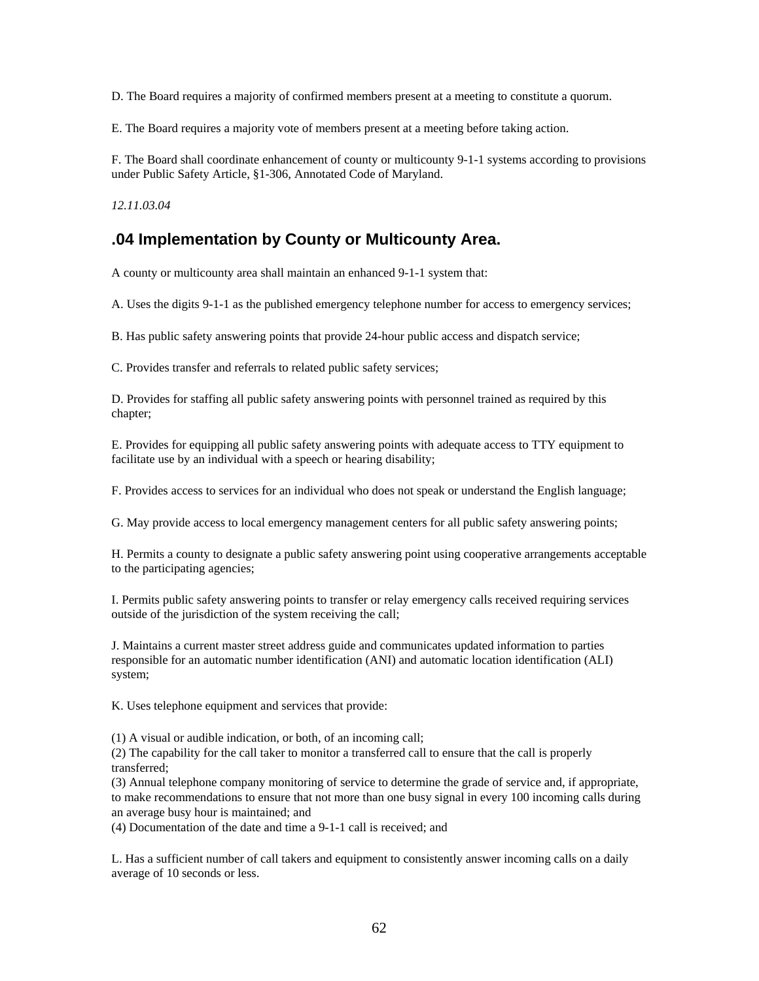D. The Board requires a majority of confirmed members present at a meeting to constitute a quorum.

E. The Board requires a majority vote of members present at a meeting before taking action.

F. The Board shall coordinate enhancement of county or multicounty 9-1-1 systems according to provisions under Public Safety Article, §1-306, Annotated Code of Maryland.

*12.11.03.04* 

## **.04 Implementation by County or Multicounty Area.**

A county or multicounty area shall maintain an enhanced 9-1-1 system that:

A. Uses the digits 9-1-1 as the published emergency telephone number for access to emergency services;

B. Has public safety answering points that provide 24-hour public access and dispatch service;

C. Provides transfer and referrals to related public safety services;

D. Provides for staffing all public safety answering points with personnel trained as required by this chapter;

E. Provides for equipping all public safety answering points with adequate access to TTY equipment to facilitate use by an individual with a speech or hearing disability;

F. Provides access to services for an individual who does not speak or understand the English language;

G. May provide access to local emergency management centers for all public safety answering points;

H. Permits a county to designate a public safety answering point using cooperative arrangements acceptable to the participating agencies;

I. Permits public safety answering points to transfer or relay emergency calls received requiring services outside of the jurisdiction of the system receiving the call;

J. Maintains a current master street address guide and communicates updated information to parties responsible for an automatic number identification (ANI) and automatic location identification (ALI) system;

K. Uses telephone equipment and services that provide:

(1) A visual or audible indication, or both, of an incoming call;

(2) The capability for the call taker to monitor a transferred call to ensure that the call is properly transferred;

(3) Annual telephone company monitoring of service to determine the grade of service and, if appropriate, to make recommendations to ensure that not more than one busy signal in every 100 incoming calls during an average busy hour is maintained; and

(4) Documentation of the date and time a 9-1-1 call is received; and

L. Has a sufficient number of call takers and equipment to consistently answer incoming calls on a daily average of 10 seconds or less.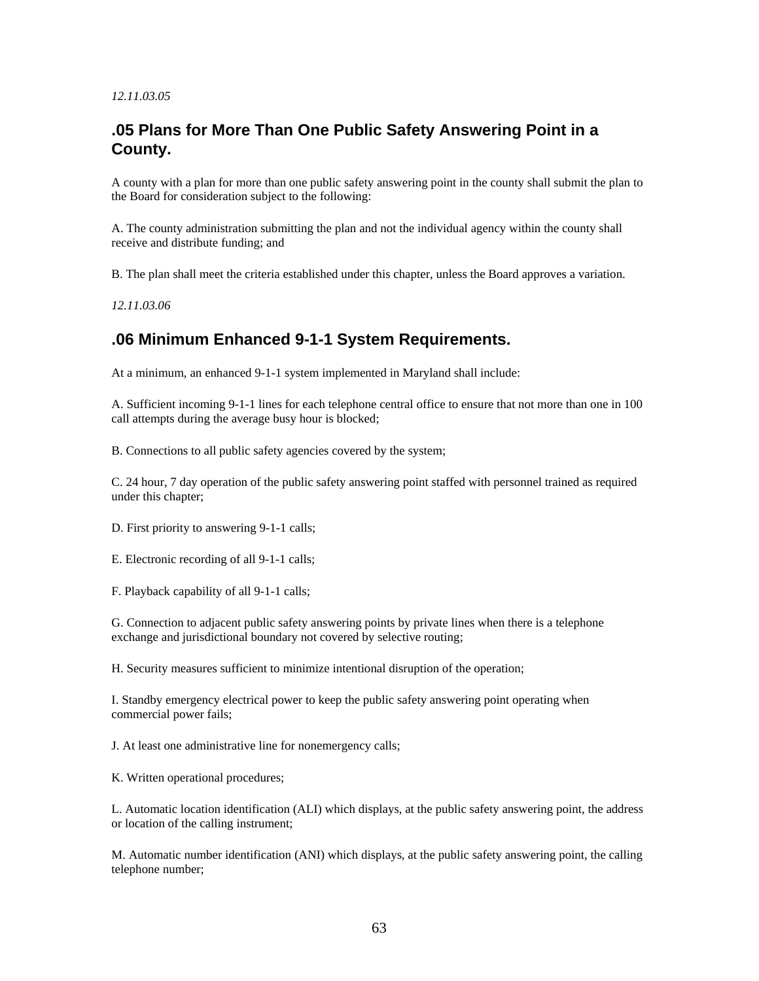#### *12.11.03.05*

#### **.05 Plans for More Than One Public Safety Answering Point in a County.**

A county with a plan for more than one public safety answering point in the county shall submit the plan to the Board for consideration subject to the following:

A. The county administration submitting the plan and not the individual agency within the county shall receive and distribute funding; and

B. The plan shall meet the criteria established under this chapter, unless the Board approves a variation.

*12.11.03.06* 

### **.06 Minimum Enhanced 9-1-1 System Requirements.**

At a minimum, an enhanced 9-1-1 system implemented in Maryland shall include:

A. Sufficient incoming 9-1-1 lines for each telephone central office to ensure that not more than one in 100 call attempts during the average busy hour is blocked;

B. Connections to all public safety agencies covered by the system;

C. 24 hour, 7 day operation of the public safety answering point staffed with personnel trained as required under this chapter;

D. First priority to answering 9-1-1 calls;

E. Electronic recording of all 9-1-1 calls;

F. Playback capability of all 9-1-1 calls;

G. Connection to adjacent public safety answering points by private lines when there is a telephone exchange and jurisdictional boundary not covered by selective routing;

H. Security measures sufficient to minimize intentional disruption of the operation;

I. Standby emergency electrical power to keep the public safety answering point operating when commercial power fails;

J. At least one administrative line for nonemergency calls;

K. Written operational procedures;

L. Automatic location identification (ALI) which displays, at the public safety answering point, the address or location of the calling instrument;

M. Automatic number identification (ANI) which displays, at the public safety answering point, the calling telephone number;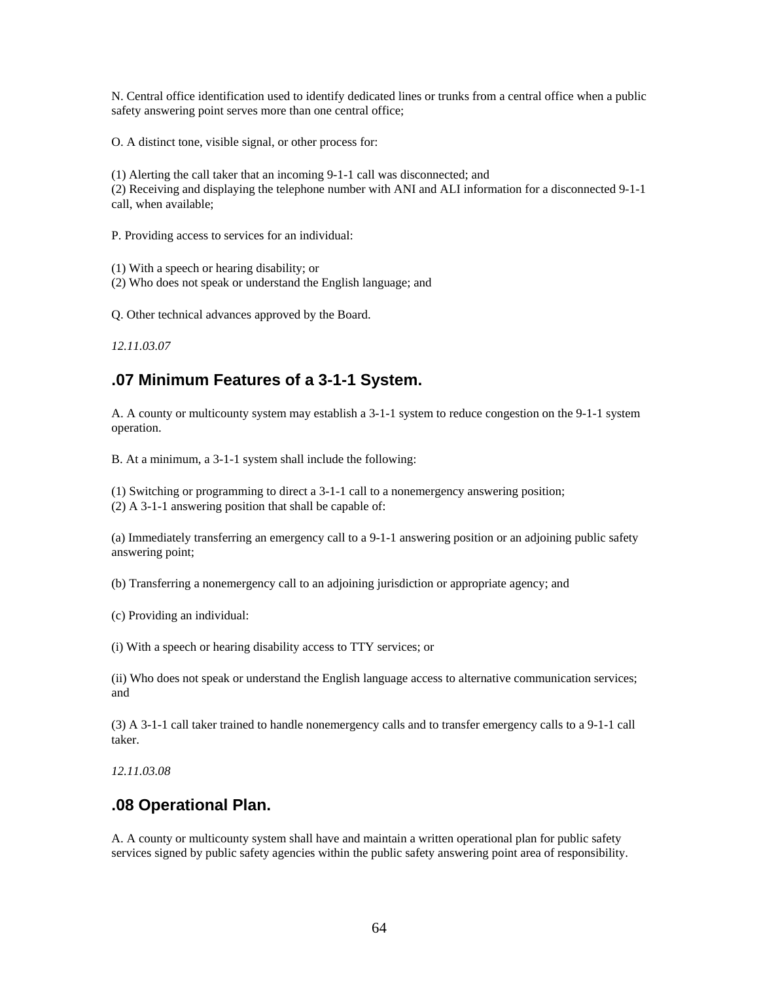N. Central office identification used to identify dedicated lines or trunks from a central office when a public safety answering point serves more than one central office;

O. A distinct tone, visible signal, or other process for:

(1) Alerting the call taker that an incoming 9-1-1 call was disconnected; and (2) Receiving and displaying the telephone number with ANI and ALI information for a disconnected 9-1-1 call, when available;

P. Providing access to services for an individual:

(1) With a speech or hearing disability; or

(2) Who does not speak or understand the English language; and

Q. Other technical advances approved by the Board.

*12.11.03.07* 

#### **.07 Minimum Features of a 3-1-1 System.**

A. A county or multicounty system may establish a 3-1-1 system to reduce congestion on the 9-1-1 system operation.

B. At a minimum, a 3-1-1 system shall include the following:

(1) Switching or programming to direct a 3-1-1 call to a nonemergency answering position; (2) A 3-1-1 answering position that shall be capable of:

(a) Immediately transferring an emergency call to a 9-1-1 answering position or an adjoining public safety answering point;

(b) Transferring a nonemergency call to an adjoining jurisdiction or appropriate agency; and

(c) Providing an individual:

(i) With a speech or hearing disability access to TTY services; or

(ii) Who does not speak or understand the English language access to alternative communication services; and

(3) A 3-1-1 call taker trained to handle nonemergency calls and to transfer emergency calls to a 9-1-1 call taker.

*12.11.03.08* 

#### **.08 Operational Plan.**

A. A county or multicounty system shall have and maintain a written operational plan for public safety services signed by public safety agencies within the public safety answering point area of responsibility.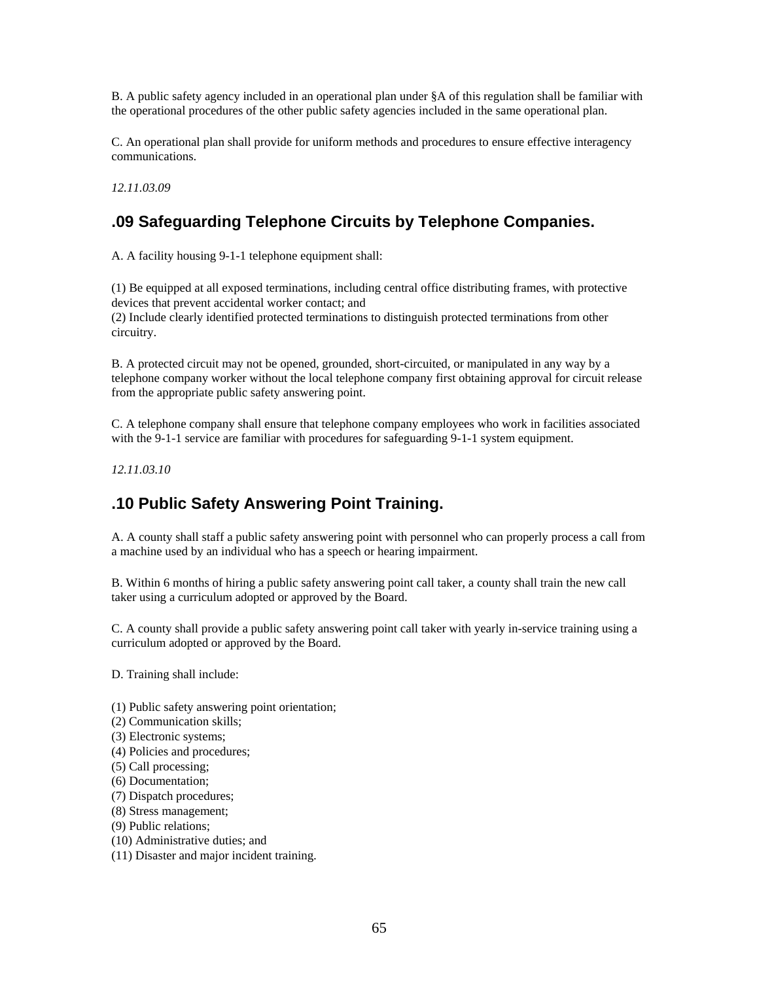B. A public safety agency included in an operational plan under §A of this regulation shall be familiar with the operational procedures of the other public safety agencies included in the same operational plan.

C. An operational plan shall provide for uniform methods and procedures to ensure effective interagency communications.

*12.11.03.09* 

## **.09 Safeguarding Telephone Circuits by Telephone Companies.**

A. A facility housing 9-1-1 telephone equipment shall:

(1) Be equipped at all exposed terminations, including central office distributing frames, with protective devices that prevent accidental worker contact; and (2) Include clearly identified protected terminations to distinguish protected terminations from other circuitry.

B. A protected circuit may not be opened, grounded, short-circuited, or manipulated in any way by a telephone company worker without the local telephone company first obtaining approval for circuit release from the appropriate public safety answering point.

C. A telephone company shall ensure that telephone company employees who work in facilities associated with the 9-1-1 service are familiar with procedures for safeguarding 9-1-1 system equipment.

*12.11.03.10* 

## **.10 Public Safety Answering Point Training.**

A. A county shall staff a public safety answering point with personnel who can properly process a call from a machine used by an individual who has a speech or hearing impairment.

B. Within 6 months of hiring a public safety answering point call taker, a county shall train the new call taker using a curriculum adopted or approved by the Board.

C. A county shall provide a public safety answering point call taker with yearly in-service training using a curriculum adopted or approved by the Board.

D. Training shall include:

- (1) Public safety answering point orientation;
- (2) Communication skills;
- (3) Electronic systems;
- (4) Policies and procedures;
- (5) Call processing;
- (6) Documentation;
- (7) Dispatch procedures;
- (8) Stress management;
- (9) Public relations;
- (10) Administrative duties; and
- (11) Disaster and major incident training.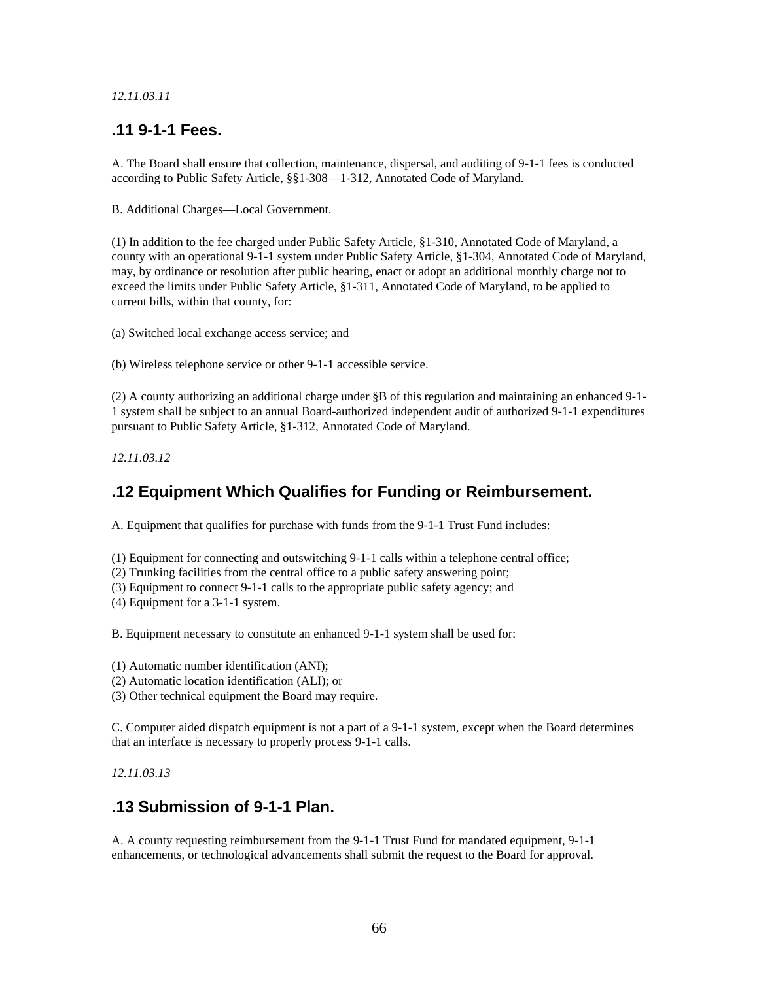#### *12.11.03.11*

#### **.11 9-1-1 Fees.**

A. The Board shall ensure that collection, maintenance, dispersal, and auditing of 9-1-1 fees is conducted according to Public Safety Article, §§1-308—1-312, Annotated Code of Maryland.

B. Additional Charges—Local Government.

(1) In addition to the fee charged under Public Safety Article, §1-310, Annotated Code of Maryland, a county with an operational 9-1-1 system under Public Safety Article, §1-304, Annotated Code of Maryland, may, by ordinance or resolution after public hearing, enact or adopt an additional monthly charge not to exceed the limits under Public Safety Article, §1-311, Annotated Code of Maryland, to be applied to current bills, within that county, for:

(a) Switched local exchange access service; and

(b) Wireless telephone service or other 9-1-1 accessible service.

(2) A county authorizing an additional charge under §B of this regulation and maintaining an enhanced 9-1- 1 system shall be subject to an annual Board-authorized independent audit of authorized 9-1-1 expenditures pursuant to Public Safety Article, §1-312, Annotated Code of Maryland.

*12.11.03.12* 

### **.12 Equipment Which Qualifies for Funding or Reimbursement.**

A. Equipment that qualifies for purchase with funds from the 9-1-1 Trust Fund includes:

(1) Equipment for connecting and outswitching 9-1-1 calls within a telephone central office;

- (2) Trunking facilities from the central office to a public safety answering point;
- (3) Equipment to connect 9-1-1 calls to the appropriate public safety agency; and
- (4) Equipment for a 3-1-1 system.

B. Equipment necessary to constitute an enhanced 9-1-1 system shall be used for:

(1) Automatic number identification (ANI);

(2) Automatic location identification (ALI); or

(3) Other technical equipment the Board may require.

C. Computer aided dispatch equipment is not a part of a 9-1-1 system, except when the Board determines that an interface is necessary to properly process 9-1-1 calls.

*12.11.03.13* 

#### **.13 Submission of 9-1-1 Plan.**

A. A county requesting reimbursement from the 9-1-1 Trust Fund for mandated equipment, 9-1-1 enhancements, or technological advancements shall submit the request to the Board for approval.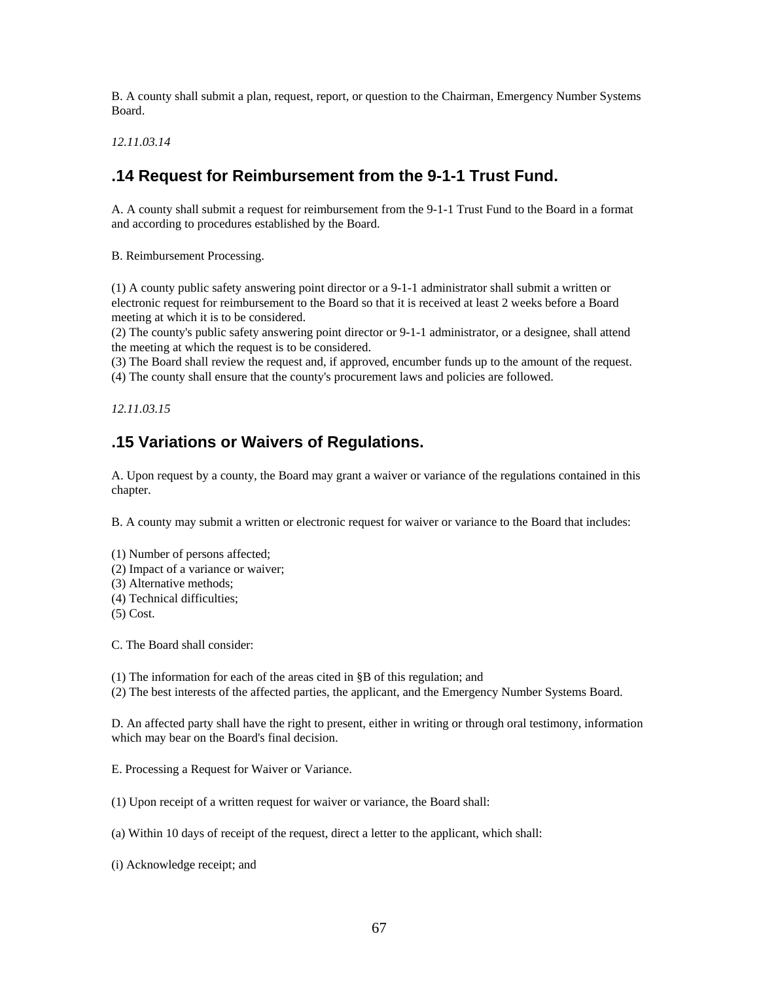B. A county shall submit a plan, request, report, or question to the Chairman, Emergency Number Systems Board.

*12.11.03.14* 

## **.14 Request for Reimbursement from the 9-1-1 Trust Fund.**

A. A county shall submit a request for reimbursement from the 9-1-1 Trust Fund to the Board in a format and according to procedures established by the Board.

B. Reimbursement Processing.

(1) A county public safety answering point director or a 9-1-1 administrator shall submit a written or electronic request for reimbursement to the Board so that it is received at least 2 weeks before a Board meeting at which it is to be considered.

(2) The county's public safety answering point director or 9-1-1 administrator, or a designee, shall attend the meeting at which the request is to be considered.

(3) The Board shall review the request and, if approved, encumber funds up to the amount of the request.

(4) The county shall ensure that the county's procurement laws and policies are followed.

*12.11.03.15* 

## **.15 Variations or Waivers of Regulations.**

A. Upon request by a county, the Board may grant a waiver or variance of the regulations contained in this chapter.

B. A county may submit a written or electronic request for waiver or variance to the Board that includes:

(1) Number of persons affected;

- (2) Impact of a variance or waiver;
- (3) Alternative methods;
- (4) Technical difficulties;
- (5) Cost.

C. The Board shall consider:

(1) The information for each of the areas cited in §B of this regulation; and

(2) The best interests of the affected parties, the applicant, and the Emergency Number Systems Board.

D. An affected party shall have the right to present, either in writing or through oral testimony, information which may bear on the Board's final decision.

E. Processing a Request for Waiver or Variance.

(1) Upon receipt of a written request for waiver or variance, the Board shall:

(a) Within 10 days of receipt of the request, direct a letter to the applicant, which shall:

(i) Acknowledge receipt; and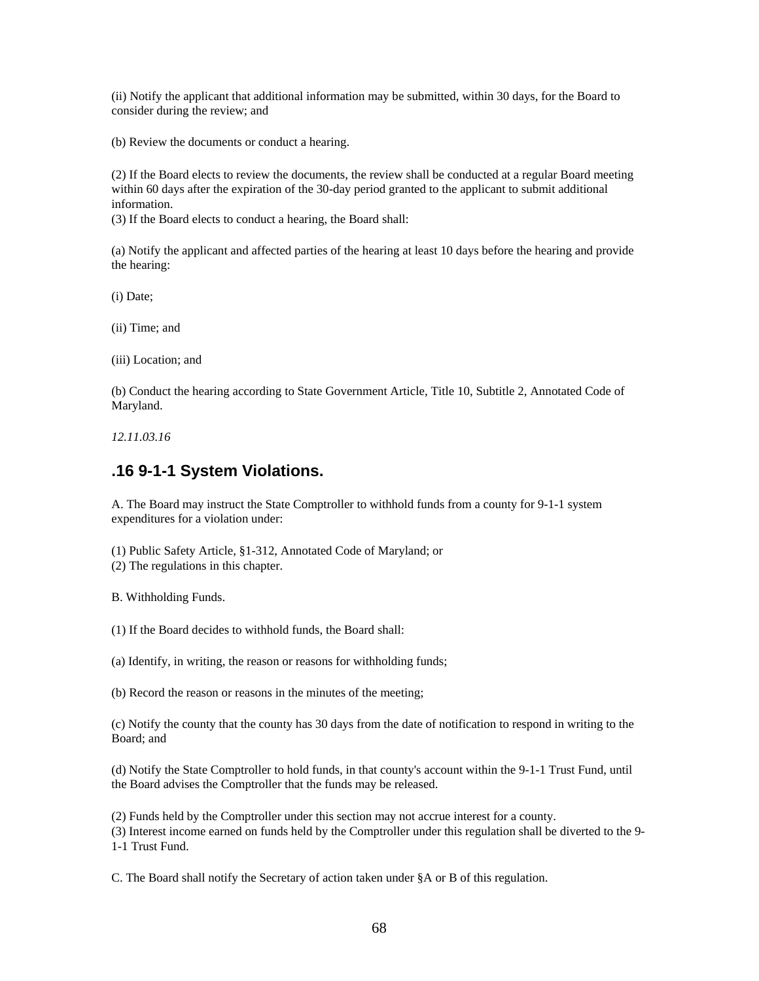(ii) Notify the applicant that additional information may be submitted, within 30 days, for the Board to consider during the review; and

(b) Review the documents or conduct a hearing.

(2) If the Board elects to review the documents, the review shall be conducted at a regular Board meeting within 60 days after the expiration of the 30-day period granted to the applicant to submit additional information.

(3) If the Board elects to conduct a hearing, the Board shall:

(a) Notify the applicant and affected parties of the hearing at least 10 days before the hearing and provide the hearing:

(i) Date;

(ii) Time; and

(iii) Location; and

(b) Conduct the hearing according to State Government Article, Title 10, Subtitle 2, Annotated Code of Maryland.

*12.11.03.16* 

#### **.16 9-1-1 System Violations.**

A. The Board may instruct the State Comptroller to withhold funds from a county for 9-1-1 system expenditures for a violation under:

(1) Public Safety Article, §1-312, Annotated Code of Maryland; or

(2) The regulations in this chapter.

B. Withholding Funds.

(1) If the Board decides to withhold funds, the Board shall:

(a) Identify, in writing, the reason or reasons for withholding funds;

(b) Record the reason or reasons in the minutes of the meeting;

(c) Notify the county that the county has 30 days from the date of notification to respond in writing to the Board; and

(d) Notify the State Comptroller to hold funds, in that county's account within the 9-1-1 Trust Fund, until the Board advises the Comptroller that the funds may be released.

(2) Funds held by the Comptroller under this section may not accrue interest for a county.

(3) Interest income earned on funds held by the Comptroller under this regulation shall be diverted to the 9- 1-1 Trust Fund.

C. The Board shall notify the Secretary of action taken under §A or B of this regulation.